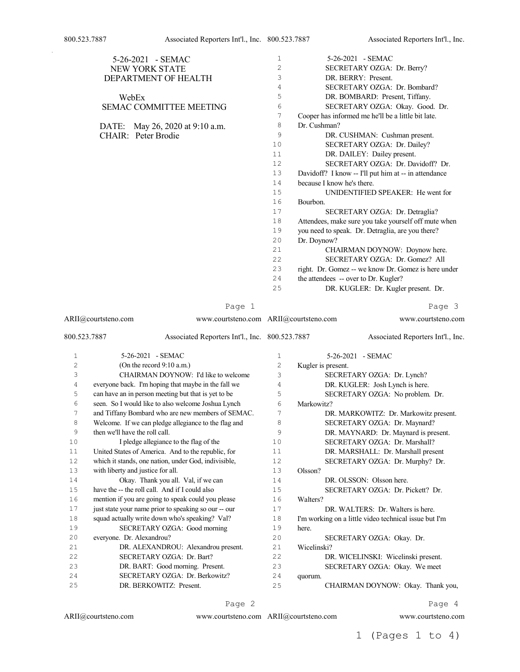|                              | 5-26-2021 - SEMAC                                             | $\mathbf{1}$ | 5-26-2021 - SEMAC                                     |
|------------------------------|---------------------------------------------------------------|--------------|-------------------------------------------------------|
|                              | NEW YORK STATE                                                | $\mathbf{2}$ | SECRETARY OZGA: Dr. Berry?                            |
|                              | DEPARTMENT OF HEALTH                                          | 3            | DR. BERRY: Present.                                   |
|                              |                                                               | 4            | SECRETARY OZGA: Dr. Bombard?                          |
|                              | WebEx                                                         | 5            | DR. BOMBARD: Present, Tiffany.                        |
|                              | SEMAC COMMITTEE MEETING                                       | 6            | SECRETARY OZGA: Okay. Good. Dr.                       |
|                              |                                                               | 7            | Cooper has informed me he'll be a little bit late.    |
|                              | DATE: May 26, 2020 at 9:10 a.m.                               | 8            | Dr. Cushman?                                          |
|                              | CHAIR: Peter Brodie                                           | 9            | DR. CUSHMAN: Cushman present.                         |
|                              |                                                               | 10           | SECRETARY OZGA: Dr. Dailey?                           |
|                              |                                                               | 11           | DR. DAILEY: Dailey present.                           |
|                              |                                                               | 12           | SECRETARY OZGA: Dr. Davidoff? Dr.                     |
|                              |                                                               | 13           | Davidoff? I know -- I'll put him at -- in attendance  |
|                              |                                                               | 14           | because I know he's there.                            |
|                              |                                                               | 15           | UNIDENTIFIED SPEAKER: He went for                     |
|                              |                                                               | 16           | Bourbon.                                              |
|                              |                                                               |              |                                                       |
|                              |                                                               | 17           | SECRETARY OZGA: Dr. Detraglia?                        |
|                              |                                                               | 18           | Attendees, make sure you take yourself off mute when  |
|                              |                                                               | 19           | you need to speak. Dr. Detraglia, are you there?      |
|                              |                                                               | 20           | Dr. Doynow?                                           |
|                              |                                                               | 21           | CHAIRMAN DOYNOW: Doynow here.                         |
|                              |                                                               | 22           | SECRETARY OZGA: Dr. Gomez? All                        |
|                              |                                                               | 23           | right. Dr. Gomez -- we know Dr. Gomez is here under   |
|                              |                                                               | 24           | the attendees -- over to Dr. Kugler?                  |
|                              |                                                               | 25           | DR. KUGLER: Dr. Kugler present. Dr.                   |
|                              | Page 1                                                        |              | Page 3                                                |
|                              | ARII@courtsteno.com<br>www.courtsteno.com ARII@courtsteno.com |              |                                                       |
|                              |                                                               |              | www.courtsteno.com                                    |
|                              | Associated Reporters Int'l., Inc. 800.523.7887                |              | Associated Reporters Int'l., Inc.                     |
| 800.523.7887<br>$\mathbf{1}$ | 5-26-2021 - SEMAC                                             | $\mathbf 1$  |                                                       |
|                              |                                                               |              | 5-26-2021 - SEMAC                                     |
| 2                            | (On the record 9:10 a.m.)                                     | 2            | Kugler is present.                                    |
| 3                            | CHAIRMAN DOYNOW: I'd like to welcome                          | 3            | SECRETARY OZGA: Dr. Lynch?                            |
| $\overline{4}$               | everyone back. I'm hoping that maybe in the fall we           | 4            | DR. KUGLER: Josh Lynch is here.                       |
| 5                            | can have an in person meeting but that is yet to be           | 5            | SECRETARY OZGA: No problem. Dr.                       |
| 6                            | seen. So I would like to also welcome Joshua Lynch            | 6            | Markowitz?                                            |
| 7                            | and Tiffany Bombard who are new members of SEMAC.             | 7            | DR. MARKOWITZ: Dr. Markowitz present.                 |
| 8                            | Welcome. If we can pledge allegiance to the flag and          | 8            | SECRETARY OZGA: Dr. Maynard?                          |
| 9                            | then we'll have the roll call.                                | 9            | DR. MAYNARD: Dr. Maynard is present.                  |
| 10                           | I pledge allegiance to the flag of the                        | 10           | SECRETARY OZGA: Dr. Marshall?                         |
| 11                           | United States of America. And to the republic, for            | 11           | DR. MARSHALL: Dr. Marshall present                    |
| 12                           | which it stands, one nation, under God, indivisible,          | 12           | SECRETARY OZGA: Dr. Murphy? Dr.                       |
| 13                           | with liberty and justice for all.                             | 13           | Olsson?                                               |
| 14                           | Okay. Thank you all. Val, if we can                           | 14           | DR. OLSSON: Olsson here.                              |
| 15                           | have the -- the roll call. And if I could also                | 15           | SECRETARY OZGA: Dr. Pickett? Dr.                      |
| 16                           | mention if you are going to speak could you please            | 16           | Walters?                                              |
| 17                           | just state your name prior to speaking so our -- our          | 17           | DR. WALTERS: Dr. Walters is here.                     |
| 18                           | squad actually write down who's speaking? Val?                | 18           | I'm working on a little video technical issue but I'm |
| 19                           | SECRETARY OZGA: Good morning                                  | 19           | here.                                                 |
| 20                           | everyone. Dr. Alexandrou?                                     | 20           | SECRETARY OZGA: Okay. Dr.                             |
| 21                           | DR. ALEXANDROU: Alexandrou present.                           | 21           | Wicelinski?                                           |
| 22                           | SECRETARY OZGA: Dr. Bart?                                     | 22           | DR. WICELINSKI: Wicelinski present.                   |
| 23                           | DR. BART: Good morning. Present.                              | 23           | SECRETARY OZGA: Okay. We meet                         |
| 24<br>25                     | SECRETARY OZGA: Dr. Berkowitz?                                | 24<br>25     | quorum.<br>CHAIRMAN DOYNOW: Okay. Thank you,          |

ARII@courtsteno.com www.courtsteno.com ARII@courtsteno.com

Page 4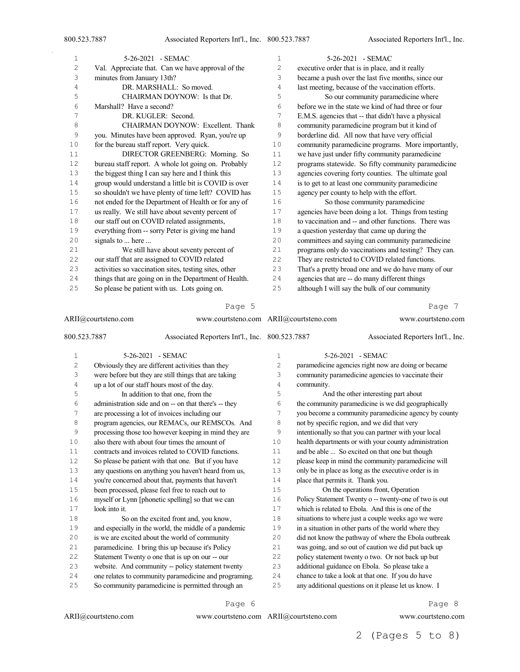| 1  | 5-26-2021 - SEMAC                                     | 1              | 5-26-2021 - SEMAC                                    |
|----|-------------------------------------------------------|----------------|------------------------------------------------------|
| 2  | Val. Appreciate that. Can we have approval of the     | $\overline{c}$ | executive order that is in place, and it really      |
| 3  | minutes from January 13th?                            | 3              | became a push over the last five months, since our   |
| 4  | DR. MARSHALL: So moved.                               | 4              | last meeting, because of the vaccination efforts.    |
| 5  | CHAIRMAN DOYNOW: Is that Dr.                          | 5              | So our community paramedicine where                  |
| 6  | Marshall? Have a second?                              | 6              | before we in the state we kind of had three or four  |
| 7  | DR. KUGLER: Second.                                   | 7              | E.M.S. agencies that -- that didn't have a physical  |
| 8  | CHAIRMAN DOYNOW: Excellent. Thank                     | 8              | community paramedicine program but it kind of        |
| 9  | you. Minutes have been approved. Ryan, you're up      | 9              | borderline did. All now that have very official      |
| 10 | for the bureau staff report. Very quick.              | 10             | community paramedicine programs. More importantly,   |
| 11 | DIRECTOR GREENBERG: Morning. So                       | 11             | we have just under fifty community paramedicine      |
| 12 | bureau staff report. A whole lot going on. Probably   | 12             | programs statewide. So fifty community paramedicine  |
| 13 | the biggest thing I can say here and I think this     | 13             | agencies covering forty counties. The ultimate goal  |
| 14 | group would understand a little bit is COVID is over  | 14             | is to get to at least one community paramedicine     |
| 15 | so shouldn't we have plenty of time left? COVID has   | 15             | agency per county to help with the effort.           |
| 16 | not ended for the Department of Health or for any of  | 16             | So those community paramedicine                      |
| 17 | us really. We still have about seventy percent of     | 17             | agencies have been doing a lot. Things from testing  |
| 18 | our staff out on COVID related assignments,           | 18             | to vaccination and -- and other functions. There was |
| 19 | everything from -- sorry Peter is giving me hand      | 19             | a question yesterday that came up during the         |
| 20 | signals to  here                                      | 20             | committees and saying can community paramedicine     |
| 21 | We still have about seventy percent of                | 21             | programs only do vaccinations and testing? They can. |
| 22 | our staff that are assigned to COVID related          | 22             | They are restricted to COVID related functions.      |
| 23 | activities so vaccination sites, testing sites, other | 23             | That's a pretty broad one and we do have many of our |
| 24 | things that are going on in the Department of Health. | 24             | agencies that are -- do many different things        |
| 25 | So please be patient with us. Lots going on.          | 25             | although I will say the bulk of our community        |
|    | Page 5                                                |                | Page 7                                               |

| ARII@courtsteno.com |               | www.courtsteno.com ARII@courtsteno.com                |    | www.courtsteno.com                                    |
|---------------------|---------------|-------------------------------------------------------|----|-------------------------------------------------------|
| 800.523.7887        |               | Associated Reporters Int'l., Inc. 800.523.7887        |    | Associated Reporters Int'l., Inc.                     |
| 1                   |               | 5-26-2021 - SEMAC                                     | 1  | 5-26-2021 - SEMAC                                     |
| $\overline{c}$      |               | Obviously they are different activities than they     | 2  | paramedicine agencies right now are doing or became   |
| 3                   |               | were before but they are still things that are taking | 3  | community paramedicine agencies to vaccinate their    |
| 4                   |               | up a lot of our staff hours most of the day.          | 4  | community.                                            |
| 5                   |               | In addition to that one, from the                     | 5  | And the other interesting part about                  |
| 6                   |               | administration side and on -- on that there's -- they | 6  | the community paramedicine is we did geographically   |
| 7                   |               | are processing a lot of invoices including our        | 7  | you become a community paramedicine agency by county  |
| 8                   |               | program agencies, our REMACs, our REMSCOs. And        | 8  | not by specific region, and we did that very          |
| 9                   |               | processing those too however keeping in mind they are | 9  | intentionally so that you can partner with your local |
| 10                  |               | also there with about four times the amount of        | 10 | health departments or with your county administration |
| 11                  |               | contracts and invoices related to COVID functions.    | 11 | and be able  So excited on that one but though        |
| 12                  |               | So please be patient with that one. But if you have   | 12 | please keep in mind the community paramedicine will   |
| 13                  |               | any questions on anything you haven't heard from us,  | 13 | only be in place as long as the executive order is in |
| 14                  |               | you're concerned about that, payments that haven't    | 14 | place that permits it. Thank you.                     |
| 15                  |               | been processed, please feel free to reach out to      | 15 | On the operations front, Operation                    |
| 16                  |               | myself or Lynn [phonetic spelling] so that we can     | 16 | Policy Statement Twenty o -- twenty-one of two is out |
| 17                  | look into it. |                                                       | 17 | which is related to Ebola. And this is one of the     |
| 18                  |               | So on the excited front and, you know,                | 18 | situations to where just a couple weeks ago we were   |
| 19                  |               | and especially in the world, the middle of a pandemic | 19 | in a situation in other parts of the world where they |
| 20                  |               | is we are excited about the world of community        | 20 | did not know the pathway of where the Ebola outbreak  |
| 21                  |               | paramedicine. I bring this up because it's Policy     | 21 | was going, and so out of caution we did put back up   |
| 22                  |               | Statement Twenty o one that is up on our -- our       | 22 | policy statement twenty o two. Or not back up but     |
| 23                  |               | website. And community -- policy statement twenty     | 23 | additional guidance on Ebola. So please take a        |
| 24                  |               | one relates to community paramedicine and programing. | 24 | chance to take a look at that one. If you do have     |
| 25                  |               | So community paramedicine is permitted through an     | 25 | any additional questions on it please let us know. I  |

ARII@courtsteno.com www.courtsteno.com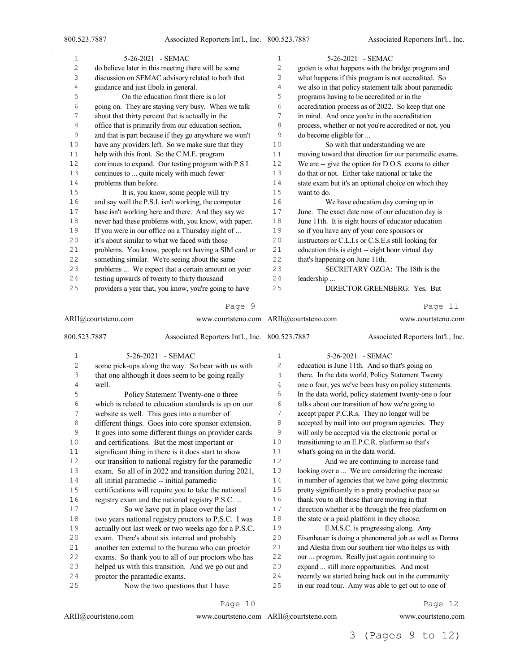| 1  | 5-26-2021 - SEMAC                                     | $\mathbf 1$ | 5-26-2021 - SEMAC                                     |
|----|-------------------------------------------------------|-------------|-------------------------------------------------------|
| 2  | do believe later in this meeting there will be some   | 2           | gotten is what happens with the bridge program and    |
| 3  | discussion on SEMAC advisory related to both that     | 3           | what happens if this program is not accredited. So    |
| 4  | guidance and just Ebola in general.                   | 4           | we also in that policy statement talk about paramedic |
| 5  | On the education front there is a lot                 | 5           | programs having to be accredited or in the            |
| 6  | going on. They are staying very busy. When we talk    | 6           | accreditation process as of 2022. So keep that one    |
| 7  | about that thirty percent that is actually in the     | 7           | in mind. And once you're in the accreditation         |
| 8  | office that is primarily from our education section,  | 8           | process, whether or not you're accredited or not, you |
| 9  | and that is part because if they go anywhere we won't | 9           | do become eligible for                                |
| 10 | have any providers left. So we make sure that they    | 10          | So with that understanding we are                     |
| 11 | help with this front. So the C.M.E. program           | 11          | moving toward that direction for our paramedic exams. |
| 12 | continues to expand. Our testing program with P.S.I.  | 12          | We are -- give the option for D.O.S. exams to either  |
| 13 | continues to  quite nicely with much fewer            | 13          | do that or not. Either take national or take the      |
| 14 | problems than before.                                 | 14          | state exam but it's an optional choice on which they  |
| 15 | It is, you know, some people will try                 | 15          | want to do.                                           |
| 16 | and say well the P.S.I. isn't working, the computer   | 16          | We have education day coming up in                    |
| 17 | base isn't working here and there. And they say we    | 17          | June. The exact date now of our education day is      |
| 18 | never had these problems with, you know, with paper.  | 18          | June 11th. It is eight hours of educator education    |
| 19 | If you were in our office on a Thursday night of      | 19          | so if you have any of your core sponsors or           |
| 20 | it's about similar to what we faced with those        | 20          | instructors or C.L.I.s or C.S.E.s still looking for   |
| 21 | problems. You know, people not having a SIM card or   | 21          | education this is eight -- eight hour virtual day     |
| 22 | something similar. We're seeing about the same        | 22          | that's happening on June 11th.                        |
| 23 | problems  We expect that a certain amount on your     | 23          | SECRETARY OZGA: The 18th is the                       |
| 24 | testing upwards of twenty to thirty thousand          | 24          | leadership                                            |
| 25 | providers a year that, you know, you're going to have | 25          | DIRECTOR GREENBERG: Yes. But                          |
|    | Page 9                                                |             | 11<br>Page                                            |

ARII@courtsteno.com www.courtsteno.com ARII@courtsteno.com www.courtsteno.com

#### 800.523.7887 Associated Reporters Int'l., Inc. 5-26-2021 - SEMAC some pick-ups along the way. So bear with us with that one although it does seem to be going really well. Policy Statement Twenty-one o three which is related to education standards is up on our website as well. This goes into a number of different things. Goes into core sponsor extension. It goes into some different things on provider cards and certifications. But the most important or 11 significant thing in there is it does start to show our transition to national registry for the paramedic exam. So all of in 2022 and transition during 2021, all initial paramedic -- initial paramedic certifications will require you to take the national registry exam and the national registry P.S.C. ... So we have put in place over the last two years national registry proctors to P.S.C. I was actually out last week or two weeks ago for a P.S.C. exam. There's about six internal and probably another ten external to the bureau who can proctor exams. So thank you to all of our proctors who has helped us with this transition. And we go out and Associated Reporters Int'l., Inc. 5-26-2021 - SEMAC education is June 11th. And so that's going on there. In the data world, Policy Statement Twenty one o four, yes we've been busy on policy statements. In the data world, policy statement twenty-one o four talks about our transition of how we're going to accept paper P.C.R.s. They no longer will be accepted by mail into our program agencies. They will only be accepted via the electronic portal or transitioning to an E.P.C.R. platform so that's what's going on in the data world. And we are continuing to increase (and looking over a ... We are considering the increase in number of agencies that we have going electronic pretty significantly in a pretty productive pace so thank you to all those that are moving in that direction whether it be through the free platform on 18 the state or a paid platform in they choose. E.M.S.C. is progressing along. Amy Eisenhauer is doing a phenomenal job as well as Donna and Alesha from our southern tier who helps us with our ... program. Really just again continuing to expand ... still more opportunities. And most

- proctor the paramedic exams.
- Now the two questions that I have
	- Page 10

www.courtsteno.com ARII@courtsteno.com www.courtsteno.com

 recently we started being back out in the community in our road tour. Amy was able to get out to one of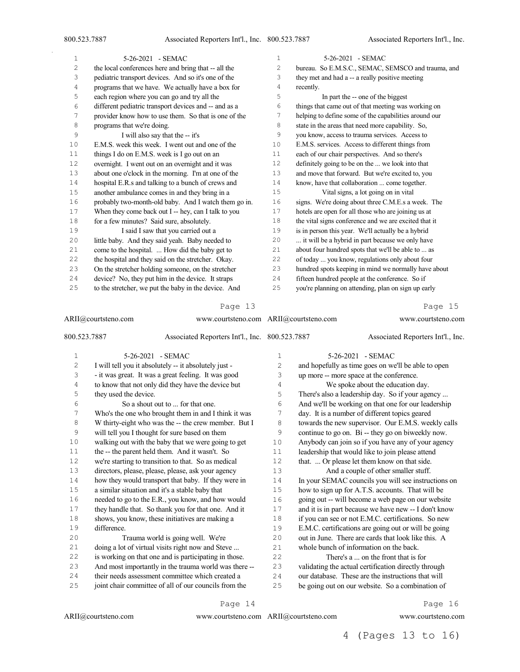$\bar{z}$ 

| 1  | 5-26-2021 - SEMAC                                     | $\mathbf{1}$ | 5-26-2021 - SEMAC                                     |
|----|-------------------------------------------------------|--------------|-------------------------------------------------------|
| 2  | the local conferences here and bring that -- all the  | 2            | bureau. So E.M.S.C., SEMAC, SEMSCO and trauma, and    |
| 3  | pediatric transport devices. And so it's one of the   | 3            | they met and had a -- a really positive meeting       |
| 4  | programs that we have. We actually have a box for     | 4            | recently.                                             |
| 5  | each region where you can go and try all the          | 5            | In part the -- one of the biggest                     |
| 6  | different pediatric transport devices and -- and as a | 6            | things that came out of that meeting was working on   |
| 7  | provider know how to use them. So that is one of the  | 7            | helping to define some of the capabilities around our |
| 8  | programs that we're doing.                            | 8            | state in the areas that need more capability. So,     |
| 9  | I will also say that the -- it's                      | 9            | you know, access to trauma services. Access to        |
| 10 | E.M.S. week this week. I went out and one of the      | 10           | E.M.S. services. Access to different things from      |
| 11 | things I do on E.M.S. week is I go out on an          | 11           | each of our chair perspectives. And so there's        |
| 12 | overnight. I went out on an overnight and it was      | 12           | definitely going to be on the  we look into that      |
| 13 | about one o'clock in the morning. I'm at one of the   | 13           | and move that forward. But we're excited to, you      |
| 14 | hospital E.R.s and talking to a bunch of crews and    | 14           | know, have that collaboration  come together.         |
| 15 | another ambulance comes in and they bring in a        | 15           | Vital signs, a lot going on in vital                  |
| 16 | probably two-month-old baby. And I watch them go in.  | 16           | signs. We're doing about three C.M.E.s a week. The    |
| 17 | When they come back out I -- hey, can I talk to you   | 17           | hotels are open for all those who are joining us at   |
| 18 | for a few minutes? Said sure, absolutely.             | 18           | the vital signs conference and we are excited that it |
| 19 | I said I saw that you carried out a                   | 19           | is in person this year. We'll actually be a hybrid    |
| 20 | little baby. And they said yeah. Baby needed to       | 20           | it will be a hybrid in part because we only have      |
| 21 | come to the hospital.  How did the baby get to        | 21           | about four hundred spots that we'll be able to  as    |
| 22 | the hospital and they said on the stretcher. Okay.    | 22           | of today  you know, regulations only about four       |
| 23 | On the stretcher holding someone, on the stretcher    | 23           | hundred spots keeping in mind we normally have about  |
| 24 | device? No, they put him in the device. It straps     | 24           | fifteen hundred people at the conference. So if       |
| 25 | to the stretcher, we put the baby in the device. And  | 25           | you're planning on attending, plan on sign up early   |

#### Page 13

| ARII@courtsteno.com |                       |                                                       | www.courtsteno.com ARII@courtsteno.com |  | www.courtsteno.com                                    |
|---------------------|-----------------------|-------------------------------------------------------|----------------------------------------|--|-------------------------------------------------------|
| 800.523.7887        |                       | Associated Reporters Int'l., Inc. 800.523.7887        |                                        |  | Associated Reporters Int'l., Inc.                     |
| $\,1\,$             |                       | 5-26-2021 - SEMAC                                     | 1                                      |  | 5-26-2021 - SEMAC                                     |
| 2                   |                       | I will tell you it absolutely -- it absolutely just - | 2                                      |  | and hopefully as time goes on we'll be able to open   |
| 3                   |                       | - it was great. It was a great feeling. It was good   | 3                                      |  | up more -- more space at the conference.              |
| 4                   |                       | to know that not only did they have the device but    | 4                                      |  | We spoke about the education day.                     |
| 5                   | they used the device. |                                                       | 5                                      |  | There's also a leadership day. So if your agency      |
| 6                   |                       | So a shout out to  for that one.                      | 6                                      |  | And we'll be working on that one for our leadership   |
| 7                   |                       | Who's the one who brought them in and I think it was  | 7                                      |  | day. It is a number of different topics geared        |
| $\,8\,$             |                       | W thirty-eight who was the -- the crew member. But I  | 8                                      |  | towards the new supervisor. Our E.M.S. weekly calls   |
| 9                   |                       | will tell you I thought for sure based on them        | 9                                      |  | continue to go on. Bi -- they go on biweekly now.     |
| 10                  |                       | walking out with the baby that we were going to get   | 10                                     |  | Anybody can join so if you have any of your agency    |
| 11                  |                       | the -- the parent held them. And it wasn't. So        | 11                                     |  | leadership that would like to join please attend      |
| 12                  |                       | we're starting to transition to that. So as medical   | 12                                     |  | that.  Or please let them know on that side.          |
| 13                  |                       | directors, please, please, please, ask your agency    | 13                                     |  | And a couple of other smaller stuff.                  |
| 14                  |                       | how they would transport that baby. If they were in   | 14                                     |  | In your SEMAC councils you will see instructions on   |
| 15                  |                       | a similar situation and it's a stable baby that       | 15                                     |  | how to sign up for A.T.S. accounts. That will be      |
| 16                  |                       | needed to go to the E.R., you know, and how would     | 16                                     |  | going out -- will become a web page on our website    |
| 17                  |                       | they handle that. So thank you for that one. And it   | 17                                     |  | and it is in part because we have new -- I don't know |
| 18                  |                       | shows, you know, these initiatives are making a       | 18                                     |  | if you can see or not E.M.C. certifications. So new   |
| 19                  | difference.           |                                                       | 19                                     |  | E.M.C. certifications are going out or will be going  |
| 20                  |                       | Trauma world is going well. We're                     | 20                                     |  | out in June. There are cards that look like this. A   |
| 21                  |                       | doing a lot of virtual visits right now and Steve     | 21                                     |  | whole bunch of information on the back.               |
| 22                  |                       | is working on that one and is participating in those. | 22                                     |  | There's a  on the front that is for                   |
| 23                  |                       | And most importantly in the trauma world was there -- | 23                                     |  | validating the actual certification directly through  |
| 24                  |                       | their needs assessment committee which created a      | 24                                     |  | our database. These are the instructions that will    |
| 25                  |                       | joint chair committee of all of our councils from the | 25                                     |  | be going out on our website. So a combination of      |

Page 14

ARII@courtsteno.com www.courtsteno.com ARII@courtsteno.com

Page 16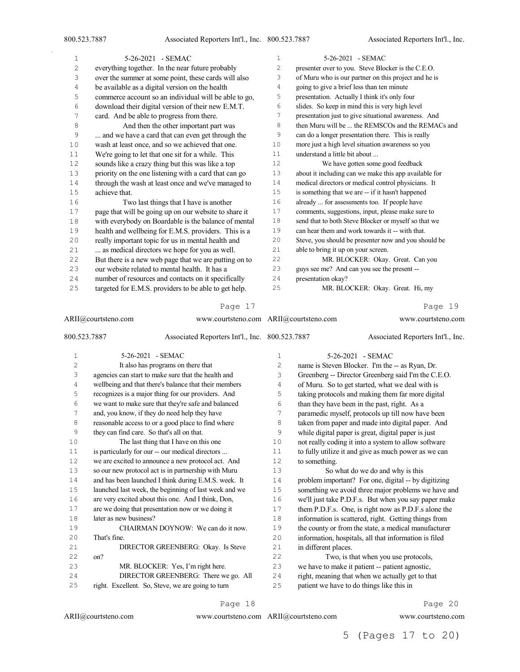| $\mathbf{1}$ | 5-26-2021 - SEMAC                                     | $\mathbf{1}$   | 5-26-2021 - SEMAC                                     |
|--------------|-------------------------------------------------------|----------------|-------------------------------------------------------|
| 2            | everything together. In the near future probably      | $\overline{c}$ | presenter over to you. Steve Blocker is the C.E.O.    |
| 3            | over the summer at some point, these cards will also  | 3              | of Muru who is our partner on this project and he is  |
| 4            | be available as a digital version on the health       | 4              | going to give a brief less than ten minute            |
| 5            | commerce account so an individual will be able to go, | 5              | presentation. Actually I think it's only four         |
| 6            | download their digital version of their new E.M.T.    | 6              | slides. So keep in mind this is very high level       |
| 7            | card. And be able to progress from there.             | 7              | presentation just to give situational awareness. And  |
| 8            | And then the other important part was                 | 8              | then Muru will be  the REMSCOs and the REMACs and     |
| 9            | and we have a card that can even get through the      | 9              | can do a longer presentation there. This is really    |
| 10           | wash at least once, and so we achieved that one.      | 10             | more just a high level situation awareness so you     |
| 11           | We're going to let that one sit for a while. This     | 11             | understand a little bit about                         |
| 12           | sounds like a crazy thing but this was like a top     | 12             | We have gotten some good feedback                     |
| 13           | priority on the one listening with a card that can go | 13             | about it including can we make this app available for |
| 14           | through the wash at least once and we've managed to   | 14             | medical directors or medical control physicians. It   |
| $15$         | achieve that.                                         | 15             | is something that we are -- if it hasn't happened     |
| 16           | Two last things that I have is another                | 16             | already  for assessments too. If people have          |
| $17$         | page that will be going up on our website to share it | 17             | comments, suggestions, input, please make sure to     |
| 18           | with everybody on Boardable is the balance of mental  | 18             | send that to both Steve Blocker or myself so that we  |
| 19           | health and wellbeing for E.M.S. providers. This is a  | 19             | can hear them and work towards it -- with that.       |
| 20           | really important topic for us in mental health and    | 20             | Steve, you should be presenter now and you should be  |
| 21           | as medical directors we hope for you as well.         | 21             | able to bring it up on your screen.                   |
| 22           | But there is a new web page that we are putting on to | 22             | MR. BLOCKER: Okay. Great. Can you                     |
| 23           | our website related to mental health. It has a        | 23             | guys see me? And can you see the present --           |
| 24           | number of resources and contacts on it specifically   | 24             | presentation okay?                                    |
| 25           | targeted for E.M.S. providers to be able to get help. | 25             | MR. BLOCKER: Okay. Great. Hi, my                      |
|              |                                                       |                |                                                       |

| ARII@courtsteno.com |                                            |                                                       | www.courtsteno.com ARII@courtsteno.com |                      | www.courtsteno.com                                    |
|---------------------|--------------------------------------------|-------------------------------------------------------|----------------------------------------|----------------------|-------------------------------------------------------|
| 800.523.7887        |                                            | Associated Reporters Int'l., Inc. 800.523.7887        |                                        |                      | Associated Reporters Int'l., Inc.                     |
| 1                   |                                            | 5-26-2021 - SEMAC                                     | $\mathbf{1}$                           |                      | 5-26-2021 - SEMAC                                     |
| $\overline{c}$      |                                            | It also has programs on there that                    | $\overline{c}$                         |                      | name is Steven Blocker. I'm the -- as Ryan, Dr.       |
| 3                   |                                            | agencies can start to make sure that the health and   | 3                                      |                      | Greenberg -- Director Greenberg said I'm the C.E.O.   |
| 4                   |                                            | wellbeing and that there's balance that their members | 4                                      |                      | of Muru. So to get started, what we deal with is      |
| 5                   |                                            | recognizes is a major thing for our providers. And    | 5                                      |                      | taking protocols and making them far more digital     |
| 6                   |                                            | we want to make sure that they're safe and balanced   | 6                                      |                      | than they have been in the past, right. As a          |
| 7                   |                                            | and, you know, if they do need help they have         | 7                                      |                      | paramedic myself, protocols up till now have been     |
| 8                   |                                            | reasonable access to or a good place to find where    | 8                                      |                      | taken from paper and made into digital paper. And     |
| 9                   | they can find care. So that's all on that. |                                                       | 9                                      |                      | while digital paper is great, digital paper is just   |
| 10                  |                                            | The last thing that I have on this one                | 10                                     |                      | not really coding it into a system to allow software  |
| 11                  |                                            | is particularly for our -- our medical directors      | 11                                     |                      | to fully utilize it and give as much power as we can  |
| 12                  |                                            | we are excited to announce a new protocol act. And    | 12                                     | to something.        |                                                       |
| 13                  |                                            | so our new protocol act is in partnership with Muru   | 13                                     |                      | So what do we do and why is this                      |
| 14                  |                                            | and has been launched I think during E.M.S. week. It  | 14                                     |                      | problem important? For one, digital -- by digitizing  |
| 15                  |                                            | launched last week, the beginning of last week and we | 15                                     |                      | something we avoid three major problems we have and   |
| 16                  |                                            | are very excited about this one. And I think, Don,    | 16                                     |                      | we'll just take P.D.F.s. But when you say paper make  |
| 17                  |                                            | are we doing that presentation now or we doing it     | 17                                     |                      | them P.D.F.s. One, is right now as P.D.F.s alone the  |
| 18                  | later as new business?                     |                                                       | 18                                     |                      | information is scattered, right. Getting things from  |
| 19                  |                                            | CHAIRMAN DOYNOW: We can do it now.                    | 19                                     |                      | the county or from the state, a medical manufacturer  |
| 20                  | That's fine.                               |                                                       | 20                                     |                      | information, hospitals, all that information is filed |
| 21                  |                                            | DIRECTOR GREENBERG: Okay. Is Steve                    | 21                                     | in different places. |                                                       |
| 22                  | on?                                        |                                                       | 22                                     |                      | Two, is that when you use protocols,                  |
| 23                  |                                            | MR. BLOCKER: Yes, I'm right here.                     | 23                                     |                      | we have to make it patient -- patient agnostic,       |
| 24                  |                                            | DIRECTOR GREENBERG: There we go. All                  | 24                                     |                      | right, meaning that when we actually get to that      |
| 25                  |                                            | right. Excellent. So, Steve, we are going to turn     | 25                                     |                      | patient we have to do things like this in             |

Page 18

ARII@courtsteno.com www.courtsteno.com

Page 20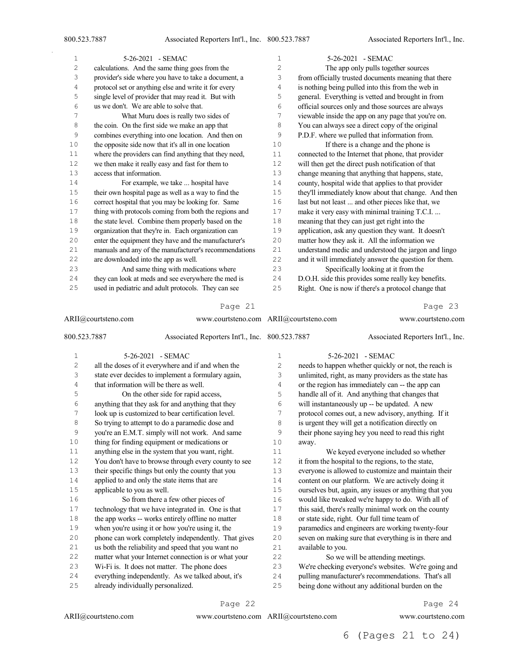$\bar{z}$ 

| $\mathbf{1}$ | 5-26-2021 - SEMAC                                     | 1   | 5-26-2021 - SEMAC                                     |
|--------------|-------------------------------------------------------|-----|-------------------------------------------------------|
| 2            | calculations. And the same thing goes from the        | 2   | The app only pulls together sources                   |
| 3            | provider's side where you have to take a document, a  | 3   | from officially trusted documents meaning that there  |
| 4            | protocol set or anything else and write it for every  | 4   | is nothing being pulled into this from the web in     |
| 5            | single level of provider that may read it. But with   | 5   | general. Everything is vetted and brought in from     |
| 6            | us we don't. We are able to solve that.               | 6   | official sources only and those sources are always    |
| 7            | What Muru does is really two sides of                 | 7   | viewable inside the app on any page that you're on.   |
| 8            | the coin. On the first side we make an app that       | 8   | You can always see a direct copy of the original      |
| 9            | combines everything into one location. And then on    | 9   | P.D.F. where we pulled that information from.         |
| 10           | the opposite side now that it's all in one location   | 10  | If there is a change and the phone is                 |
| 11           | where the providers can find anything that they need, | 11  | connected to the Internet that phone, that provider   |
| 12           | we then make it really easy and fast for them to      | 12  | will then get the direct push notification of that    |
| 13           | access that information.                              | 13  | change meaning that anything that happens, state,     |
| 14           | For example, we take  hospital have                   | 14  | county, hospital wide that applies to that provider   |
| 15           | their own hospital page as well as a way to find the  | 15  | they'll immediately know about that change. And then  |
| 16           | correct hospital that you may be looking for. Same    | 16  | last but not least  and other pieces like that, we    |
| 17           | thing with protocols coming from both the regions and | 17  | make it very easy with minimal training T.C.I.        |
| 18           | the state level. Combine them properly based on the   | 18  | meaning that they can just get right into the         |
| 19           | organization that they're in. Each organization can   | 19  | application, ask any question they want. It doesn't   |
| 20           | enter the equipment they have and the manufacturer's  | 20  | matter how they ask it. All the information we        |
| 21           | manuals and any of the manufacturer's recommendations | 21  | understand medic and understood the jargon and lingo  |
| 22           | are downloaded into the app as well.                  | 2.2 | and it will immediately answer the question for them. |
| 23           | And same thing with medications where                 | 23  | Specifically looking at it from the                   |
| 24           | they can look at meds and see everywhere the med is   | 24  | D.O.H. side this provides some really key benefits.   |
| 25           | used in pediatric and adult protocols. They can see   | 25  | Right. One is now if there's a protocol change that   |

#### Page 21

|                | ARII@courtsteno.com<br>www.courtsteno.com ARII@courtsteno.com |                | www.courtsteno.com                                    |
|----------------|---------------------------------------------------------------|----------------|-------------------------------------------------------|
| 800.523.7887   | Associated Reporters Int'l., Inc. 800.523.7887                |                | Associated Reporters Int'l., Inc.                     |
| $\mathbf 1$    | 5-26-2021 - SEMAC                                             | $\mathbf 1$    | 5-26-2021 - SEMAC                                     |
| $\overline{c}$ | all the doses of it everywhere and if and when the            | $\overline{2}$ | needs to happen whether quickly or not, the reach is  |
| 3              | state ever decides to implement a formulary again,            | 3              | unlimited, right, as many providers as the state has  |
| 4              | that information will be there as well.                       | 4              | or the region has immediately can -- the app can      |
| 5              | On the other side for rapid access,                           | 5              | handle all of it. And anything that changes that      |
| 6              | anything that they ask for and anything that they             | 6              | will instantaneously up -- be updated. A new          |
| 7              | look up is customized to bear certification level.            | 7              | protocol comes out, a new advisory, anything. If it   |
| 8              | So trying to attempt to do a paramedic dose and               | 8              | is urgent they will get a notification directly on    |
| 9              | you're an E.M.T. simply will not work. And same               | 9              | their phone saying hey you need to read this right    |
| 10             | thing for finding equipment or medications or                 | 10             | away.                                                 |
| 11             | anything else in the system that you want, right.             | 11             | We keyed everyone included so whether                 |
| 12             | You don't have to browse through every county to see          | 12             | it from the hospital to the regions, to the state,    |
| 13             | their specific things but only the county that you            | 13             | everyone is allowed to customize and maintain their   |
| 14             | applied to and only the state items that are                  | 14             | content on our platform. We are actively doing it     |
| 15             | applicable to you as well.                                    | 15             | ourselves but, again, any issues or anything that you |
| 16             | So from there a few other pieces of                           | 16             | would like tweaked we're happy to do. With all of     |
| 17             | technology that we have integrated in. One is that            | 17             | this said, there's really minimal work on the county  |
| 18             | the app works -- works entirely offline no matter             | 18             | or state side, right. Our full time team of           |
| 19             | when you're using it or how you're using it, the              | 19             | paramedics and engineers are working twenty-four      |
| 20             | phone can work completely independently. That gives           | 20             | seven on making sure that everything is in there and  |
| 21             | us both the reliability and speed that you want no            | 21             | available to you.                                     |
| 22             | matter what your Internet connection is or what your          | 22             | So we will be attending meetings.                     |
| 23             | Wi-Fi is. It does not matter. The phone does                  | 23             | We're checking everyone's websites. We're going and   |
| 24             | everything independently. As we talked about, it's            | 24             | pulling manufacturer's recommendations. That's all    |
| 25             | already individually personalized.                            | 25             | being done without any additional burden on the       |

Page 22

ARII@courtsteno.com www.courtsteno.com ARII@courtsteno.com

Page 24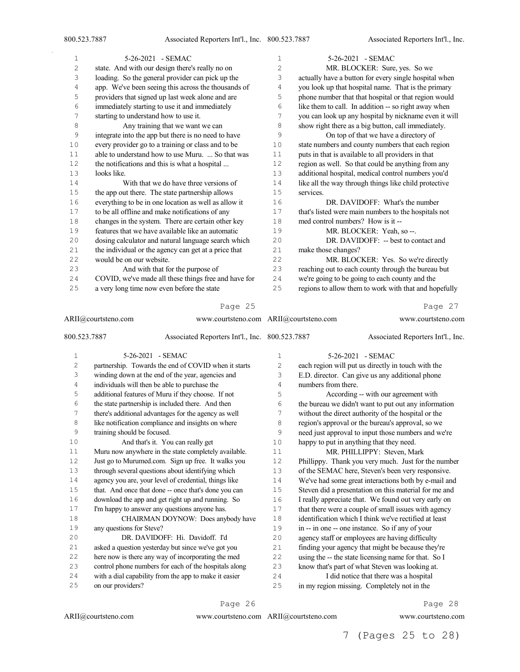| $\mathbf{1}$ | 5-26-2021 - SEMAC                                             | $\mathbf 1$  | 5-26-2021 - SEMAC                                     |
|--------------|---------------------------------------------------------------|--------------|-------------------------------------------------------|
| $\sqrt{2}$   | state. And with our design there's really no on               | $\mathbf{2}$ | MR. BLOCKER: Sure, yes. So we                         |
| 3            | loading. So the general provider can pick up the              | 3            | actually have a button for every single hospital when |
| 4            | app. We've been seeing this across the thousands of           | 4            | you look up that hospital name. That is the primary   |
| 5            | providers that signed up last week alone and are              | 5            | phone number that that hospital or that region would  |
| 6            | immediately starting to use it and immediately                | 6            | like them to call. In addition -- so right away when  |
| 7            | starting to understand how to use it.                         | 7            | you can look up any hospital by nickname even it will |
| $\,8\,$      | Any training that we want we can                              | 8            | show right there as a big button, call immediately.   |
| 9            | integrate into the app but there is no need to have           | 9            | On top of that we have a directory of                 |
| 10           | every provider go to a training or class and to be            | 10           | state numbers and county numbers that each region     |
| 11           | able to understand how to use Muru.  So that was              | 11           | puts in that is available to all providers in that    |
| 12           | the notifications and this is what a hospital                 | 12           | region as well. So that could be anything from any    |
| 13           | looks like.                                                   | 13           | additional hospital, medical control numbers you'd    |
| 14           | With that we do have three versions of                        | 14           | like all the way through things like child protective |
| 15           | the app out there. The state partnership allows               | 15           | services.                                             |
| 16           | everything to be in one location as well as allow it          | 16           | DR. DAVIDOFF: What's the number                       |
| 17           | to be all offline and make notifications of any               | 17           | that's listed were main numbers to the hospitals not  |
| 18           | changes in the system. There are certain other key            | 18           | med control numbers? How is it --                     |
| 19           | features that we have available like an automatic             | 19           | MR. BLOCKER: Yeah, so --.                             |
| 20           | dosing calculator and natural language search which           | 20           | DR. DAVIDOFF: -- best to contact and                  |
| 21           | the individual or the agency can get at a price that          | 21           | make those changes?                                   |
| 22           | would be on our website.                                      | 22           | MR. BLOCKER: Yes. So we're directly                   |
| 23           | And with that for the purpose of                              | 23           | reaching out to each county through the bureau but    |
| 24           | COVID, we've made all these things free and have for          | 24           | we're going to be going to each county and the        |
| 25           | a very long time now even before the state                    | 25           | regions to allow them to work with that and hopefully |
|              | Page 25                                                       |              | Page 27                                               |
|              | ARII@courtsteno.com<br>www.courtsteno.com ARII@courtsteno.com |              | www.courtsteno.com                                    |

#### 800.523.7887 Associated Reporters Int'l., Inc. 5-26-2021 - SEMAC partnership. Towards the end of COVID when it starts winding down at the end of the year, agencies and individuals will then be able to purchase the additional features of Muru if they choose. If not the state partnership is included there. And then there's additional advantages for the agency as well 8 like notification compliance and insights on where training should be focused. Associated Reporters Int'l., Inc. 5-26-2021 - SEMAC each region will put us directly in touch with the E.D. director. Can give us any additional phone numbers from there. According -- with our agreement with the bureau we didn't want to put out any information without the direct authority of the hospital or the region's approval or the bureau's approval, so we need just approval to input those numbers and we're

 And that's it. You can really get Muru now anywhere in the state completely available. Just go to Murumed.com. Sign up free. It walks you through several questions about identifying which agency you are, your level of credential, things like that. And once that done -- once that's done you can download the app and get right up and running. So 17 I'm happy to answer any questions anyone has. CHAIRMAN DOYNOW: Does anybody have any questions for Steve? DR. DAVIDOFF: Hi. Davidoff. I'd asked a question yesterday but since we've got you here now is there any way of incorporating the med control phone numbers for each of the hospitals along with a dial capability from the app to make it easier on our providers? happy to put in anything that they need. MR. PHILLIPPY: Steven, Mark Phillippy. Thank you very much. Just for the number of the SEMAC here, Steven's been very responsive. We've had some great interactions both by e-mail and Steven did a presentation on this material for me and I really appreciate that. We found out very early on 17 that there were a couple of small issues with agency identification which I think we've rectified at least in -- in one -- one instance. So if any of your agency staff or employees are having difficulty finding your agency that might be because they're using the -- the state licensing name for that. So I know that's part of what Steven was looking at. I did notice that there was a hospital in my region missing. Completely not in the

Page 26

www.courtsteno.com ARII@courtsteno.com www.courtsteno.com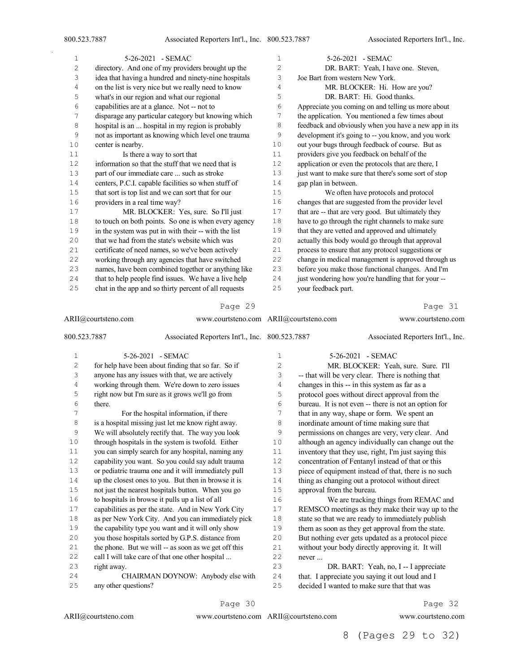$\bar{\gamma}$ 

| 1              | 5-26-2021 - SEMAC                                     | 1              | 5-26-2021 - SEMAC                                     |
|----------------|-------------------------------------------------------|----------------|-------------------------------------------------------|
| $\overline{2}$ | directory. And one of my providers brought up the     | $\overline{c}$ | DR. BART: Yeah, I have one. Steven,                   |
| 3              | idea that having a hundred and ninety-nine hospitals  | 3              | Joe Bart from western New York.                       |
| 4              | on the list is very nice but we really need to know   | 4              | MR. BLOCKER: Hi. How are you?                         |
| 5              | what's in our region and what our regional            | 5              | DR. BART: Hi. Good thanks.                            |
| 6              | capabilities are at a glance. Not -- not to           | 6              | Appreciate you coming on and telling us more about    |
| 7              | disparage any particular category but knowing which   | 7              | the application. You mentioned a few times about      |
| 8              | hospital is an  hospital in my region is probably     | 8              | feedback and obviously when you have a new app in its |
| 9              | not as important as knowing which level one trauma    | 9              | development it's going to -- you know, and you work   |
| 10             | center is nearby.                                     | 10             | out your bugs through feedback of course. But as      |
| 11             | Is there a way to sort that                           | 11             | providers give you feedback on behalf of the          |
| 12             | information so that the stuff that we need that is    | 12             | application or even the protocols that are there, I   |
| 13             | part of our immediate care  such as stroke            | 13             | just want to make sure that there's some sort of stop |
| 14             | centers, P.C.I. capable facilities so when stuff of   | 14             | gap plan in between.                                  |
| 15             | that sort is top list and we can sort that for our    | 15             | We often have protocols and protocol                  |
| 16             | providers in a real time way?                         | 16             | changes that are suggested from the provider level    |
| 17             | MR. BLOCKER: Yes, sure. So I'll just                  | 17             | that are -- that are very good. But ultimately they   |
| 18             | to touch on both points. So one is when every agency  | 18             | have to go through the right channels to make sure    |
| 19             | in the system was put in with their -- with the list  | 19             | that they are vetted and approved and ultimately      |
| 20             | that we had from the state's website which was        | 20             | actually this body would go through that approval     |
| 21             | certificate of need names, so we've been actively     | 21             | process to ensure that any protocol suggestions or    |
| 22             | working through any agencies that have switched       | 22             | change in medical management is approved through us   |
| 23             | names, have been combined together or anything like   | 23             | before you make those functional changes. And I'm     |
| 24             | that to help people find issues. We have a live help  | 24             | just wondering how you're handling that for your --   |
| 25             | chat in the app and so thirty percent of all requests | 25             | your feedback part.                                   |
|                | Page 29                                               |                | Page 31                                               |

# Page 29

| ARII@courtsteno.com |                      | www.courtsteno.com ARII@courtsteno.com               |                 |                           | www.courtsteno.com                                   |
|---------------------|----------------------|------------------------------------------------------|-----------------|---------------------------|------------------------------------------------------|
| 800.523.7887        |                      | Associated Reporters Int'l., Inc. 800.523.7887       |                 |                           | Associated Reporters Int'l., Inc.                    |
| $\mathbf{1}$        |                      | 5-26-2021 - SEMAC                                    | 1               |                           | 5-26-2021 - SEMAC                                    |
| $\mathbf{2}$        |                      | for help have been about finding that so far. So if  | $\overline{2}$  |                           | MR. BLOCKER: Yeah, sure. Sure. I'll                  |
| 3                   |                      | anyone has any issues with that, we are actively     | 3               |                           | -- that will be very clear. There is nothing that    |
| 4                   |                      | working through them. We're down to zero issues      | 4               |                           | changes in this -- in this system as far as a        |
| 5                   |                      | right now but I'm sure as it grows we'll go from     | 5               |                           | protocol goes without direct approval from the       |
| 6                   | there.               |                                                      | 6               |                           | bureau. It is not even -- there is not an option for |
| 7                   |                      | For the hospital information, if there               | 7               |                           | that in any way, shape or form. We spent an          |
| 8                   |                      | is a hospital missing just let me know right away.   | 8               |                           | inordinate amount of time making sure that           |
| $\mathsf 9$         |                      | We will absolutely rectify that. The way you look    | 9               |                           | permissions on changes are very, very clear. And     |
| 10                  |                      | through hospitals in the system is twofold. Either   | 10              |                           | although an agency individually can change out the   |
| 11                  |                      | you can simply search for any hospital, naming any   | 11              |                           | inventory that they use, right, I'm just saying this |
| 12                  |                      | capability you want. So you could say adult trauma   | 12 <sup>°</sup> |                           | concentration of Fentanyl instead of that or this    |
| 13                  |                      | or pediatric trauma one and it will immediately pull | 13              |                           | piece of equipment instead of that, there is no such |
| 14                  |                      | up the closest ones to you. But then in browse it is | 14              |                           | thing as changing out a protocol without direct      |
| $1\,5$              |                      | not just the nearest hospitals button. When you go   | 15              | approval from the bureau. |                                                      |
| 16                  |                      | to hospitals in browse it pulls up a list of all     | 16              |                           | We are tracking things from REMAC and                |
| 17                  |                      | capabilities as per the state. And in New York City  | 17              |                           | REMSCO meetings as they make their way up to the     |
| 18                  |                      | as per New York City. And you can immediately pick   | 18              |                           | state so that we are ready to immediately publish    |
| 19                  |                      | the capability type you want and it will only show   | 19              |                           | them as soon as they get approval from the state.    |
| 20                  |                      | you those hospitals sorted by G.P.S. distance from   | 20              |                           | But nothing ever gets updated as a protocol piece    |
| 21                  |                      | the phone. But we will -- as soon as we get off this | 21              |                           | without your body directly approving it. It will     |
| 22                  |                      | call I will take care of that one other hospital     | 22              | never                     |                                                      |
| 23                  | right away.          |                                                      | 23              |                           | DR. BART: Yeah, no, I -- I appreciate                |
| 24                  |                      | CHAIRMAN DOYNOW: Anybody else with                   | 24              |                           | that. I appreciate you saying it out loud and I      |
| 25                  | any other questions? |                                                      | 25              |                           | decided I wanted to make sure that that was          |

# Page 30

ARII@courtsteno.com www.courtsteno.com ARII@courtsteno.com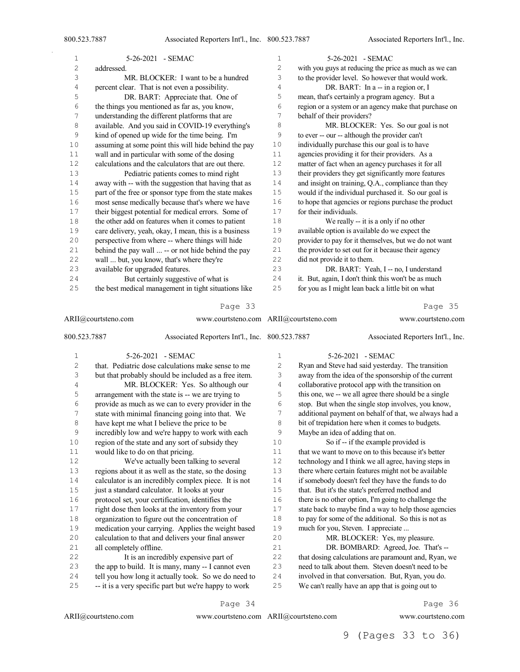| 1              | 5-26-2021 - SEMAC                                             | $\mathbf{1}$   | 5-26-2021 - SEMAC                                     |
|----------------|---------------------------------------------------------------|----------------|-------------------------------------------------------|
| $\overline{c}$ | addressed.                                                    | 2              | with you guys at reducing the price as much as we can |
| 3              | MR. BLOCKER: I want to be a hundred                           | 3              | to the provider level. So however that would work.    |
| $\overline{4}$ | percent clear. That is not even a possibility.                | 4              | DR. BART: In a -- in a region or, I                   |
| 5              | DR. BART: Appreciate that. One of                             | 5              | mean, that's certainly a program agency. But a        |
| 6              | the things you mentioned as far as, you know,                 | 6              | region or a system or an agency make that purchase on |
| 7              | understanding the different platforms that are                | 7              | behalf of their providers?                            |
| 8              | available. And you said in COVID-19 everything's              | 8              | MR. BLOCKER: Yes. So our goal is not                  |
| 9              | kind of opened up wide for the time being. I'm                | 9              | to ever -- our -- although the provider can't         |
| 10             | assuming at some point this will hide behind the pay          | 10             | individually purchase this our goal is to have        |
| 11             | wall and in particular with some of the dosing                | 11             | agencies providing it for their providers. As a       |
| 12             | calculations and the calculators that are out there.          | 12             | matter of fact when an agency purchases it for all    |
| 13             | Pediatric patients comes to mind right                        | 13             | their providers they get significantly more features  |
| 14             | away with -- with the suggestion that having that as          | 14             | and insight on training, Q.A., compliance than they   |
| 15             | part of the free or sponsor type from the state makes         | 15             | would if the individual purchased it. So our goal is  |
| 16             | most sense medically because that's where we have             | 16             | to hope that agencies or regions purchase the product |
| 17             | their biggest potential for medical errors. Some of           | 17             | for their individuals.                                |
| $1\,8$         | the other add on features when it comes to patient            | $1\,8$         | We really -- it is a only if no other                 |
| 19             | care delivery, yeah, okay, I mean, this is a business         | 19             | available option is available do we expect the        |
| 20             | perspective from where -- where things will hide              | 20             | provider to pay for it themselves, but we do not want |
| 21             | behind the pay wall  -- or not hide behind the pay            | 21             | the provider to set out for it because their agency   |
| 22             | wall  but, you know, that's where they're                     | 22             | did not provide it to them.                           |
| 23             | available for upgraded features.                              | 23             | DR. BART: Yeah, I -- no, I understand                 |
| 24             | But certainly suggestive of what is                           | 24             | it. But, again, I don't think this won't be as much   |
| 25             | the best medical management in tight situations like          | 25             | for you as I might lean back a little bit on what     |
|                | Page 33                                                       |                | Page 35                                               |
|                | ARII@courtsteno.com<br>www.courtsteno.com ARII@courtsteno.com |                | www.courtsteno.com                                    |
| 800.523.7887   | Associated Reporters Int'l., Inc. 800.523.7887                |                | Associated Reporters Int'l., Inc.                     |
| 1              | 5-26-2021 - SEMAC                                             | 1              | 5-26-2021 - SEMAC                                     |
| $\overline{c}$ | that. Pediatric dose calculations make sense to me            | $\overline{c}$ | Ryan and Steve had said yesterday. The transition     |

| ۷  | that. Pediatric dose calculations make sense to me    | ۷  | Ryan and Steve had said vesterday. The transition     |
|----|-------------------------------------------------------|----|-------------------------------------------------------|
| 3  | but that probably should be included as a free item.  | 3  | away from the idea of the sponsorship of the current  |
| 4  | MR. BLOCKER: Yes. So although our                     | 4  | collaborative protocol app with the transition on     |
| 5  | arrangement with the state is -- we are trying to     | 5  | this one, we -- we all agree there should be a single |
| 6  | provide as much as we can to every provider in the    | 6  | stop. But when the single stop involves, you know,    |
| 7  | state with minimal financing going into that. We      | 7  | additional payment on behalf of that, we always had a |
| 8  | have kept me what I believe the price to be           | 8  | bit of trepidation here when it comes to budgets.     |
| 9  | incredibly low and we're happy to work with each      | 9  | Maybe an idea of adding that on.                      |
| 10 | region of the state and any sort of subsidy they      | 10 | So if -- if the example provided is                   |
| 11 | would like to do on that pricing.                     | 11 | that we want to move on to this because it's better   |
| 12 | We've actually been talking to several                | 12 | technology and I think we all agree, having steps in  |
| 13 | regions about it as well as the state, so the dosing  | 13 | there where certain features might not be available   |
| 14 | calculator is an incredibly complex piece. It is not  | 14 | if somebody doesn't feel they have the funds to do    |
| 15 | just a standard calculator. It looks at your          | 15 | that. But it's the state's preferred method and       |
| 16 | protocol set, your certification, identifies the      | 16 | there is no other option, I'm going to challenge the  |
| 17 | right dose then looks at the inventory from your      | 17 | state back to maybe find a way to help those agencies |
| 18 | organization to figure out the concentration of       | 18 | to pay for some of the additional. So this is not as  |
| 19 | medication your carrying. Applies the weight based    | 19 | much for you, Steven. I appreciate                    |
| 20 | calculation to that and delivers your final answer    | 20 | MR. BLOCKER: Yes, my pleasure.                        |
| 21 | all completely offline.                               | 21 | DR. BOMBARD: Agreed, Joe. That's --                   |
| 22 | It is an incredibly expensive part of                 | 22 | that dosing calculations are paramount and, Ryan, we  |
| 23 | the app to build. It is many, many -- I cannot even   | 23 | need to talk about them. Steven doesn't need to be    |
| 24 | tell you how long it actually took. So we do need to  | 24 | involved in that conversation. But, Ryan, you do.     |
| 25 | -- it is a very specific part but we're happy to work | 25 | We can't really have an app that is going out to      |
|    | Page 34                                               |    | Page 36                                               |

ARII@courtsteno.com www.courtsteno.com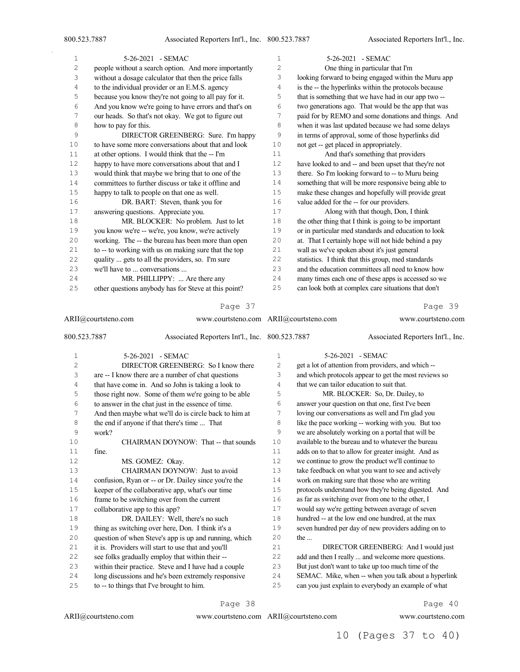$\bar{\gamma}$ 

| 1  | 5-26-2021 - SEMAC                                     | $\mathbf{1}$   | 5-26-2021 - SEMAC                                     |
|----|-------------------------------------------------------|----------------|-------------------------------------------------------|
| 2  | people without a search option. And more importantly  | $\overline{c}$ | One thing in particular that I'm                      |
| 3  | without a dosage calculator that then the price falls | 3              | looking forward to being engaged within the Muru app  |
| 4  | to the individual provider or an E.M.S. agency        | 4              | is the -- the hyperlinks within the protocols because |
| 5  | because you know they're not going to all pay for it. | 5              | that is something that we have had in our app two --  |
| 6  | And you know we're going to have errors and that's on | 6              | two generations ago. That would be the app that was   |
| 7  | our heads. So that's not okay. We got to figure out   | 7              | paid for by REMO and some donations and things. And   |
| 8  | how to pay for this.                                  | 8              | when it was last updated because we had some delays   |
| 9  | DIRECTOR GREENBERG: Sure. I'm happy                   | 9              | in terms of approval, some of those hyperlinks did    |
| 10 | to have some more conversations about that and look   | 10             | not get -- get placed in appropriately.               |
| 11 | at other options. I would think that the -- I'm       | 11             | And that's something that providers                   |
| 12 | happy to have more conversations about that and I     | 12             | have looked to and -- and been upset that they're not |
| 13 | would think that maybe we bring that to one of the    | 13             | there. So I'm looking forward to -- to Muru being     |
| 14 | committees to further discuss or take it offline and  | 14             | something that will be more responsive being able to  |
| 15 | happy to talk to people on that one as well.          | 15             | make these changes and hopefully will provide great   |
| 16 | DR. BART: Steven, thank you for                       | 16             | value added for the -- for our providers.             |
| 17 | answering questions. Appreciate you.                  | 17             | Along with that though, Don, I think                  |
| 18 | MR. BLOCKER: No problem. Just to let                  | 18             | the other thing that I think is going to be important |
| 19 | you know we're -- we're, you know, we're actively     | 19             | or in particular med standards and education to look  |
| 20 | working. The -- the bureau has been more than open    | 20             | at. That I certainly hope will not hide behind a pay  |
| 21 | to -- to working with us on making sure that the top  | 21             | wall as we've spoken about it's just general          |
| 22 | quality  gets to all the providers, so. I'm sure      | 22             | statistics. I think that this group, med standards    |
| 23 | we'll have to  conversations                          | 23             | and the education committees all need to know how     |
| 24 | MR. PHILLIPPY:  Are there any                         | 24             | many times each one of these apps is accessed so we   |
| 25 | other questions anybody has for Steve at this point?  | 25             | can look both at complex care situations that don't   |
|    | Page 37                                               |                | Page 39                                               |

| ARII@courtsteno.com |                                                       | www.courtsteno.com ARII@courtsteno.com |                                            | www.courtsteno.com                                    |
|---------------------|-------------------------------------------------------|----------------------------------------|--------------------------------------------|-------------------------------------------------------|
| 800.523.7887        | Associated Reporters Int'l., Inc. 800.523.7887        |                                        |                                            | Associated Reporters Int'l., Inc.                     |
| $\mathbf{1}$        | 5-26-2021 - SEMAC                                     | 1                                      | 5-26-2021 - SEMAC                          |                                                       |
| $\mathbf{2}$        | DIRECTOR GREENBERG: So I know there                   | $\overline{c}$                         |                                            | get a lot of attention from providers, and which --   |
| 3                   | are -- I know there are a number of chat questions    | 3                                      |                                            | and which protocols appear to get the most reviews so |
| 4                   | that have come in. And so John is taking a look to    | 4                                      | that we can tailor education to suit that. |                                                       |
| 5                   | those right now. Some of them we're going to be able  | 5                                      |                                            | MR. BLOCKER: So, Dr. Dailey, to                       |
| 6                   | to answer in the chat just in the essence of time.    | 6                                      |                                            | answer your question on that one, first I've been     |
| 7                   | And then maybe what we'll do is circle back to him at | 7                                      |                                            | loving our conversations as well and I'm glad you     |
| 8                   | the end if anyone if that there's time  That          | 8                                      |                                            | like the pace working -- working with you. But too    |
| 9                   | work?                                                 | 9                                      |                                            | we are absolutely working on a portal that will be    |
| 10                  | CHAIRMAN DOYNOW: That -- that sounds                  | 10                                     |                                            | available to the bureau and to whatever the bureau    |
| 11                  | fine.                                                 | 11                                     |                                            | adds on to that to allow for greater insight. And as  |
| 12                  | MS. GOMEZ: Okay.                                      | 12                                     |                                            | we continue to grow the product we'll continue to     |
| 13                  | CHAIRMAN DOYNOW: Just to avoid                        | 13                                     |                                            | take feedback on what you want to see and actively    |
| 14                  | confusion, Ryan or -- or Dr. Dailey since you're the  | 14                                     |                                            | work on making sure that those who are writing        |
| 15                  | keeper of the collaborative app, what's our time      | 15                                     |                                            | protocols understand how they're being digested. And  |
| 16                  | frame to be switching over from the current           | 16                                     |                                            | as far as switching over from one to the other, I     |
| 17                  | collaborative app to this app?                        | 17                                     |                                            | would say we're getting between average of seven      |
| 18                  | DR. DAILEY: Well, there's no such                     | 18                                     |                                            | hundred -- at the low end one hundred, at the max     |
| 19                  | thing as switching over here, Don. I think it's a     | 19                                     |                                            | seven hundred per day of new providers adding on to   |
| 20                  | question of when Steve's app is up and running, which | 20                                     | the $\ldots$                               |                                                       |
| 21                  | it is. Providers will start to use that and you'll    | 21                                     |                                            | DIRECTOR GREENBERG: And I would just                  |
| 22                  | see folks gradually employ that within their --       | 22                                     |                                            | add and then I really  and welcome more questions.    |
| 23                  | within their practice. Steve and I have had a couple  | 23                                     |                                            | But just don't want to take up too much time of the   |
| 24                  | long discussions and he's been extremely responsive   | 24                                     |                                            | SEMAC. Mike, when -- when you talk about a hyperlink  |
| 25                  | to -- to things that I've brought to him.             | 25                                     |                                            | can you just explain to everybody an example of what  |

Page 38

ARII@courtsteno.com

www.courtsteno.com ARII@courtsteno.com www.courtsteno.com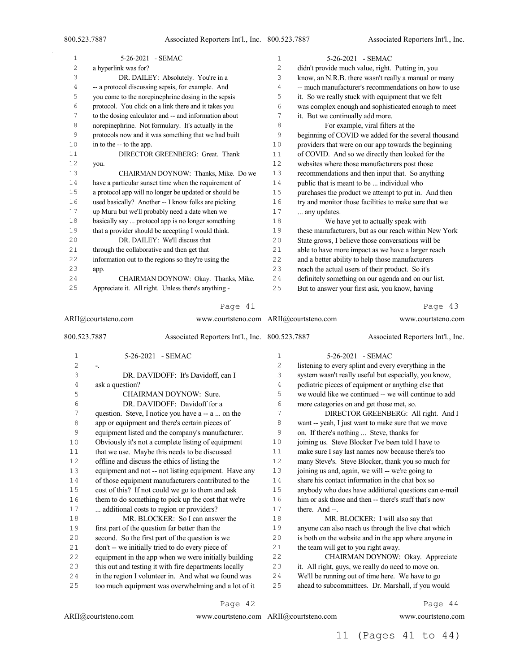Associated Reporters Int'l., Inc.

| $\mathbf 1$    | 5-26-2021 - SEMAC                                              | $\mathbf 1$ | 5-26-2021 - SEMAC                                     |
|----------------|----------------------------------------------------------------|-------------|-------------------------------------------------------|
| $\overline{c}$ | a hyperlink was for?                                           | 2           | didn't provide much value, right. Putting in, you     |
| 3              | DR. DAILEY: Absolutely. You're in a                            | 3           | know, an N.R.B. there wasn't really a manual or many  |
| $\overline{4}$ | -- a protocol discussing sepsis, for example. And              | 4           | -- much manufacturer's recommendations on how to use  |
| 5              | you come to the norepinephrine dosing in the sepsis            | 5           | it. So we really stuck with equipment that we felt    |
| 6              | protocol. You click on a link there and it takes you           | 6           | was complex enough and sophisticated enough to meet   |
| 7              | to the dosing calculator and -- and information about          | 7           | it. But we continually add more.                      |
| 8              | norepinephrine. Not formulary. It's actually in the            | 8           | For example, viral filters at the                     |
| 9              | protocols now and it was something that we had built           | 9           | beginning of COVID we added for the several thousand  |
| 10             | in to the -- to the app.                                       | 10          | providers that were on our app towards the beginning  |
| $1\,1$         | DIRECTOR GREENBERG: Great. Thank                               | 11          | of COVID. And so we directly then looked for the      |
| 12             | you.                                                           | 12          | websites where those manufacturers post those         |
| 13             | CHAIRMAN DOYNOW: Thanks, Mike. Do we                           | 13          | recommendations and then input that. So anything      |
| 14             | have a particular sunset time when the requirement of          | 14          | public that is meant to be  individual who            |
| 15             | a protocol app will no longer be updated or should be          | 15          | purchases the product we attempt to put in. And then  |
| 16             | used basically? Another -- I know folks are picking            | 16          | try and monitor those facilities to make sure that we |
| 17             | up Muru but we'll probably need a date when we                 | 17          | any updates.                                          |
| $1\,8$         | basically say  protocol app is no longer something             | 18          | We have yet to actually speak with                    |
| 19             | that a provider should be accepting I would think.             | 19          | these manufacturers, but as our reach within New York |
| 20             | DR. DAILEY: We'll discuss that                                 | 20          | State grows, I believe those conversations will be    |
| 21             | through the collaborative and then get that                    | 21          | able to have more impact as we have a larger reach    |
| 22             | information out to the regions so they're using the            | 22          | and a better ability to help those manufacturers      |
| 23             | app.                                                           | 23          | reach the actual users of their product. So it's      |
| 24             | CHAIRMAN DOYNOW: Okay. Thanks, Mike.                           | 24          | definitely something on our agenda and on our list.   |
| 25             | Appreciate it. All right. Unless there's anything -            | 25          | But to answer your first ask, you know, having        |
|                | Page 41                                                        |             | Page 43                                               |
|                |                                                                |             |                                                       |
|                | ARII@courtsteno.com<br>www.courtsteno.com ARII@courtsteno.com  |             | www.courtsteno.com                                    |
|                | 800.523.7887<br>Associated Reporters Int'l., Inc. 800.523.7887 |             | Associated Reporters Int'l., Inc.                     |
| 1              | 5-26-2021 - SEMAC                                              | 1           | 5-26-2021 - SEMAC                                     |
| $\overline{c}$ | ۰.                                                             | 2           | listening to every splint and every everything in the |
| 3              | DR. DAVIDOFF: It's Davidoff, can I                             | 3           | system wasn't really useful but especially, you know, |
| $\sqrt{4}$     | ask a question?                                                | 4           | pediatric pieces of equipment or anything else that   |
| 5              | CHAIRMAN DOYNOW: Sure.                                         | 5           | we would like we continued -- we will continue to add |
| 6              | DR. DAVIDOFF: Davidoff for a                                   | 6           | more categories on and get those met, so.             |
| 7              | question. Steve, I notice you have a -- a  on the              | 7           | DIRECTOR GREENBERG: All right. And I                  |
| 8              | app or equipment and there's certain pieces of                 | 8           | want -- yeah, I just want to make sure that we move   |
| 9              | equipment listed and the company's manufacturer.               | 9           | on. If there's nothing  Steve, thanks for             |
| 10             | Obviously it's not a complete listing of equipment             | 10          | joining us. Steve Blocker I've been told I have to    |
| 11             | that we use. Maybe this needs to be discussed                  | 11          | make sure I say last names now because there's too    |
| 12             | offline and discuss the ethics of listing the                  | 12          | many Steve's. Steve Blocker, thank you so much for    |
| 13             | equipment and not -- not listing equipment. Have any           | 13          | joining us and, again, we will -- we're going to      |
| 14             | of those equipment manufacturers contributed to the            | 14          | share his contact information in the chat box so      |
| $15$           | cost of this? If not could we go to them and ask               | 15          | anybody who does have additional questions can e-mail |
| 16             | them to do something to pick up the cost that we're            | 16          | him or ask those and then -- there's stuff that's now |
| 17             | additional costs to region or providers?                       | 17          | there. And --.                                        |
| 18             | MR. BLOCKER: So I can answer the                               | 18          | MR. BLOCKER: I will also say that                     |
| 19             | first part of the question far better than the                 | 19          | anyone can also reach us through the live chat which  |
| 20             | second. So the first part of the question is we                | 20          | is both on the website and in the app where anyone in |
| 21             | don't -- we initially tried to do every piece of               | 21          | the team will get to you right away.                  |
| 22             | equipment in the app when we were initially building           | 22          | CHAIRMAN DOYNOW: Okay. Appreciate                     |
| 23             | this out and testing it with fire departments locally          | 23          | it. All right, guys, we really do need to move on.    |
| 24             | in the region I volunteer in. And what we found was            | 24          | We'll be running out of time here. We have to go      |
|                | too much equipment was overwhelming and a lot of it            | 25          | ahead to subcommittees. Dr. Marshall, if you would    |
| 25             |                                                                |             |                                                       |

Page 42

ARII@courtsteno.com

www.courtsteno.com ARII@courtsteno.com www.courtsteno.com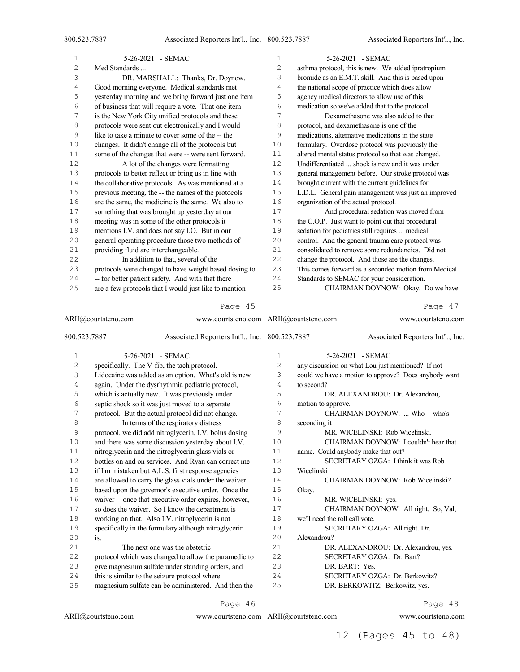$\bar{z}$ 

| 1              | 5-26-2021 - SEMAC                                                                                                                    | $\mathbf 1$  | 5-26-2021 - SEMAC                                    |
|----------------|--------------------------------------------------------------------------------------------------------------------------------------|--------------|------------------------------------------------------|
| $\overline{c}$ | Med Standards                                                                                                                        | 2            | asthma protocol, this is new. We added ipratropium   |
| 3              | DR. MARSHALL: Thanks, Dr. Doynow.                                                                                                    | 3            | bromide as an E.M.T. skill. And this is based upon   |
| 4              | Good morning everyone. Medical standards met                                                                                         | 4            | the national scope of practice which does allow      |
| 5              | yesterday morning and we bring forward just one item                                                                                 | 5            | agency medical directors to allow use of this        |
| 6              | of business that will require a vote. That one item                                                                                  | 6            | medication so we've added that to the protocol.      |
| 7              | is the New York City unified protocols and these                                                                                     | 7            | Dexamethasone was also added to that                 |
| 8              | protocols were sent out electronically and I would                                                                                   | 8            | protocol, and dexamethasone is one of the            |
| 9              | like to take a minute to cover some of the -- the                                                                                    | 9            | medications, alternative medications in the state    |
| 10             | changes. It didn't change all of the protocols but                                                                                   | 10           | formulary. Overdose protocol was previously the      |
| 11             | some of the changes that were -- were sent forward.                                                                                  | 11           | altered mental status protocol so that was changed.  |
| 12             | A lot of the changes were formatting                                                                                                 | 12           | Undifferentiated  shock is new and it was under      |
| 13             | protocols to better reflect or bring us in line with                                                                                 | 13           | general management before. Our stroke protocol was   |
| 14             | the collaborative protocols. As was mentioned at a                                                                                   | 14           | brought current with the current guidelines for      |
| 15             | previous meeting, the -- the names of the protocols                                                                                  | 15           | L.D.L. General pain management was just an improved  |
| 16             | are the same, the medicine is the same. We also to                                                                                   | 16           | organization of the actual protocol.                 |
| 17             | something that was brought up yesterday at our                                                                                       | 17           | And procedural sedation was moved from               |
| 18             | meeting was in some of the other protocols it                                                                                        | 18           | the G.O.P. Just want to point out that procedural    |
| 19             | mentions I.V. and does not say I.O. But in our                                                                                       | 19           | sedation for pediatrics still requires  medical      |
| 20             | general operating procedure those two methods of                                                                                     | 20           | control. And the general trauma care protocol was    |
| 21             | providing fluid are interchangeable.                                                                                                 | 21           | consolidated to remove some redundancies. Did not    |
| 22             | In addition to that, several of the                                                                                                  | 22           | change the protocol. And those are the changes.      |
| 23             | protocols were changed to have weight based dosing to                                                                                | 23           | This comes forward as a seconded motion from Medical |
| 24             | -- for better patient safety. And with that there                                                                                    | 24           | Standards to SEMAC for your consideration.           |
| 25             | are a few protocols that I would just like to mention                                                                                | 25           | CHAIRMAN DOYNOW: Okay. Do we have                    |
|                | Page 45                                                                                                                              |              | Page 47                                              |
|                | ARII@courtsteno.com<br>www.courtsteno.com ARII@courtsteno.com                                                                        |              | www.courtsteno.com                                   |
| 800.523.7887   | Associated Reporters Int'l., Inc. 800.523.7887                                                                                       |              | Associated Reporters Int'l., Inc.                    |
| 1              | 5-26-2021 - SEMAC                                                                                                                    | $\mathbf{1}$ | 5-26-2021 - SEMAC                                    |
| $\sim$         | $\mathcal{C}$ if $\mathcal{D}$ if $\mathcal{D}$ if $\mathcal{D}$ if $\mathcal{D}$ if $\mathcal{D}$ if $\mathcal{D}$ if $\mathcal{D}$ | $\sim$       |                                                      |

| 2  | specifically. The V-fib, the tach protocol.           | $\overline{2}$ | any discussion on what Lou just mentioned? If not    |
|----|-------------------------------------------------------|----------------|------------------------------------------------------|
| 3  | Lidocaine was added as an option. What's old is new   | 3              | could we have a motion to approve? Does anybody want |
| 4  | again. Under the dysrhythmia pediatric protocol,      | 4              | to second?                                           |
| 5  | which is actually new. It was previously under        | 5              | DR. ALEXANDROU: Dr. Alexandrou,                      |
| 6  | septic shock so it was just moved to a separate       | 6              | motion to approve.                                   |
| 7  | protocol. But the actual protocol did not change.     | 7              | CHAIRMAN DOYNOW:  Who -- who's                       |
| 8  | In terms of the respiratory distress                  | 8              | seconding it                                         |
| 9  | protocol, we did add nitroglycerin, I.V. bolus dosing | 9              | MR. WICELINSKI: Rob Wicelinski.                      |
| 10 | and there was some discussion yesterday about I.V.    | 10             | CHAIRMAN DOYNOW: I couldn't hear that                |
| 11 | nitroglycerin and the nitroglycerin glass vials or    | 11             | name. Could anybody make that out?                   |
| 12 | bottles on and on services. And Ryan can correct me   | 12             | SECRETARY OZGA: I think it was Rob                   |
| 13 | if I'm mistaken but A.L.S. first response agencies    | 13             | Wicelinski                                           |
| 14 | are allowed to carry the glass vials under the waiver | 14             | CHAIRMAN DOYNOW: Rob Wicelinski?                     |
| 15 | based upon the governor's executive order. Once the   | 15             | Okay.                                                |
| 16 | waiver -- once that executive order expires, however, | 16             | MR. WICELINSKI: yes.                                 |
| 17 | so does the waiver. So I know the department is       | 17             | CHAIRMAN DOYNOW: All right. So, Val,                 |
| 18 | working on that. Also I.V. nitroglycerin is not       | 18             | we'll need the roll call vote.                       |
| 19 | specifically in the formulary although nitroglycerin  | 19             | SECRETARY OZGA: All right. Dr.                       |
| 20 | is.                                                   | 20             | Alexandrou?                                          |
| 21 | The next one was the obstetric                        | 21             | DR. ALEXANDROU: Dr. Alexandrou, yes.                 |
| 22 | protocol which was changed to allow the paramedic to  | 22             | SECRETARY OZGA: Dr. Bart?                            |
| 23 | give magnesium sulfate under standing orders, and     | 23             | DR. BART: Yes.                                       |
| 24 | this is similar to the seizure protocol where         | 24             | SECRETARY OZGA: Dr. Berkowitz?                       |
| 25 | magnesium sulfate can be administered. And then the   | 25             | DR. BERKOWITZ: Berkowitz, yes.                       |
|    |                                                       |                |                                                      |

Page 46

ARII@courtsteno.com

www.courtsteno.com ARII@courtsteno.com www.courtsteno.com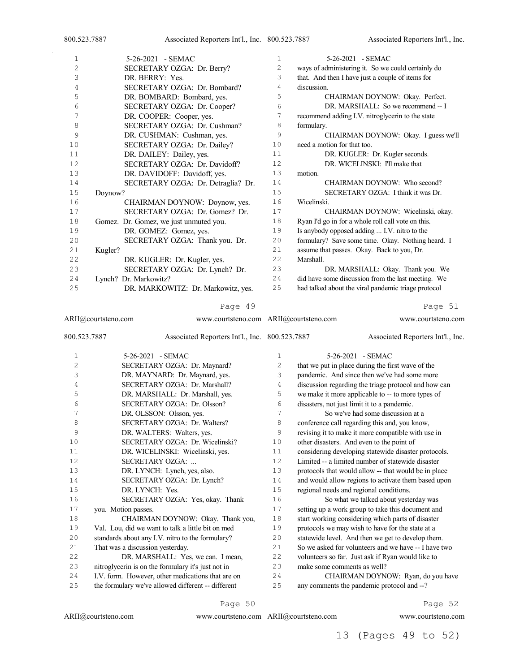| 1              | 5-26-2021 - SEMAC                      | $\mathbf{1}$   | 5-26-2021 - SEMAC                                   |
|----------------|----------------------------------------|----------------|-----------------------------------------------------|
| $\overline{2}$ | SECRETARY OZGA: Dr. Berry?             | $\overline{c}$ | ways of administering it. So we could certainly do  |
| 3              | DR. BERRY: Yes.                        | 3              | that. And then I have just a couple of items for    |
| 4              | SECRETARY OZGA: Dr. Bombard?           | 4              | discussion.                                         |
| 5              | DR. BOMBARD: Bombard, yes.             | 5              | CHAIRMAN DOYNOW: Okay. Perfect.                     |
| 6              | SECRETARY OZGA: Dr. Cooper?            | 6              | DR. MARSHALL: So we recommend -- I                  |
| 7              | DR. COOPER: Cooper, yes.               | 7              | recommend adding I.V. nitroglycerin to the state    |
| 8              | SECRETARY OZGA: Dr. Cushman?           | 8              | formulary.                                          |
| 9              | DR. CUSHMAN: Cushman, yes.             | 9              | CHAIRMAN DOYNOW: Okay. I guess we'll                |
| 10             | SECRETARY OZGA: Dr. Dailey?            | 10             | need a motion for that too.                         |
| 11             | DR. DAILEY: Dailey, yes.               | 11             | DR. KUGLER: Dr. Kugler seconds.                     |
| 12             | SECRETARY OZGA: Dr. Davidoff?          | 12             | DR. WICELINSKI: I'll make that                      |
| 13             | DR. DAVIDOFF: Davidoff, yes.           | 13             | motion.                                             |
| 14             | SECRETARY OZGA: Dr. Detraglia? Dr.     | 14             | CHAIRMAN DOYNOW: Who second?                        |
| 15             | Doynow?                                | 15             | SECRETARY OZGA: I think it was Dr.                  |
| 16             | CHAIRMAN DOYNOW: Doynow, yes.          | 16             | Wicelinski.                                         |
| 17             | SECRETARY OZGA: Dr. Gomez? Dr.         | 17             | CHAIRMAN DOYNOW: Wicelinski, okay.                  |
| 18             | Gomez. Dr. Gomez, we just unmuted you. | 18             | Ryan I'd go in for a whole roll call vote on this.  |
| 19             | DR. GOMEZ: Gomez, yes.                 | 19             | Is anybody opposed adding  I.V. nitro to the        |
| 20             | SECRETARY OZGA: Thank you. Dr.         | 20             | formulary? Save some time. Okay. Nothing heard. I   |
| 21             | Kugler?                                | 21             | assume that passes. Okay. Back to you, Dr.          |
| 22             | DR. KUGLER: Dr. Kugler, yes.           | 22             | Marshall.                                           |
| 23             | SECRETARY OZGA: Dr. Lynch? Dr.         | 23             | DR. MARSHALL: Okay. Thank you. We                   |
| 24             | Lynch? Dr. Markowitz?                  | 24             | did have some discussion from the last meeting. We  |
| 25             | DR. MARKOWITZ: Dr. Markowitz, yes.     | 25             | had talked about the viral pandemic triage protocol |
|                |                                        |                |                                                     |

ARII@courtsteno.com 800.523.7887 Associated Reporters Int'l., Inc. 5-26-2021 - SEMAC SECRETARY OZGA: Dr. Maynard? DR. MAYNARD: Dr. Maynard, yes. SECRETARY OZGA: Dr. Marshall? DR. MARSHALL: Dr. Marshall, yes. SECRETARY OZGA: Dr. Olsson? 7 DR. OLSSON: Olsson, yes. SECRETARY OZGA: Dr. Walters? DR. WALTERS: Walters, yes. SECRETARY OZGA: Dr. Wicelinski? DR. WICELINSKI: Wicelinski, yes. SECRETARY OZGA: ... DR. LYNCH: Lynch, yes, also. 14 SECRETARY OZGA: Dr. Lynch?<br>15 DR. LYNCH: Yes. DR. LYNCH: Yes. SECRETARY OZGA: Yes, okay. Thank you. Motion passes. CHAIRMAN DOYNOW: Okay. Thank you, Val. Lou, did we want to talk a little bit on med standards about any I.V. nitro to the formulary? That was a discussion yesterday. DR. MARSHALL: Yes, we can. I mean, nitroglycerin is on the formulary it's just not in I.V. form. However, other medications that are on the formulary we've allowed different -- different www.courtsteno.com ARII@courtsteno.com www.courtsteno.com Associated Reporters Int'l., Inc. 5-26-2021 - SEMAC that we put in place during the first wave of the pandemic. And since then we've had some more discussion regarding the triage protocol and how can we make it more applicable to -- to more types of disasters, not just limit it to a pandemic. So we've had some discussion at a conference call regarding this and, you know, revising it to make it more compatible with use in other disasters. And even to the point of considering developing statewide disaster protocols. Limited -- a limited number of statewide disaster protocols that would allow -- that would be in place 14 and would allow regions to activate them based upon<br>15 regional needs and regional conditions. regional needs and regional conditions. So what we talked about yesterday was setting up a work group to take this document and start working considering which parts of disaster protocols we may wish to have for the state at a statewide level. And then we get to develop them. So we asked for volunteers and we have -- I have two volunteers so far. Just ask if Ryan would like to make some comments as well? CHAIRMAN DOYNOW: Ryan, do you have any comments the pandemic protocol and --?

#### Page 50

ARII@courtsteno.com

www.courtsteno.com ARII@courtsteno.com www.courtsteno.com

Page 52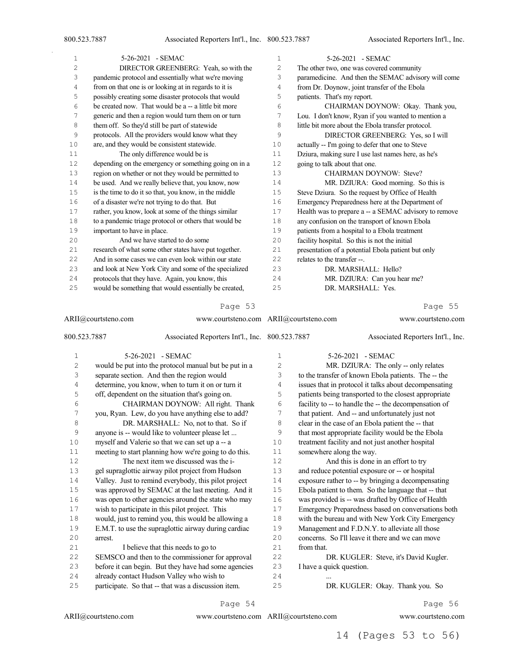$\bar{\gamma}$ 

| $\mathbf{1}$   | $5-26-2021$ - SEMAC                                   | $\mathbf{1}$ | 5-26-2021 - SEMAC                                     |
|----------------|-------------------------------------------------------|--------------|-------------------------------------------------------|
| 2              | DIRECTOR GREENBERG: Yeah, so with the                 | 2            | The other two, one was covered community              |
| 3              | pandemic protocol and essentially what we're moving   | 3            | paramedicine. And then the SEMAC advisory will come   |
| $\overline{4}$ | from on that one is or looking at in regards to it is | 4            | from Dr. Doynow, joint transfer of the Ebola          |
| 5              | possibly creating some disaster protocols that would  | 5            | patients. That's my report.                           |
| 6              | be created now. That would be a -- a little bit more  | 6            | CHAIRMAN DOYNOW: Okay. Thank you,                     |
| 7              | generic and then a region would turn them on or turn  | 7            | Lou. I don't know, Ryan if you wanted to mention a    |
| 8              | them off. So they'd still be part of statewide        | 8            | little bit more about the Ebola transfer protocol.    |
| 9              | protocols. All the providers would know what they     | 9            | DIRECTOR GREENBERG: Yes, so I will                    |
| 10             | are, and they would be consistent statewide.          | 10           | actually -- I'm going to defer that one to Steve      |
| 11             | The only difference would be is                       | 11           | Dziura, making sure I use last names here, as he's    |
| 12             | depending on the emergency or something going on in a | 12           | going to talk about that one.                         |
| 13             | region on whether or not they would be permitted to   | 13           | <b>CHAIRMAN DOYNOW: Steve?</b>                        |
| 14             | be used. And we really believe that, you know, now    | 14           | MR. DZIURA: Good morning. So this is                  |
| 15             | is the time to do it so that, you know, in the middle | 1.5          | Steve Dziura. So the request by Office of Health      |
| 16             | of a disaster we're not trying to do that. But        | 16           | Emergency Preparedness here at the Department of      |
| 17             | rather, you know, look at some of the things similar  | 17           | Health was to prepare a -- a SEMAC advisory to remove |
| 18             | to a pandemic triage protocol or others that would be | 18           | any confusion on the transport of known Ebola         |
| 19             | important to have in place.                           | 19           | patients from a hospital to a Ebola treatment         |
| 20             | And we have started to do some                        | 20           | facility hospital. So this is not the initial         |
| 21             | research of what some other states have put together. | 21           | presentation of a potential Ebola patient but only    |
| 22             | And in some cases we can even look within our state   | 22           | relates to the transfer --.                           |
| 23             | and look at New York City and some of the specialized | 23           | DR. MARSHALL: Hello?                                  |
| 24             | protocols that they have. Again, you know, this       | 24           | MR. DZIURA: Can you hear me?                          |
| 25             | would be something that would essentially be created, | 25           | DR. MARSHALL: Yes.                                    |
|                |                                                       |              |                                                       |

#### Page 53

| ARII@courtsteno.com |         | www.courtsteno.com ARII@courtsteno.com                |                |                          | www.courtsteno.com                                    |
|---------------------|---------|-------------------------------------------------------|----------------|--------------------------|-------------------------------------------------------|
| 800.523.7887        |         | Associated Reporters Int'l., Inc. 800.523.7887        |                |                          | Associated Reporters Int'l., Inc.                     |
| 1                   |         | 5-26-2021 - SEMAC                                     | $\mathbf 1$    |                          | 5-26-2021 - SEMAC                                     |
| $\overline{c}$      |         | would be put into the protocol manual but be put in a | $\overline{2}$ |                          | MR. DZIURA: The only -- only relates                  |
| 3                   |         | separate section. And then the region would           | 3              |                          | to the transfer of known Ebola patients. The -- the   |
| 4                   |         | determine, you know, when to turn it on or turn it    | 4              |                          | issues that in protocol it talks about decompensating |
| 5                   |         | off, dependent on the situation that's going on.      | 5              |                          | patients being transported to the closest appropriate |
| 6                   |         | CHAIRMAN DOYNOW: All right. Thank                     | 6              |                          | facility to -- to handle the -- the decompensation of |
| 7                   |         | you, Ryan. Lew, do you have anything else to add?     | 7              |                          | that patient. And -- and unfortunately just not       |
| 8                   |         | DR. MARSHALL: No, not to that. So if                  | 8              |                          | clear in the case of an Ebola patient the -- that     |
| 9                   |         | anyone is -- would like to volunteer please let       | 9              |                          | that most appropriate facility would be the Ebola     |
| 10                  |         | myself and Valerie so that we can set up a -- a       | 10             |                          | treatment facility and not just another hospital      |
| 11                  |         | meeting to start planning how we're going to do this. | 11             | somewhere along the way. |                                                       |
| 12                  |         | The next item we discussed was the i-                 | 12             |                          | And this is done in an effort to try                  |
| 13                  |         | gel supraglottic airway pilot project from Hudson     | 13             |                          | and reduce potential exposure or -- or hospital       |
| 14                  |         | Valley. Just to remind everybody, this pilot project  | 14             |                          | exposure rather to -- by bringing a decompensating    |
| 15                  |         | was approved by SEMAC at the last meeting. And it     | 15             |                          | Ebola patient to them. So the language that -- that   |
| 16                  |         | was open to other agencies around the state who may   | 16             |                          | was provided is -- was drafted by Office of Health    |
| 17                  |         | wish to participate in this pilot project. This       | 17             |                          | Emergency Preparedness based on conversations both    |
| 18                  |         | would, just to remind you, this would be allowing a   | 18             |                          | with the bureau and with New York City Emergency      |
| 19                  |         | E.M.T. to use the supraglottic airway during cardiac  | 19             |                          | Management and F.D.N.Y. to alleviate all those        |
| 20                  | arrest. |                                                       | 20             |                          | concerns. So I'll leave it there and we can move      |
| 21                  |         | I believe that this needs to go to                    | 21             | from that.               |                                                       |
| 22                  |         | SEMSCO and then to the commissioner for approval      | 22             |                          | DR. KUGLER: Steve, it's David Kugler.                 |
| 23                  |         | before it can begin. But they have had some agencies  | 23             | I have a quick question. |                                                       |
| 24                  |         | already contact Hudson Valley who wish to             | 24             |                          |                                                       |
| 25                  |         | participate. So that -- that was a discussion item.   | 25             |                          | DR. KUGLER: Okay. Thank you. So                       |

#### Page 54

www.courtsteno.com ARII@courtsteno.com www.courtsteno.com

Page 56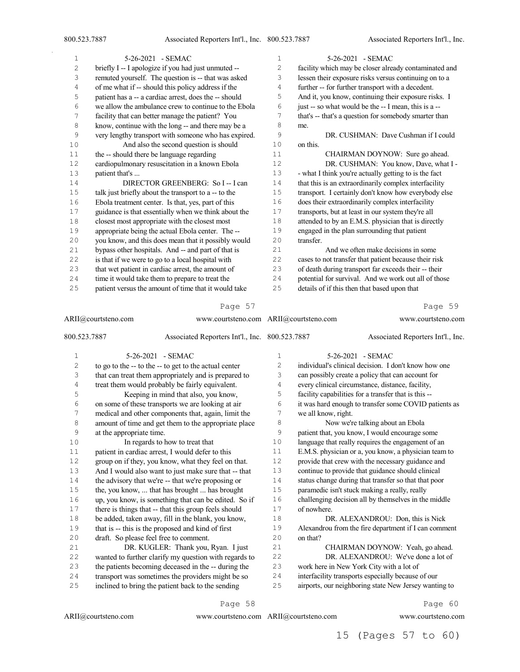$\bar{\gamma}$ 

| 1  | 5-26-2021 - SEMAC                                     | 1   | 5-26-2021 - SEMAC                                     |
|----|-------------------------------------------------------|-----|-------------------------------------------------------|
| 2  | briefly I -- I apologize if you had just unmuted --   | 2   | facility which may be closer already contaminated and |
| 3  | remuted yourself. The question is -- that was asked   | 3   | lessen their exposure risks versus continuing on to a |
| 4  | of me what if -- should this policy address if the    | 4   | further -- for further transport with a decedent.     |
| 5  | patient has a -- a cardiac arrest, does the -- should | 5   | And it, you know, continuing their exposure risks. I  |
| 6  | we allow the ambulance crew to continue to the Ebola  | 6   | just -- so what would be the -- I mean, this is a --  |
| 7  | facility that can better manage the patient? You      | 7   | that's -- that's a question for somebody smarter than |
| 8  | know, continue with the long -- and there may be a    | 8   | me.                                                   |
| 9  | very lengthy transport with someone who has expired.  | 9   | DR. CUSHMAN: Dave Cushman if I could                  |
| 10 | And also the second question is should                | 10  | on this.                                              |
| 11 | the -- should there be language regarding             | 11  | CHAIRMAN DOYNOW: Sure go ahead.                       |
| 12 | cardiopulmonary resuscitation in a known Ebola        | 12  | DR. CUSHMAN: You know, Dave, what I -                 |
| 13 | patient that's                                        | 13  | - what I think you're actually getting to is the fact |
| 14 | DIRECTOR GREENBERG: So I-- I can                      | 14  | that this is an extraordinarily complex interfacility |
| 15 | talk just briefly about the transport to a -- to the  | 15  | transport. I certainly don't know how everybody else  |
| 16 | Ebola treatment center. Is that, yes, part of this    | 16  | does their extraordinarily complex interfacility      |
| 17 | guidance is that essentially when we think about the  | 17  | transports, but at least in our system they're all    |
| 18 | closest most appropriate with the closest most        | 18  | attended to by an E.M.S. physician that is directly   |
| 19 | appropriate being the actual Ebola center. The --     | 19  | engaged in the plan surrounding that patient          |
| 20 | you know, and this does mean that it possibly would   | 2.0 | transfer.                                             |
| 21 | bypass other hospitals. And -- and part of that is    | 21  | And we often make decisions in some                   |
| 22 | is that if we were to go to a local hospital with     | 22  | cases to not transfer that patient because their risk |
| 23 | that wet patient in cardiac arrest, the amount of     | 23  | of death during transport far exceeds their -- their  |
| 24 | time it would take them to prepare to treat the       | 24  | potential for survival. And we work out all of those  |
| 25 | patient versus the amount of time that it would take  | 25  | details of if this then that based upon that          |
|    |                                                       |     |                                                       |

#### Page 57

| ARII@courtsteno.com |                          | www.courtsteno.com ARII@courtsteno.com                |              |                     | www.courtsteno.com                                    |
|---------------------|--------------------------|-------------------------------------------------------|--------------|---------------------|-------------------------------------------------------|
| 800.523.7887        |                          | Associated Reporters Int'l., Inc. 800.523.7887        |              |                     | Associated Reporters Int'l., Inc.                     |
| 1                   |                          | 5-26-2021 - SEMAC                                     | $\mathbf{1}$ |                     | 5-26-2021 - SEMAC                                     |
| $\overline{c}$      |                          | to go to the -- to the -- to get to the actual center | 2            |                     | individual's clinical decision. I don't know how one  |
| 3                   |                          | that can treat them appropriately and is prepared to  | 3            |                     | can possibly create a policy that can account for     |
| 4                   |                          | treat them would probably be fairly equivalent.       | 4            |                     | every clinical circumstance, distance, facility,      |
| 5                   |                          | Keeping in mind that also, you know,                  | 5            |                     | facility capabilities for a transfer that is this --  |
| 6                   |                          | on some of these transports we are looking at air     | 6            |                     | it was hard enough to transfer some COVID patients as |
| 7                   |                          | medical and other components that, again, limit the   | 7            | we all know, right. |                                                       |
| 8                   |                          | amount of time and get them to the appropriate place  | 8            |                     | Now we're talking about an Ebola                      |
| 9                   | at the appropriate time. |                                                       | 9            |                     | patient that, you know, I would encourage some        |
| 10                  |                          | In regards to how to treat that                       | 10           |                     | language that really requires the engagement of an    |
| 11                  |                          | patient in cardiac arrest, I would defer to this      | 11           |                     | E.M.S. physician or a, you know, a physician team to  |
| 12                  |                          | group on if they, you know, what they feel on that.   | 12           |                     | provide that crew with the necessary guidance and     |
| 13                  |                          | And I would also want to just make sure that -- that  | 13           |                     | continue to provide that guidance should clinical     |
| 14                  |                          | the advisory that we're -- that we're proposing or    | 14           |                     | status change during that transfer so that that poor  |
| $1\,5$              |                          | the, you know,  that has brought  has brought         | 15           |                     | paramedic isn't stuck making a really, really         |
| 16                  |                          | up, you know, is something that can be edited. So if  | 16           |                     | challenging decision all by themselves in the middle  |
| 17                  |                          | there is things that -- that this group feels should  | 17           | of nowhere.         |                                                       |
| $1\,8$              |                          | be added, taken away, fill in the blank, you know,    | 18           |                     | DR. ALEXANDROU: Don, this is Nick                     |
| 19                  |                          | that is -- this is the proposed and kind of first     | 19           |                     | Alexandrou from the fire department if I can comment  |
| 20                  |                          | draft. So please feel free to comment.                | 20           | on that?            |                                                       |
| 21                  |                          | DR. KUGLER: Thank you, Ryan. I just                   | 21           |                     | CHAIRMAN DOYNOW: Yeah, go ahead.                      |
| 22                  |                          | wanted to further clarify my question with regards to | 22           |                     | DR. ALEXANDROU: We've done a lot of                   |
| 23                  |                          | the patients becoming deceased in the -- during the   | 23           |                     | work here in New York City with a lot of              |
| 24                  |                          | transport was sometimes the providers might be so     | 24           |                     | interfacility transports especially because of our    |
| 25                  |                          | inclined to bring the patient back to the sending     | 25           |                     | airports, our neighboring state New Jersey wanting to |

ARII@courtsteno.com

www.courtsteno.com ARII@courtsteno.com www.courtsteno.com

Page 58

Page 60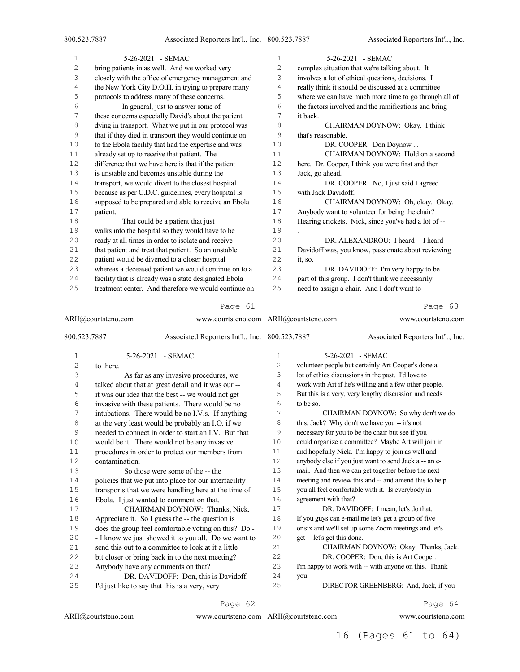Associated Reporters Int'l., Inc.

| 1              | 5-26-2021 - SEMAC                                                                                           | $\mathbf 1$    | 5-26-2021 - SEMAC                                                                                           |
|----------------|-------------------------------------------------------------------------------------------------------------|----------------|-------------------------------------------------------------------------------------------------------------|
| $\mathbf{2}$   | bring patients in as well. And we worked very                                                               | $\mathbf{2}$   | complex situation that we're talking about. It                                                              |
| 3              | closely with the office of emergency management and                                                         | 3              | involves a lot of ethical questions, decisions. I                                                           |
| $\overline{4}$ | the New York City D.O.H. in trying to prepare many                                                          | $\overline{4}$ | really think it should be discussed at a committee                                                          |
| 5              | protocols to address many of these concerns.                                                                | 5              | where we can have much more time to go through all of                                                       |
| 6              | In general, just to answer some of                                                                          | 6              | the factors involved and the ramifications and bring                                                        |
| 7              | these concerns especially David's about the patient                                                         | 7              | it back.                                                                                                    |
| 8              | dying in transport. What we put in our protocol was                                                         | 8              | CHAIRMAN DOYNOW: Okay. I think                                                                              |
| 9              | that if they died in transport they would continue on                                                       | 9              | that's reasonable.                                                                                          |
| 10             | to the Ebola facility that had the expertise and was                                                        | 10             | DR. COOPER: Don Doynow                                                                                      |
| 11             | already set up to receive that patient. The                                                                 | 11             | CHAIRMAN DOYNOW: Hold on a second                                                                           |
| $12$           | difference that we have here is that if the patient                                                         | 12             | here. Dr. Cooper, I think you were first and then                                                           |
| $13\,$         | is unstable and becomes unstable during the                                                                 | 13             | Jack, go ahead.                                                                                             |
| $1\,4$         | transport, we would divert to the closest hospital                                                          | $1\,4$         | DR. COOPER: No, I just said I agreed                                                                        |
| $1\,5$         | because as per C.D.C. guidelines, every hospital is                                                         | 15             | with Jack Davidoff.                                                                                         |
| 16             | supposed to be prepared and able to receive an Ebola                                                        | 16             | CHAIRMAN DOYNOW: Oh, okay. Okay.                                                                            |
| $17$           | patient.                                                                                                    | 17             | Anybody want to volunteer for being the chair?                                                              |
| 18             | That could be a patient that just                                                                           | 18             | Hearing crickets. Nick, since you've had a lot of --                                                        |
| 19             | walks into the hospital so they would have to be                                                            | 19             |                                                                                                             |
| 20             | ready at all times in order to isolate and receive                                                          | 20             | DR. ALEXANDROU: I heard -- I heard                                                                          |
| $2\,1$         | that patient and treat that patient. So an unstable                                                         | 21             | Davidoff was, you know, passionate about reviewing                                                          |
| $2\,2$         | patient would be diverted to a closer hospital                                                              | 22             | it, so.                                                                                                     |
| 23             | whereas a deceased patient we would continue on to a                                                        | 23             | DR. DAVIDOFF: I'm very happy to be                                                                          |
| 24             | facility that is already was a state designated Ebola                                                       | 24             | part of this group. I don't think we necessarily                                                            |
| 25             | treatment center. And therefore we would continue on                                                        | 25             | need to assign a chair. And I don't want to                                                                 |
|                |                                                                                                             |                |                                                                                                             |
|                | Page 61                                                                                                     |                | Page 63                                                                                                     |
|                | ARII@courtsteno.com<br>www.courtsteno.com ARII@courtsteno.com                                               |                |                                                                                                             |
|                |                                                                                                             |                | www.courtsteno.com                                                                                          |
|                |                                                                                                             |                |                                                                                                             |
| 800.523.7887   | Associated Reporters Int'l., Inc. 800.523.7887                                                              |                | Associated Reporters Int'l., Inc.                                                                           |
| 1              | 5-26-2021 - SEMAC                                                                                           | $\mathbf 1$    | 5-26-2021 - SEMAC                                                                                           |
| $\overline{c}$ | to there.                                                                                                   | 2              | volunteer people but certainly Art Cooper's done a                                                          |
| 3              |                                                                                                             | 3              | lot of ethics discussions in the past. I'd love to                                                          |
|                | As far as any invasive procedures, we                                                                       | $\overline{4}$ | work with Art if he's willing and a few other people.                                                       |
| $\overline{4}$ | talked about that at great detail and it was our --                                                         | 5              | But this is a very, very lengthy discussion and needs                                                       |
| 5<br>6         | it was our idea that the best -- we would not get                                                           | 6              | to be so.                                                                                                   |
| 7              | invasive with these patients. There would be no                                                             | 7              | CHAIRMAN DOYNOW: So why don't we do                                                                         |
| 8              | intubations. There would be no I.V.s. If anything                                                           | 8              | this, Jack? Why don't we have you -- it's not                                                               |
|                | at the very least would be probably an I.O. if we                                                           | 9              | necessary for you to be the chair but see if you                                                            |
| 9<br>10        | needed to connect in order to start an I.V. But that                                                        | 10             | could organize a committee? Maybe Art will join in                                                          |
| $1\,1$         | would be it. There would not be any invasive<br>procedures in order to protect our members from             | 11             | and hopefully Nick. I'm happy to join as well and                                                           |
| 12             | contamination.                                                                                              | 12             | anybody else if you just want to send Jack a -- an e-                                                       |
|                | So those were some of the -- the                                                                            | 13             |                                                                                                             |
| 13<br>14       |                                                                                                             | 14             | mail. And then we can get together before the next                                                          |
|                | policies that we put into place for our interfacility                                                       | 15             | meeting and review this and -- and amend this to help<br>you all feel comfortable with it. Is everybody in  |
| $1\,5$         | transports that we were handling here at the time of                                                        |                |                                                                                                             |
| 16<br>$17$     | Ebola. I just wanted to comment on that.                                                                    | 16<br>$17$     | agreement with that?                                                                                        |
| 18             | CHAIRMAN DOYNOW: Thanks, Nick.<br>Appreciate it. So I guess the -- the question is                          | $1\,8$         | DR. DAVIDOFF: I mean, let's do that.                                                                        |
| 19             |                                                                                                             | 19             | If you guys can e-mail me let's get a group of five<br>or six and we'll set up some Zoom meetings and let's |
| $20$           | does the group feel comfortable voting on this? Do -                                                        | 20             | get -- let's get this done.                                                                                 |
| 21             | - I know we just showed it to you all. Do we want to<br>send this out to a committee to look at it a little | 21             | CHAIRMAN DOYNOW: Okay. Thanks, Jack.                                                                        |
| 22             |                                                                                                             | 22             | DR. COOPER: Don, this is Art Cooper.                                                                        |
| 23             | bit closer or bring back in to the next meeting?                                                            | 23             | I'm happy to work with -- with anyone on this. Thank                                                        |
| $2\,4$         | Anybody have any comments on that?<br>DR. DAVIDOFF: Don, this is Davidoff.                                  | $2\,4$         | you.                                                                                                        |
| 25             | I'd just like to say that this is a very, very                                                              | 25             | DIRECTOR GREENBERG: And, Jack, if you                                                                       |

Page 62

 $\mathrm{ARII}\xspace\!\! \mathcal Q\!\mathcal C\!\mathcal O\!\mathit urtsteno.com$ 

ARII@courtsteno.com www.courtsteno.com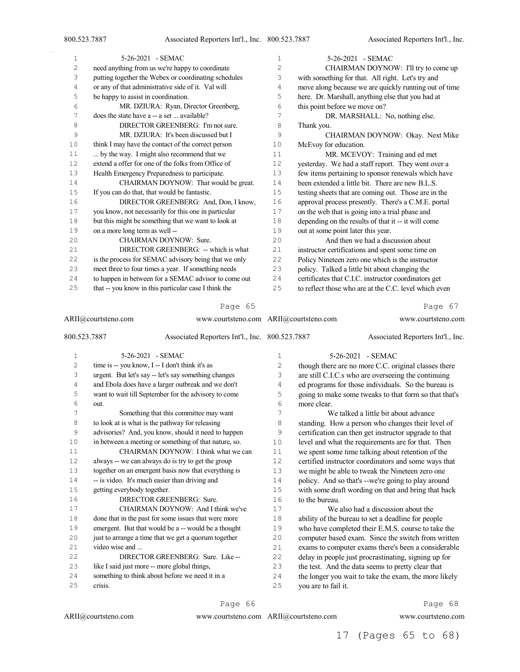$\bar{z}$ 

| 1  | 5-26-2021 - SEMAC                                    | $\mathbf{1}$ | $5-26-2021$ - SEMAC                                   |
|----|------------------------------------------------------|--------------|-------------------------------------------------------|
| 2  | need anything from us we're happy to coordinate      | 2            | CHAIRMAN DOYNOW: I'll try to come up                  |
| 3  | putting together the Webex or coordinating schedules | 3            | with something for that. All right. Let's try and     |
| 4  | or any of that administrative side of it. Val will   | 4            | move along because we are quickly running out of time |
| 5  | be happy to assist in coordination.                  | 5            | here. Dr. Marshall, anything else that you had at     |
| 6  | MR. DZIURA: Ryan, Director Greenberg,                | 6            | this point before we move on?                         |
| 7  | does the state have a -- a set  available?           | 7            | DR. MARSHALL: No, nothing else.                       |
| 8  | DIRECTOR GREENBERG: I'm not sure.                    | 8            | Thank you.                                            |
| 9  | MR. DZIURA: It's been discussed but I                | 9            | CHAIRMAN DOYNOW: Okay. Next Mike                      |
| 10 | think I may have the contact of the correct person   | 10           | McEvoy for education.                                 |
| 11 | by the way. I might also recommend that we           | 11           | MR. MCEVOY: Training and ed met                       |
| 12 | extend a offer for one of the folks from Office of   | 12           | yesterday. We had a staff report. They went over a    |
| 13 | Health Emergency Preparedness to participate.        | 13           | few items pertaining to sponsor renewals which have   |
| 14 | CHAIRMAN DOYNOW: That would be great.                | 14           | been extended a little bit. There are new B.L.S.      |
| 15 | If you can do that, that would be fantastic.         | 15           | testing sheets that are coming out. Those are in the  |
| 16 | DIRECTOR GREENBERG: And, Don, I know,                | 16           | approval process presently. There's a C.M.E. portal   |
| 17 | you know, not necessarily for this one in particular | 17           | on the web that is going into a trial phase and       |
| 18 | but this might be something that we want to look at  | 18           | depending on the results of that it -- it will come   |
| 19 | on a more long term as well --                       | 19           | out at some point later this year.                    |
| 20 | CHAIRMAN DOYNOW: Sure.                               | 2.0          | And then we had a discussion about                    |
| 21 | DIRECTOR GREENBERG: -- which is what                 | 21           | instructor certifications and spent some time on      |
| 22 | is the process for SEMAC advisory being that we only | 22           | Policy Nineteen zero one which is the instructor      |
| 23 | meet three to four times a year. If something needs  | 23           | policy. Talked a little bit about changing the        |
| 24 | to happen in between for a SEMAC advisor to come out | 24           | certificates that C.I.C. instructor coordinators get  |
| 25 | that -- you know in this particular case I think the | 25           | to reflect those who are at the C.C. level which even |
|    |                                                      |              |                                                       |

#### Page 65

| ARII@courtsteno.com |                             | www.courtsteno.com ARII@courtsteno.com                |                | www.courtsteno.com  |                                                       |
|---------------------|-----------------------------|-------------------------------------------------------|----------------|---------------------|-------------------------------------------------------|
| 800.523.7887        |                             | Associated Reporters Int'l., Inc. 800.523.7887        |                |                     | Associated Reporters Int'l., Inc.                     |
| 1                   |                             | 5-26-2021 - SEMAC                                     | 1              |                     | 5-26-2021 - SEMAC                                     |
| $\overline{c}$      |                             | time is -- you know, I -- I don't think it's as       | $\overline{2}$ |                     | though there are no more C.C. original classes there  |
| 3                   |                             | urgent. But let's say -- let's say something changes  | 3              |                     | are still C.I.C.s who are overseeing the continuing   |
| $\sqrt{4}$          |                             | and Ebola does have a larger outbreak and we don't    | 4              |                     | ed programs for those individuals. So the bureau is   |
| 5                   |                             | want to wait till September for the advisory to come  | 5              |                     | going to make some tweaks to that form so that that's |
| 6                   | out.                        |                                                       | 6              | more clear.         |                                                       |
| 7                   |                             | Something that this committee may want                | 7              |                     | We talked a little bit about advance                  |
| 8                   |                             | to look at is what is the pathway for releasing       | 8              |                     | standing. How a person who changes their level of     |
| 9                   |                             | advisories? And, you know, should it need to happen   | 9              |                     | certification can then get instructor upgrade to that |
| 10                  |                             | in between a meeting or something of that nature, so. | 10             |                     | level and what the requirements are for that. Then    |
| 11                  |                             | CHAIRMAN DOYNOW: I think what we can                  | 11             |                     | we spent some time talking about retention of the     |
| 12                  |                             | always -- we can always do is try to get the group    | 12             |                     | certified instructor coordinators and some ways that  |
| 13                  |                             | together on an emergent basis now that everything is  | 13             |                     | we might be able to tweak the Nineteen zero one       |
| 14                  |                             | -- is video. It's much easier than driving and        | 14             |                     | policy. And so that's --we're going to play around    |
| 15                  | getting everybody together. |                                                       | 15             |                     | with some draft wording on that and bring that back   |
| 16                  |                             | DIRECTOR GREENBERG: Sure.                             | 16             | to the bureau.      |                                                       |
| 17                  |                             | CHAIRMAN DOYNOW: And I think we've                    | 17             |                     | We also had a discussion about the                    |
| 18                  |                             | done that in the past for some issues that were more  | 18             |                     | ability of the bureau to set a deadline for people    |
| 19                  |                             | emergent. But that would be a -- would be a thought   | 19             |                     | who have completed their E.M.S. course to take the    |
| 20                  |                             | just to arrange a time that we get a quorum together  | 20             |                     | computer based exam. Since the switch from written    |
| 21                  | video wise and              |                                                       | 21             |                     | exams to computer exams there's been a considerable   |
| 22                  |                             | DIRECTOR GREENBERG: Sure. Like --                     | 22             |                     | delay in people just procrastinating, signing up for  |
| 23                  |                             | like I said just more -- more global things,          | 23             |                     | the test. And the data seems to pretty clear that     |
| 24                  |                             | something to think about before we need it in a       | 24             |                     | the longer you wait to take the exam, the more likely |
| 25                  | crisis.                     |                                                       | 25             | you are to fail it. |                                                       |

ARII@courtsteno.com

www.courtsteno.com ARII@courtsteno.com www.courtsteno.com

Page 66

# Page 68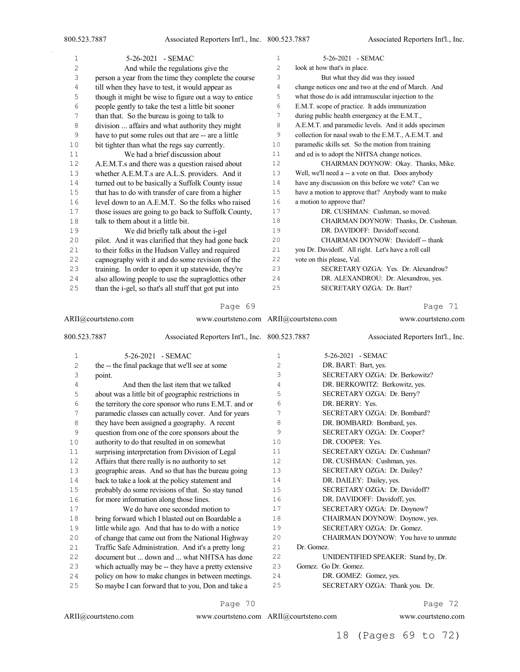| 1  | 5-26-2021 - SEMAC                                     | 1  | 5-26-2021 - SEMAC                                     |
|----|-------------------------------------------------------|----|-------------------------------------------------------|
| 2  | And while the regulations give the                    | 2  | look at how that's in place.                          |
| 3  | person a year from the time they complete the course  | 3  | But what they did was they issued                     |
| 4  | till when they have to test, it would appear as       | 4  | change notices one and two at the end of March. And   |
| 5  | though it might be wise to figure out a way to entice | 5  | what those do is add intramuscular injection to the   |
| 6  | people gently to take the test a little bit sooner    | 6  | E.M.T. scope of practice. It adds immunization        |
| 7  | than that. So the bureau is going to talk to          | 7  | during public health emergency at the E.M.T.,         |
| 8  | division  affairs and what authority they might       | 8  | A.E.M.T. and paramedic levels. And it adds specimen   |
| 9  | have to put some rules out that are -- are a little   | 9  | collection for nasal swab to the E.M.T., A.E.M.T. and |
| 10 | bit tighter than what the regs say currently.         | 10 | paramedic skills set. So the motion from training     |
| 11 | We had a brief discussion about                       | 11 | and ed is to adopt the NHTSA change notices.          |
| 12 | A.E.M.T.s and there was a question raised about       | 12 | CHAIRMAN DOYNOW: Okay. Thanks, Mike.                  |
| 13 | whether A.E.M.T.s are A.L.S. providers. And it        | 13 | Well, we'll need a -- a vote on that. Does anybody    |
| 14 | turned out to be basically a Suffolk County issue     | 14 | have any discussion on this before we vote? Can we    |
| 15 | that has to do with transfer of care from a higher    | 15 | have a motion to approve that? Anybody want to make   |
| 16 | level down to an A.E.M.T. So the folks who raised     | 16 | a motion to approve that?                             |
| 17 | those issues are going to go back to Suffolk County,  | 17 | DR. CUSHMAN: Cushman, so moved.                       |
| 18 | talk to them about it a little bit.                   | 18 | CHAIRMAN DOYNOW: Thanks, Dr. Cushman.                 |
| 19 | We did briefly talk about the i-gel                   | 19 | DR. DAVIDOFF: Davidoff second.                        |
| 20 | pilot. And it was clarified that they had gone back   | 20 | CHAIRMAN DOYNOW: Davidoff -- thank                    |
| 21 | to their folks in the Hudson Valley and required      | 21 | you Dr. Davidoff. All right. Let's have a roll call   |
| 22 | capnography with it and do some revision of the       | 22 | vote on this please, Val.                             |
| 23 | training. In order to open it up statewide, they're   | 23 | SECRETARY OZGA: Yes. Dr. Alexandrou?                  |
| 24 | also allowing people to use the supraglottics other   | 24 | DR. ALEXANDROU: Dr. Alexandrou, yes.                  |
| 25 | than the i-gel, so that's all stuff that got put into | 25 | SECRETARY OZGA: Dr. Bart?                             |

|                | ARII@courtsteno.com                                   | www.courtsteno.com ARII@courtsteno.com |    |            | www.courtsteno.com                  |  |
|----------------|-------------------------------------------------------|----------------------------------------|----|------------|-------------------------------------|--|
| 800.523.7887   | Associated Reporters Int'l., Inc. 800.523.7887        |                                        |    |            | Associated Reporters Int'l., Inc.   |  |
| $\mathbf 1$    | 5-26-2021 - SEMAC                                     |                                        | 1  |            | 5-26-2021 - SEMAC                   |  |
| $\overline{c}$ | the -- the final package that we'll see at some       |                                        | 2  |            | DR. BART: Bart, yes.                |  |
| 3              | point.                                                |                                        | 3  |            | SECRETARY OZGA: Dr. Berkowitz?      |  |
| 4              | And then the last item that we talked                 |                                        | 4  |            | DR. BERKOWITZ: Berkowitz, yes.      |  |
| 5              | about was a little bit of geographic restrictions in  |                                        | 5  |            | SECRETARY OZGA: Dr. Berry?          |  |
| 6              | the territory the core sponsor who runs E.M.T. and or |                                        | 6  |            | DR. BERRY: Yes.                     |  |
| 7              | paramedic classes can actually cover. And for years   |                                        | 7  |            | SECRETARY OZGA: Dr. Bombard?        |  |
| 8              | they have been assigned a geography. A recent         |                                        | 8  |            | DR. BOMBARD: Bombard, yes.          |  |
| 9              | question from one of the core sponsors about the      |                                        | 9  |            | SECRETARY OZGA: Dr. Cooper?         |  |
| 10             | authority to do that resulted in on somewhat          |                                        | 10 |            | DR. COOPER: Yes.                    |  |
| 11             | surprising interpretation from Division of Legal      |                                        | 11 |            | SECRETARY OZGA: Dr. Cushman?        |  |
| 12             | Affairs that there really is no authority to set      |                                        | 12 |            | DR. CUSHMAN: Cushman, yes.          |  |
| 13             | geographic areas. And so that has the bureau going    |                                        | 13 |            | SECRETARY OZGA: Dr. Dailey?         |  |
| 14             | back to take a look at the policy statement and       |                                        | 14 |            | DR. DAILEY: Dailey, yes.            |  |
| 15             | probably do some revisions of that. So stay tuned     |                                        | 15 |            | SECRETARY OZGA: Dr. Davidoff?       |  |
| 16             | for more information along those lines.               |                                        | 16 |            | DR. DAVIDOFF: Davidoff, yes.        |  |
| 17             | We do have one seconded motion to                     |                                        | 17 |            | SECRETARY OZGA: Dr. Doynow?         |  |
| 18             | bring forward which I blasted out on Boardable a      |                                        | 18 |            | CHAIRMAN DOYNOW: Doynow, yes.       |  |
| 19             | little while ago. And that has to do with a notice    |                                        | 19 |            | SECRETARY OZGA: Dr. Gomez.          |  |
| 20             | of change that came out from the National Highway     |                                        | 20 |            | CHAIRMAN DOYNOW: You have to unmute |  |
| 21             | Traffic Safe Administration. And it's a pretty long   |                                        | 21 | Dr. Gomez. |                                     |  |
| 22             | document but  down and  what NHTSA has done           |                                        | 22 |            | UNIDENTIFIED SPEAKER: Stand by, Dr. |  |
| 23             | which actually may be -- they have a pretty extensive |                                        | 23 |            | Gomez. Go Dr. Gomez.                |  |
| 24             | policy on how to make changes in between meetings.    |                                        | 24 |            | DR. GOMEZ: Gomez, yes.              |  |
| 25             | So maybe I can forward that to you, Don and take a    |                                        | 25 |            | SECRETARY OZGA: Thank you. Dr.      |  |
|                |                                                       |                                        |    |            |                                     |  |

#### Page 70

Page 72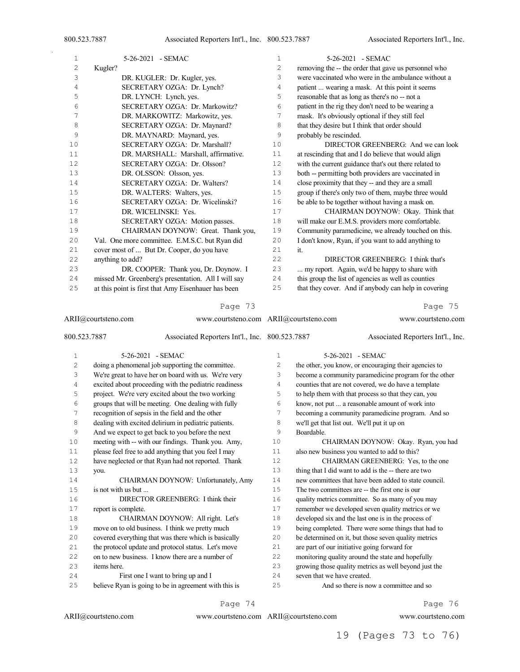| 1  | 5-26-2021 - SEMAC                                   | $\mathbf{1}$ | 5-26-2021 - SEMAC                                     |
|----|-----------------------------------------------------|--------------|-------------------------------------------------------|
| 2  | Kugler?                                             | 2            | removing the -- the order that gave us personnel who  |
| 3  | DR. KUGLER: Dr. Kugler, yes.                        | 3            | were vaccinated who were in the ambulance without a   |
| 4  | SECRETARY OZGA: Dr. Lynch?                          | 4            | patient  wearing a mask. At this point it seems       |
| 5  | DR. LYNCH: Lynch, yes.                              | 5            | reasonable that as long as there's no -- not a        |
| 6  | SECRETARY OZGA: Dr. Markowitz?                      | 6            | patient in the rig they don't need to be wearing a    |
| 7  | DR. MARKOWITZ: Markowitz, yes.                      | 7            | mask. It's obviously optional if they still feel      |
| 8  | SECRETARY OZGA: Dr. Maynard?                        | 8            | that they desire but I think that order should        |
| 9  | DR. MAYNARD: Maynard, yes.                          | 9            | probably be rescinded.                                |
| 10 | SECRETARY OZGA: Dr. Marshall?                       | 10           | DIRECTOR GREENBERG: And we can look                   |
| 11 | DR. MARSHALL: Marshall, affirmative.                | 11           | at rescinding that and I do believe that would align  |
| 12 | SECRETARY OZGA: Dr. Olsson?                         | 12           | with the current guidance that's out there related to |
| 13 | DR. OLSSON: Olsson, yes.                            | 13           | both -- permitting both providers are vaccinated in   |
| 14 | SECRETARY OZGA: Dr. Walters?                        | 14           | close proximity that they -- and they are a small     |
| 15 | DR. WALTERS: Walters, yes.                          | 15           | group if there's only two of them, maybe three would  |
| 16 | SECRETARY OZGA: Dr. Wicelinski?                     | 16           | be able to be together without having a mask on.      |
| 17 | DR. WICELINSKI: Yes.                                | 17           | CHAIRMAN DOYNOW: Okay. Think that                     |
| 18 | SECRETARY OZGA: Motion passes.                      | 18           | will make our E.M.S. providers more comfortable.      |
| 19 | CHAIRMAN DOYNOW: Great. Thank you,                  | 19           | Community paramedicine, we already touched on this.   |
| 20 | Val. One more committee. E.M.S.C. but Ryan did      | 20           | I don't know, Ryan, if you want to add anything to    |
| 21 | cover most of  But Dr. Cooper, do you have          | 21           | it.                                                   |
| 22 | anything to add?                                    | 22           | DIRECTOR GREENBERG: I think that's                    |
| 23 | DR. COOPER: Thank you, Dr. Doynow. I                | 23           | my report. Again, we'd be happy to share with         |
| 24 | missed Mr. Greenberg's presentation. All I will say | 24           | this group the list of agencies as well as counties   |
| 25 | at this point is first that Amy Eisenhauer has been | 25           | that they cover. And if anybody can help in covering  |
|    | Page 73                                             |              | Page 75                                               |

| ARII@courtsteno.com |                                                                |                                                       | www.courtsteno.com ARII@courtsteno.com |                                             | www.courtsteno.com                                    |
|---------------------|----------------------------------------------------------------|-------------------------------------------------------|----------------------------------------|---------------------------------------------|-------------------------------------------------------|
|                     | 800.523.7887<br>Associated Reporters Int'l., Inc. 800.523.7887 |                                                       |                                        |                                             | Associated Reporters Int'l., Inc.                     |
| $\mathbf 1$         |                                                                | 5-26-2021 - SEMAC                                     | 1                                      |                                             | 5-26-2021 - SEMAC                                     |
| $\overline{c}$      |                                                                | doing a phenomenal job supporting the committee.      | $\overline{c}$                         |                                             | the other, you know, or encouraging their agencies to |
| 3                   |                                                                | We're great to have her on board with us. We're very  | 3                                      |                                             | become a community paramedicine program for the other |
| 4                   |                                                                | excited about proceeding with the pediatric readiness | $\overline{4}$                         |                                             | counties that are not covered, we do have a template  |
| 5                   |                                                                | project. We're very excited about the two working     | 5                                      |                                             | to help them with that process so that they can, you  |
| 6                   |                                                                | groups that will be meeting. One dealing with fully   | 6                                      |                                             | know, not put  a reasonable amount of work into       |
| 7                   |                                                                | recognition of sepsis in the field and the other      | 7                                      |                                             | becoming a community paramedicine program. And so     |
| 8                   |                                                                | dealing with excited delirium in pediatric patients.  | 8                                      | we'll get that list out. We'll put it up on |                                                       |
| 9                   |                                                                | And we expect to get back to you before the next      | 9                                      | Boardable.                                  |                                                       |
| 10                  |                                                                | meeting with -- with our findings. Thank you. Amy,    | 10                                     |                                             | CHAIRMAN DOYNOW: Okay. Ryan, you had                  |
| 11                  |                                                                | please feel free to add anything that you feel I may  | 11                                     |                                             | also new business you wanted to add to this?          |
| 12                  |                                                                | have neglected or that Ryan had not reported. Thank   | 12                                     |                                             | CHAIRMAN GREENBERG: Yes, to the one                   |
| 13                  | you.                                                           |                                                       | 13                                     |                                             | thing that I did want to add is the -- there are two  |
| 14                  |                                                                | CHAIRMAN DOYNOW: Unfortunately, Amy                   | 14                                     |                                             | new committees that have been added to state council. |
| 15                  | is not with us but                                             |                                                       | 15                                     |                                             | The two committees are -- the first one is our        |
| 16                  |                                                                | DIRECTOR GREENBERG: I think their                     | 16                                     |                                             | quality metrics committee. So as many of you may      |
| 17                  | report is complete.                                            |                                                       | 17                                     |                                             | remember we developed seven quality metrics or we     |
| 18                  |                                                                | CHAIRMAN DOYNOW: All right. Let's                     | 18                                     |                                             | developed six and the last one is in the process of   |
| 19                  |                                                                | move on to old business. I think we pretty much       | 19                                     |                                             | being completed. There were some things that had to   |
| 20                  |                                                                | covered everything that was there which is basically  | 20                                     |                                             | be determined on it, but those seven quality metrics  |
| 21                  |                                                                | the protocol update and protocol status. Let's move   | 21                                     |                                             | are part of our initiative going forward for          |
| 22                  |                                                                | on to new business. I know there are a number of      | 22                                     |                                             | monitoring quality around the state and hopefully     |
| 23                  | items here.                                                    |                                                       | 23                                     |                                             | growing those quality metrics as well beyond just the |
| 24                  |                                                                | First one I want to bring up and I                    | 24                                     | seven that we have created.                 |                                                       |
| 25                  |                                                                | believe Ryan is going to be in agreement with this is | 25                                     |                                             | And so there is now a committee and so                |

#### Page 74

ARII@courtsteno.com

ARII@courtsteno.com www.courtsteno.com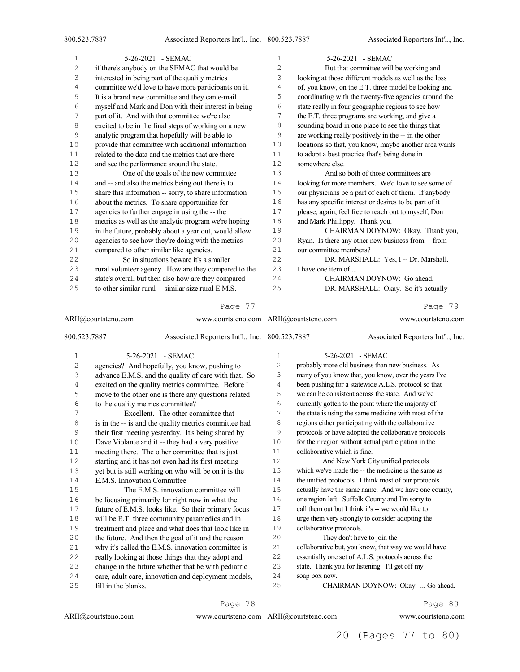| 1  | 5-26-2021 - SEMAC                                     | 1              | 5-26-2021 - SEMAC                                     |
|----|-------------------------------------------------------|----------------|-------------------------------------------------------|
| 2  | if there's anybody on the SEMAC that would be         | $\overline{c}$ | But that committee will be working and                |
| 3  | interested in being part of the quality metrics       | 3              | looking at those different models as well as the loss |
| 4  | committee we'd love to have more participants on it.  | 4              | of, you know, on the E.T. three model be looking and  |
| 5  | It is a brand new committee and they can e-mail       | 5              | coordinating with the twenty-five agencies around the |
| 6  | myself and Mark and Don with their interest in being  | 6              | state really in four geographic regions to see how    |
| 7  | part of it. And with that committee we're also        | 7              | the E.T. three programs are working, and give a       |
| 8  | excited to be in the final steps of working on a new  | 8              | sounding board in one place to see the things that    |
| 9  | analytic program that hopefully will be able to       | 9              | are working really positively in the -- in the other  |
| 10 | provide that committee with additional information    | 10             | locations so that, you know, maybe another area wants |
| 11 | related to the data and the metrics that are there    | 11             | to adopt a best practice that's being done in         |
| 12 | and see the performance around the state.             | 12             | somewhere else.                                       |
| 13 | One of the goals of the new committee                 | 13             | And so both of those committees are                   |
| 14 | and -- and also the metrics being out there is to     | 14             | looking for more members. We'd love to see some of    |
| 15 | share this information -- sorry, to share information | 15             | our physicians be a part of each of them. If anybody  |
| 16 | about the metrics. To share opportunities for         | 16             | has any specific interest or desires to be part of it |
| 17 | agencies to further engage in using the -- the        | 17             | please, again, feel free to reach out to myself, Don  |
| 18 | metrics as well as the analytic program we're hoping  | 18             | and Mark Phillippy. Thank you.                        |
| 19 | in the future, probably about a year out, would allow | 19             | CHAIRMAN DOYNOW: Okay. Thank you,                     |
| 20 | agencies to see how they're doing with the metrics    | 20             | Ryan. Is there any other new business from -- from    |
| 21 | compared to other similar like agencies.              | 21             | our committee members?                                |
| 22 | So in situations beware it's a smaller                | 22             | DR. MARSHALL: Yes, I -- Dr. Marshall.                 |
| 23 | rural volunteer agency. How are they compared to the  | 23             | I have one item of                                    |
| 24 | state's overall but then also how are they compared   | 24             | CHAIRMAN DOYNOW: Go ahead.                            |
| 25 | to other similar rural -- similar size rural E.M.S.   | 25             | DR. MARSHALL: Okay. So it's actually                  |
|    |                                                       |                |                                                       |

| ARII@courtsteno.com |                                   |                                                       | www.courtsteno.com ARII@courtsteno.com |                              | www.courtsteno.com                                    |
|---------------------|-----------------------------------|-------------------------------------------------------|----------------------------------------|------------------------------|-------------------------------------------------------|
| 800.523.7887        |                                   | Associated Reporters Int'l., Inc. 800.523.7887        |                                        |                              | Associated Reporters Int'l., Inc.                     |
| $\mathbf 1$         |                                   | 5-26-2021 - SEMAC                                     | $\mathbf{1}$                           |                              | 5-26-2021 - SEMAC                                     |
| $\overline{c}$      |                                   | agencies? And hopefully, you know, pushing to         | 2                                      |                              | probably more old business than new business. As      |
| 3                   |                                   | advance E.M.S. and the quality of care with that. So  | 3                                      |                              | many of you know that, you know, over the years I've  |
| 4                   |                                   | excited on the quality metrics committee. Before I    | 4                                      |                              | been pushing for a statewide A.L.S. protocol so that  |
| 5                   |                                   | move to the other one is there any questions related  | 5                                      |                              | we can be consistent across the state. And we've      |
| 6                   | to the quality metrics committee? |                                                       | 6                                      |                              | currently gotten to the point where the majority of   |
| 7                   |                                   | Excellent. The other committee that                   | 7                                      |                              | the state is using the same medicine with most of the |
| 8                   |                                   | is in the -- is and the quality metrics committee had | 8                                      |                              | regions either participating with the collaborative   |
| 9                   |                                   | their first meeting yesterday. It's being shared by   | 9                                      |                              | protocols or have adopted the collaborative protocols |
| 10                  |                                   | Dave Violante and it -- they had a very positive      | 10                                     |                              | for their region without actual participation in the  |
| 11                  |                                   | meeting there. The other committee that is just       | 11                                     | collaborative which is fine. |                                                       |
| 12                  |                                   | starting and it has not even had its first meeting    | 12                                     |                              | And New York City unified protocols                   |
| 13                  |                                   | yet but is still working on who will be on it is the  | 13                                     |                              | which we've made the -- the medicine is the same as   |
| 14                  | E.M.S. Innovation Committee       |                                                       | 14                                     |                              | the unified protocols. I think most of our protocols  |
| $15$                |                                   | The E.M.S. innovation committee will                  | 15                                     |                              | actually have the same name. And we have one county,  |
| 16                  |                                   | be focusing primarily for right now in what the       | 16                                     |                              | one region left. Suffolk County and I'm sorry to      |
| 17                  |                                   | future of E.M.S. looks like. So their primary focus   | 17                                     |                              | call them out but I think it's -- we would like to    |
| 18                  |                                   | will be E.T. three community paramedics and in        | 18                                     |                              | urge them very strongly to consider adopting the      |
| 19                  |                                   | treatment and place and what does that look like in   | 19                                     | collaborative protocols.     |                                                       |
| 20                  |                                   | the future. And then the goal of it and the reason    | 20                                     |                              | They don't have to join the                           |
| 21                  |                                   | why it's called the E.M.S. innovation committee is    | 21                                     |                              | collaborative but, you know, that way we would have   |
| 22                  |                                   | really looking at those things that they adopt and    | 22                                     |                              | essentially one set of A.L.S. protocols across the    |
| 23                  |                                   | change in the future whether that be with pediatric   | 23                                     |                              | state. Thank you for listening. I'll get off my       |
| 24                  |                                   | care, adult care, innovation and deployment models,   | 24                                     | soap box now.                |                                                       |
| 25                  | fill in the blanks.               |                                                       | 25                                     |                              | CHAIRMAN DOYNOW: Okay.  Go ahead.                     |

Page 78

Page 80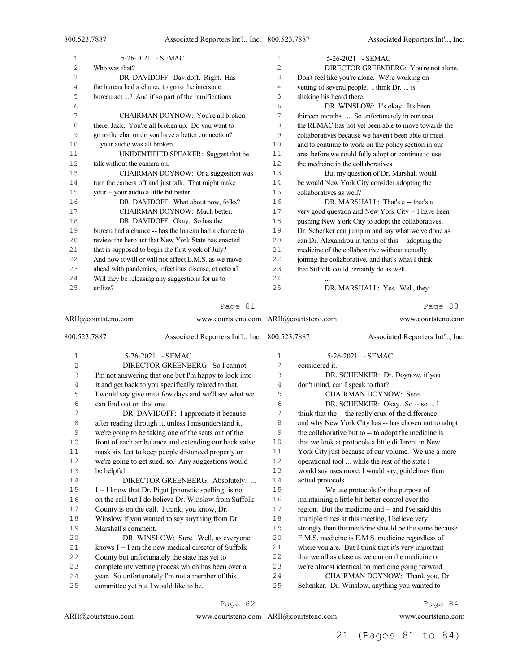Associated Reporters Int'l., Inc.

| $\mathbf 1$ | 5-26-2021 - SEMAC                                     | 1  | 5-26-2021 - SEMAC                                    |
|-------------|-------------------------------------------------------|----|------------------------------------------------------|
| 2           | Who was that?                                         | 2  | DIRECTOR GREENBERG: You're not alone.                |
| 3           | DR. DAVIDOFF: Davidoff. Right. Has                    | 3  | Don't feel like you're alone. We're working on       |
| 4           | the bureau had a chance to go to the interstate       | 4  | vetting of several people. I think Dr.  is           |
| 5           | bureau act ? And if so part of the ramifications      | 5  | shaking his heard there.                             |
| 6           | $\cdots$                                              | 6  | DR. WINSLOW: It's okay. It's been                    |
| 7           | CHAIRMAN DOYNOW: You're all broken                    | 7  | thirteen months.  So unfortunately in our area       |
| 8           | there, Jack. You're all broken up. Do you want to     | 8  | the REMAC has not yet been able to move towards the  |
| 9           | go to the chat or do you have a better connection?    | 9  | collaboratives because we haven't been able to meet  |
| 10          | your audio was all broken.                            | 10 | and to continue to work on the policy section in our |
| 11          | UNIDENTIFIED SPEAKER: Suggest that he                 | 11 | area before we could fully adopt or continue to use  |
| 12          | talk without the camera on.                           | 12 | the medicine in the collaboratives.                  |
| 13          | CHAIRMAN DOYNOW: Or a suggestion was                  | 13 | But my question of Dr. Marshall would                |
| 14          | turn the camera off and just talk. That might make    | 14 | be would New York City consider adopting the         |
| 15          | your -- your audio a little bit better.               | 15 | collaboratives as well?                              |
| 16          | DR. DAVIDOFF: What about now, folks?                  | 16 | DR. MARSHALL: That's a -- that's a                   |
| 17          | CHAIRMAN DOYNOW: Much better.                         | 17 | very good question and New York City -- I have been  |
| 18          | DR. DAVIDOFF: Okay. So has the                        | 18 | pushing New York City to adopt the collaboratives.   |
| 19          | bureau had a chance -- has the bureau had a chance to | 19 | Dr. Schenker can jump in and say what we've done as  |
| 20          | review the hero act that New York State has enacted   | 20 | can Dr. Alexandrou in terms of this -- adopting the  |
| 21          | that is supposed to begin the first week of July?     | 21 | medicine of the collaborative without actually       |
| 22          | And how it will or will not affect E.M.S. as we move  | 22 | joining the collaborative, and that's what I think   |
| 23          | ahead with pandemics, infectious disease, et cetera?  | 23 | that Suffolk could certainly do as well.             |
| 24          | Will they be releasing any suggestions for us to      | 24 |                                                      |
| 25          | utilize?                                              | 25 | DR. MARSHALL: Yes. Well, they                        |
|             | Page 81                                               |    | 83<br>Page                                           |
| $- - - -$   |                                                       |    |                                                      |

ARII@courtsteno.com 800.523.7887 Associated Reporters Int'l., Inc. 5-26-2021 - SEMAC DIRECTOR GREENBERG: So I cannot -- I'm not answering that one but I'm happy to look into it and get back to you specifically related to that. I would say give me a few days and we'll see what we can find out on that one. DR. DAVIDOFF: I appreciate it because after reading through it, unless I misunderstand it, we're going to be taking one of the seats out of the front of each ambulance and extending our back valve mask six feet to keep people distanced properly or we're going to get sued, so. Any suggestions would be helpful. **DIRECTOR GREENBERG:** Absolutely. ... I -- I know that Dr. Pigut [phonetic spelling] is not on the call but I do believe Dr. Winslow from Suffolk County is on the call. I think, you know, Dr. Winslow if you wanted to say anything from Dr. Marshall's comment. DR. WINSLOW: Sure. Well, as everyone knows I -- I am the new medical director of Suffolk County but unfortunately the state has yet to complete my vetting process which has been over a year. So unfortunately I'm not a member of this committee yet but I would like to be. www.courtsteno.com ARII@courtsteno.com www.courtsteno.com Associated Reporters Int'l., Inc. 5-26-2021 - SEMAC considered it. DR. SCHENKER: Dr. Doynow, if you don't mind, can I speak to that? CHAIRMAN DOYNOW: Sure. DR. SCHENKER: Okay. So -- so ... I think that the -- the really crux of the difference 8 and why New York City has -- has chosen not to adopt the collaborative but to -- to adopt the medicine is that we look at protocols a little different in New 11 York City just because of our volume. We use a more operational tool ... while the rest of the state I would say uses more, I would say, guidelines than 14 actual protocols.<br>15 We use We use protocols for the purpose of maintaining a little bit better control over the region. But the medicine and -- and I've said this multiple times at this meeting, I believe very strongly than the medicine should be the same because E.M.S. medicine is E.M.S. medicine regardless of where you are. But I think that it's very important that we all as close as we can on the medicine or we're almost identical on medicine going forward. CHAIRMAN DOYNOW: Thank you, Dr. Schenker. Dr. Winslow, anything you wanted to

Page 82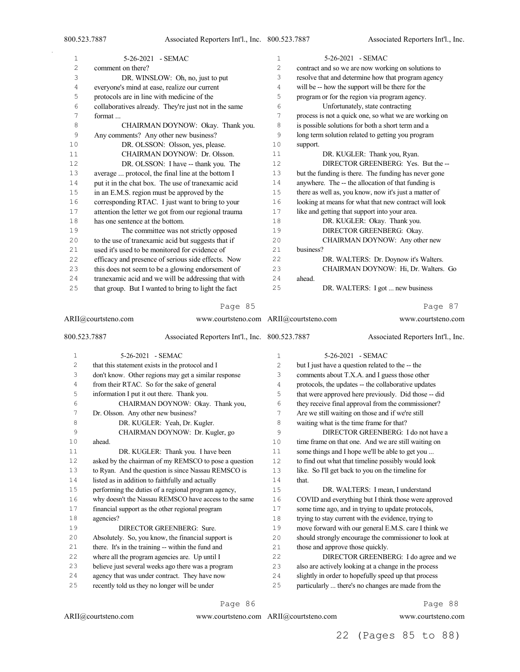$\bar{z}$ 

| $\mathbf{1}$   | 5-26-2021 - SEMAC                                    | $\mathbf 1$    | 5-26-2021 - SEMAC                                     |
|----------------|------------------------------------------------------|----------------|-------------------------------------------------------|
| $\overline{c}$ | comment on there?                                    | $\overline{2}$ | contract and so we are now working on solutions to    |
| 3              | DR. WINSLOW: Oh, no, just to put                     | 3              | resolve that and determine how that program agency    |
| 4              | everyone's mind at ease, realize our current         | 4              | will be -- how the support will be there for the      |
| 5              | protocols are in line with medicine of the           | 5              | program or for the region via program agency.         |
| 6              | collaboratives already. They're just not in the same | 6              | Unfortunately, state contracting                      |
| 7              | format                                               | 7              | process is not a quick one, so what we are working on |
| 8              | CHAIRMAN DOYNOW: Okay. Thank you.                    | 8              | is possible solutions for both a short term and a     |
| 9              | Any comments? Any other new business?                | 9              | long term solution related to getting you program     |
| 10             | DR. OLSSON: Olsson, yes, please.                     | 10             | support.                                              |
| 11             | CHAIRMAN DOYNOW: Dr. Olsson.                         | 11             | DR. KUGLER: Thank you, Ryan.                          |
| 12             | DR. OLSSON: I have -- thank you. The                 | 12             | DIRECTOR GREENBERG: Yes. But the --                   |
| 13             | average  protocol, the final line at the bottom I    | 13             | but the funding is there. The funding has never gone  |
| 14             | put it in the chat box. The use of tranexamic acid   | 14             | anywhere. The -- the allocation of that funding is    |
| 15             | in an E.M.S. region must be approved by the          | 15             | there as well as, you know, now it's just a matter of |
| 16             | corresponding RTAC. I just want to bring to your     | 16             | looking at means for what that new contract will look |
| 17             | attention the letter we got from our regional trauma | 17             | like and getting that support into your area.         |
| 18             | has one sentence at the bottom.                      | 18             | DR. KUGLER: Okay. Thank you.                          |
| 19             | The committee was not strictly opposed               | 19             | DIRECTOR GREENBERG: Okay.                             |
| 20             | to the use of tranexamic acid but suggests that if   | 20             | CHAIRMAN DOYNOW: Any other new                        |
| 21             | used it's used to be monitored for evidence of       | 21             | business?                                             |
| 22             | efficacy and presence of serious side effects. Now   | 22             | DR. WALTERS: Dr. Doynow it's Walters.                 |
| 23             | this does not seem to be a glowing endorsement of    | 23             | CHAIRMAN DOYNOW: Hi, Dr. Walters. Go                  |
| 24             | tranexamic acid and we will be addressing that with  | 24             | ahead.                                                |
| 25             | that group. But I wanted to bring to light the fact  | 25             | DR. WALTERS: I got  new business                      |
|                | Page 85                                              |                | 87<br>Page                                            |

#### Page 85

| ARII@courtsteno.com |                                            | www.courtsteno.com ARII@courtsteno.com                |    |                                          | www.courtsteno.com                                    |  |  |  |  |
|---------------------|--------------------------------------------|-------------------------------------------------------|----|------------------------------------------|-------------------------------------------------------|--|--|--|--|
| 800.523.7887        |                                            | Associated Reporters Int'l., Inc. 800.523.7887        |    |                                          | Associated Reporters Int'l., Inc.                     |  |  |  |  |
| $\mathbf{1}$        |                                            | 5-26-2021 - SEMAC                                     | 1  |                                          | 5-26-2021 - SEMAC                                     |  |  |  |  |
| $\mathbf{2}$        |                                            | that this statement exists in the protocol and I      | 2  |                                          | but I just have a question related to the -- the      |  |  |  |  |
| 3                   |                                            | don't know. Other regions may get a similar response  | 3  |                                          | comments about T.X.A. and I guess those other         |  |  |  |  |
| 4                   |                                            | from their RTAC. So for the sake of general           | 4  |                                          | protocols, the updates -- the collaborative updates   |  |  |  |  |
| 5                   | information I put it out there. Thank you. |                                                       | 5  |                                          | that were approved here previously. Did those -- did  |  |  |  |  |
| 6                   |                                            | CHAIRMAN DOYNOW: Okay. Thank you,                     | 6  |                                          | they receive final approval from the commissioner?    |  |  |  |  |
| 7                   | Dr. Olsson. Any other new business?        |                                                       | 7  |                                          | Are we still waiting on those and if we're still      |  |  |  |  |
| 8                   |                                            | DR. KUGLER: Yeah, Dr. Kugler.                         | 8  | waiting what is the time frame for that? |                                                       |  |  |  |  |
| 9                   |                                            | CHAIRMAN DOYNOW: Dr. Kugler, go                       | 9  |                                          | DIRECTOR GREENBERG: I do not have a                   |  |  |  |  |
| 10                  | ahead.                                     |                                                       | 10 |                                          | time frame on that one. And we are still waiting on   |  |  |  |  |
| 11                  |                                            | DR. KUGLER: Thank you. I have been                    | 11 |                                          | some things and I hope we'll be able to get you       |  |  |  |  |
| 12                  |                                            | asked by the chairman of my REMSCO to pose a question | 12 |                                          | to find out what that timeline possibly would look    |  |  |  |  |
| 13                  |                                            | to Ryan. And the question is since Nassau REMSCO is   | 13 |                                          | like. So I'll get back to you on the timeline for     |  |  |  |  |
| 14                  |                                            | listed as in addition to faithfully and actually      | 14 | that.                                    |                                                       |  |  |  |  |
| 15                  |                                            | performing the duties of a regional program agency,   | 15 |                                          | DR. WALTERS: I mean, I understand                     |  |  |  |  |
| 16                  |                                            | why doesn't the Nassau REMSCO have access to the same | 16 |                                          | COVID and everything but I think those were approved  |  |  |  |  |
| 17                  |                                            | financial support as the other regional program       | 17 |                                          | some time ago, and in trying to update protocols,     |  |  |  |  |
| 18                  | agencies?                                  |                                                       | 18 |                                          | trying to stay current with the evidence, trying to   |  |  |  |  |
| 19                  |                                            | DIRECTOR GREENBERG: Sure.                             | 19 |                                          | move forward with our general E.M.S. care I think we  |  |  |  |  |
| 20                  |                                            | Absolutely. So, you know, the financial support is    | 20 |                                          | should strongly encourage the commissioner to look at |  |  |  |  |
| 21                  |                                            | there. It's in the training -- within the fund and    | 21 | those and approve those quickly.         |                                                       |  |  |  |  |
| 22                  |                                            | where all the program agencies are. Up until I        | 22 |                                          | DIRECTOR GREENBERG: I do agree and we                 |  |  |  |  |
| 23                  |                                            | believe just several weeks ago there was a program    | 23 |                                          | also are actively looking at a change in the process  |  |  |  |  |
| 24                  |                                            | agency that was under contract. They have now         | 24 |                                          | slightly in order to hopefully speed up that process  |  |  |  |  |
| 25                  |                                            | recently told us they no longer will be under         | 25 |                                          | particularly  there's no changes are made from the    |  |  |  |  |

Page 86

www.courtsteno.com ARII@courtsteno.com www.courtsteno.com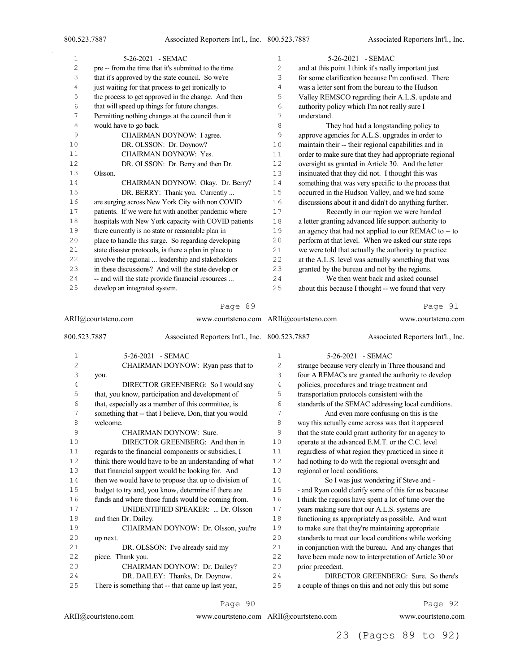| 1  | 5-26-2021 - SEMAC                                     | 1              | 5-26-2021 - SEMAC                                     |
|----|-------------------------------------------------------|----------------|-------------------------------------------------------|
| 2  | pre -- from the time that it's submitted to the time  | $\overline{c}$ | and at this point I think it's really important just  |
| 3  | that it's approved by the state council. So we're     | 3              | for some clarification because I'm confused. There    |
| 4  | just waiting for that process to get ironically to    | 4              | was a letter sent from the bureau to the Hudson       |
| 5  | the process to get approved in the change. And then   | 5              | Valley REMSCO regarding their A.L.S. update and       |
| 6  | that will speed up things for future changes.         | 6              | authority policy which I'm not really sure I          |
| 7  | Permitting nothing changes at the council then it     | 7              | understand.                                           |
| 8  | would have to go back.                                | 8              | They had had a longstanding policy to                 |
| 9  | CHAIRMAN DOYNOW: I agree.                             | 9              | approve agencies for A.L.S. upgrades in order to      |
| 10 | DR. OLSSON: Dr. Doynow?                               | 10             | maintain their -- their regional capabilities and in  |
| 11 | CHAIRMAN DOYNOW: Yes.                                 | 11             | order to make sure that they had appropriate regional |
| 12 | DR. OLSSON: Dr. Berry and then Dr.                    | 12             | oversight as granted in Article 30. And the letter    |
| 13 | Olsson.                                               | 13             | insinuated that they did not. I thought this was      |
| 14 | CHAIRMAN DOYNOW: Okay. Dr. Berry?                     | 14             | something that was very specific to the process that  |
| 15 | DR. BERRY: Thank you. Currently                       | 15             | occurred in the Hudson Valley, and we had some        |
| 16 | are surging across New York City with non COVID       | 16             | discussions about it and didn't do anything further.  |
| 17 | patients. If we were hit with another pandemic where  | 17             | Recently in our region we were handed                 |
| 18 | hospitals with New York capacity with COVID patients  | 18             | a letter granting advanced life support authority to  |
| 19 | there currently is no state or reasonable plan in     | 19             | an agency that had not applied to our REMAC to -- to  |
| 20 | place to handle this surge. So regarding developing   | 20             | perform at that level. When we asked our state reps   |
| 21 | state disaster protocols, is there a plan in place to | 21             | we were told that actually the authority to practice  |
| 22 | involve the regional  leadership and stakeholders     | 22             | at the A.L.S. level was actually something that was   |
| 23 | in these discussions? And will the state develop or   | 23             | granted by the bureau and not by the regions.         |
| 24 | -- and will the state provide financial resources     | 24             | We then went back and asked counsel                   |
| 25 | develop an integrated system.                         | 25             | about this because I thought -- we found that very    |

|              | ARII@courtsteno.com  | www.courtsteno.com ARII@courtsteno.com                |    |                               | www.courtsteno.com                                    |
|--------------|----------------------|-------------------------------------------------------|----|-------------------------------|-------------------------------------------------------|
| 800.523.7887 |                      | Associated Reporters Int'l., Inc. 800.523.7887        |    |                               | Associated Reporters Int'l., Inc.                     |
| $\mathbf 1$  |                      | 5-26-2021 - SEMAC                                     | 1  |                               | 5-26-2021 - SEMAC                                     |
| 2            |                      | CHAIRMAN DOYNOW: Ryan pass that to                    | 2  |                               | strange because very clearly in Three thousand and    |
| 3            | you.                 |                                                       | 3  |                               | four A REMACs are granted the authority to develop    |
| 4            |                      | DIRECTOR GREENBERG: So I would say                    | 4  |                               | policies, procedures and triage treatment and         |
| 5            |                      | that, you know, participation and development of      | 5  |                               | transportation protocols consistent with the          |
| 6            |                      | that, especially as a member of this committee, is    | 6  |                               | standards of the SEMAC addressing local conditions.   |
| 7            |                      | something that -- that I believe, Don, that you would | 7  |                               | And even more confusing on this is the                |
| 8            | welcome.             |                                                       | 8  |                               | way this actually came across was that it appeared    |
| 9            |                      | CHAIRMAN DOYNOW: Sure.                                | 9  |                               | that the state could grant authority for an agency to |
| 10           |                      | DIRECTOR GREENBERG: And then in                       | 10 |                               | operate at the advanced E.M.T. or the C.C. level      |
| 11           |                      | regards to the financial components or subsidies, I   | 11 |                               | regardless of what region they practiced in since it  |
| 12           |                      | think there would have to be an understanding of what | 12 |                               | had nothing to do with the regional oversight and     |
| 13           |                      | that financial support would be looking for. And      | 13 | regional or local conditions. |                                                       |
| 14           |                      | then we would have to propose that up to division of  | 14 |                               | So I was just wondering if Steve and -                |
| 15           |                      | budget to try and, you know, determine if there are   | 15 |                               | - and Ryan could clarify some of this for us because  |
| 16           |                      | funds and where those funds would be coming from.     | 16 |                               | I think the regions have spent a lot of time over the |
| 17           |                      | UNIDENTIFIED SPEAKER:  Dr. Olsson                     | 17 |                               | years making sure that our A.L.S. systems are         |
| 18           | and then Dr. Dailey. |                                                       | 18 |                               | functioning as appropriately as possible. And want    |
| 19           |                      | CHAIRMAN DOYNOW: Dr. Olsson, you're                   | 19 |                               | to make sure that they're maintaining appropriate     |
| 20           | up next.             |                                                       | 20 |                               | standards to meet our local conditions while working  |
| 21           |                      | DR. OLSSON: I've already said my                      | 21 |                               | in conjunction with the bureau. And any changes that  |
| 22           | piece. Thank you.    |                                                       | 22 |                               | have been made now to interpretation of Article 30 or |
| 23           |                      | CHAIRMAN DOYNOW: Dr. Dailey?                          | 23 | prior precedent.              |                                                       |
| 24           |                      | DR. DAILEY: Thanks, Dr. Doynow.                       | 24 |                               | DIRECTOR GREENBERG: Sure. So there's                  |
| 25           |                      | There is something that -- that came up last year,    | 25 |                               | a couple of things on this and not only this but some |

#### Page 90

ARII@courtsteno.com

ARII@courtsteno.com www.courtsteno.com

Page 92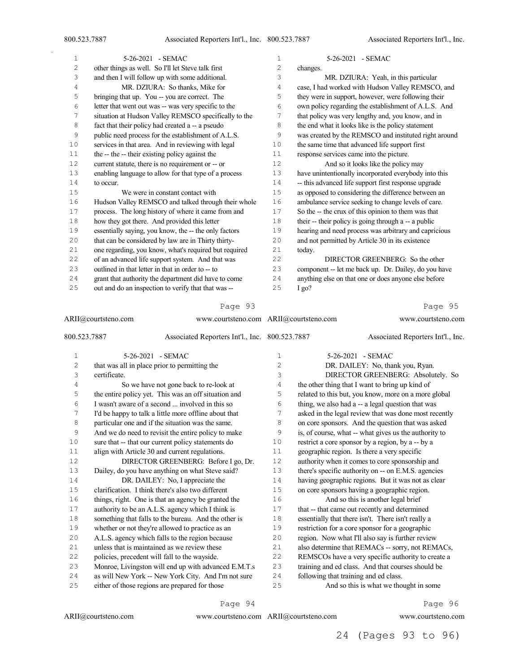| 1    | 5-26-2021 - SEMAC                                     | 1  | 5-26-2021 - SEMAC                                     |
|------|-------------------------------------------------------|----|-------------------------------------------------------|
| 2    | other things as well. So I'll let Steve talk first    | 2  | changes.                                              |
| 3    | and then I will follow up with some additional.       | 3  | MR. DZIURA: Yeah, in this particular                  |
| 4    | MR. DZIURA: So thanks, Mike for                       | 4  | case, I had worked with Hudson Valley REMSCO, and     |
| 5    | bringing that up. You -- you are correct. The         | 5  | they were in support, however, were following their   |
| 6    | letter that went out was -- was very specific to the  | 6  | own policy regarding the establishment of A.L.S. And  |
| 7    | situation at Hudson Valley REMSCO specifically to the | 7  | that policy was very lengthy and, you know, and in    |
| 8    | fact that their policy had created a -- a pseudo      | 8  | the end what it looks like is the policy statement    |
| 9    | public need process for the establishment of A.L.S.   | 9  | was created by the REMSCO and instituted right around |
| 10   | services in that area. And in reviewing with legal    | 10 | the same time that advanced life support first        |
| 11   | the -- the -- their existing policy against the       | 11 | response services came into the picture.              |
| 12   | current statute, there is no requirement or -- or     | 12 | And so it looks like the policy may                   |
| 13   | enabling language to allow for that type of a process | 13 | have unintentionally incorporated everybody into this |
| 14   | to occur.                                             | 14 | -- this advanced life support first response upgrade  |
| $15$ | We were in constant contact with                      | 15 | as opposed to considering the difference between an   |
| 16   | Hudson Valley REMSCO and talked through their whole   | 16 | ambulance service seeking to change levels of care.   |
| 17   | process. The long history of where it came from and   | 17 | So the -- the crux of this opinion to them was that   |
| 18   | how they got there. And provided this letter          | 18 | their -- their policy is going through a -- a public  |
| 19   | essentially saying, you know, the -- the only factors | 19 | hearing and need process was arbitrary and capricious |
| 20   | that can be considered by law are in Thirty thirty-   | 20 | and not permitted by Article 30 in its existence      |
| 21   | one regarding, you know, what's required but required | 21 | today.                                                |
| 22   | of an advanced life support system. And that was      | 22 | DIRECTOR GREENBERG: So the other                      |
| 23   | outlined in that letter in that in order to -- to     | 23 | component -- let me back up. Dr. Dailey, do you have  |
| 24   | grant that authority the department did have to come  | 24 | anything else on that one or does anyone else before  |
| 25   | out and do an inspection to verify that that was --   | 25 | $I_{\alpha}$                                          |

|              | ARII@courtsteno.com<br>www.courtsteno.com ARII@courtsteno.com |                | www.courtsteno.com                                    |
|--------------|---------------------------------------------------------------|----------------|-------------------------------------------------------|
| 800.523.7887 | Associated Reporters Int'l., Inc. 800.523.7887                |                | Associated Reporters Int'l., Inc.                     |
| 1            | 5-26-2021 - SEMAC                                             | 1              | 5-26-2021 - SEMAC                                     |
| $\mathbf{2}$ | that was all in place prior to permitting the                 | $\overline{c}$ | DR. DAILEY: No, thank you, Ryan.                      |
| 3            | certificate.                                                  | 3              | DIRECTOR GREENBERG: Absolutely. So                    |
| 4            | So we have not gone back to re-look at                        | 4              | the other thing that I want to bring up kind of       |
| 5            | the entire policy yet. This was an off situation and          | 5              | related to this but, you know, more on a more global  |
| 6            | I wasn't aware of a second  involved in this so               | 6              | thing, we also had a -- a legal question that was     |
| 7            | I'd be happy to talk a little more offline about that         | 7              | asked in the legal review that was done most recently |
| 8            | particular one and if the situation was the same.             | 8              | on core sponsors. And the question that was asked     |
| 9            | And we do need to revisit the entire policy to make           | 9              | is, of course, what -- what gives us the authority to |
| 10           | sure that -- that our current policy statements do            | 10             | restrict a core sponsor by a region, by a -- by a     |
| 11           | align with Article 30 and current regulations.                | 11             | geographic region. Is there a very specific           |
| 12           | DIRECTOR GREENBERG: Before I go, Dr.                          | 12             | authority when it comes to core sponsorship and       |
| 13           | Dailey, do you have anything on what Steve said?              | 13             | there's specific authority on -- on E.M.S. agencies   |
| 14           | DR. DAILEY: No, I appreciate the                              | 14             | having geographic regions. But it was not as clear    |
| 15           | clarification. I think there's also two different             | 15             | on core sponsors having a geographic region.          |
| 16           | things, right. One is that an agency be granted the           | 16             | And so this is another legal brief                    |
| 17           | authority to be an A.L.S. agency which I think is             | 17             | that -- that came out recently and determined         |
| 18           | something that falls to the bureau. And the other is          | 18             | essentially that there isn't. There isn't really a    |
| 19           | whether or not they're allowed to practice as an              | 19             | restriction for a core sponsor for a geographic       |
| 20           | A.L.S. agency which falls to the region because               | 20             | region. Now what I'll also say is further review      |
| 21           | unless that is maintained as we review these                  | 21             | also determine that REMACs -- sorry, not REMACs,      |
| 22           | policies, precedent will fall to the wayside.                 | 22             | REMSCOs have a very specific authority to create a    |
| 23           | Monroe, Livingston will end up with advanced E.M.T.s          | 23             | training and ed class. And that courses should be     |
| 24           | as will New York -- New York City. And I'm not sure           | 24             | following that training and ed class.                 |
| 25           | either of those regions are prepared for those                | 25             | And so this is what we thought in some                |

#### Page 94

ARII@courtsteno.com www.courtsteno.com

Page 96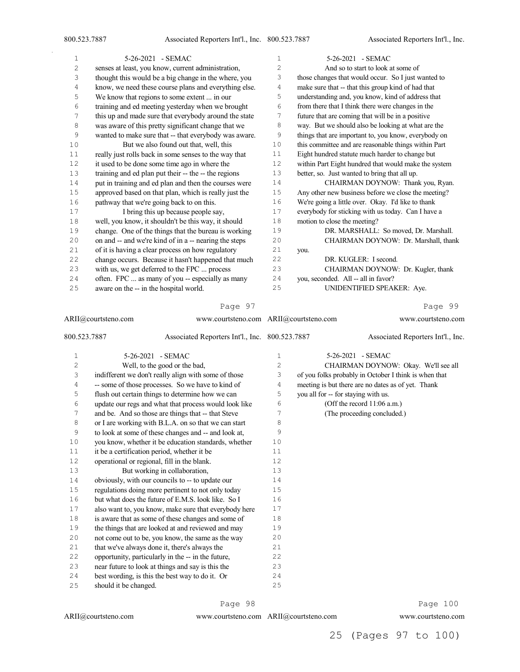$\bar{\gamma}$ 

| $\mathbf{1}$ | 5-26-2021 - SEMAC                                     | 1              | 5-26-2021 - SEMAC                                    |
|--------------|-------------------------------------------------------|----------------|------------------------------------------------------|
| 2            | senses at least, you know, current administration,    | $\overline{2}$ | And so to start to look at some of                   |
| 3            | thought this would be a big change in the where, you  | 3              | those changes that would occur. So I just wanted to  |
| 4            | know, we need these course plans and everything else. | 4              | make sure that -- that this group kind of had that   |
| 5            | We know that regions to some extent  in our           | 5              | understanding and, you know, kind of address that    |
| 6            | training and ed meeting yesterday when we brought     | 6              | from there that I think there were changes in the    |
| 7            | this up and made sure that everybody around the state | 7              | future that are coming that will be in a positive    |
| 8            | was aware of this pretty significant change that we   | 8              | way. But we should also be looking at what are the   |
| 9            | wanted to make sure that -- that everybody was aware. | 9              | things that are important to, you know, everybody on |
| 10           | But we also found out that, well, this                | 10             | this committee and are reasonable things within Part |
| 11           | really just rolls back in some senses to the way that | 11             | Eight hundred statute much harder to change but      |
| 12           | it used to be done some time ago in where the         | 12             | within Part Eight hundred that would make the system |
| 13           | training and ed plan put their -- the -- the regions  | 13             | better, so. Just wanted to bring that all up.        |
| 14           | put in training and ed plan and then the courses were | 14             | CHAIRMAN DOYNOW: Thank you, Ryan.                    |
| 15           | approved based on that plan, which is really just the | 15             | Any other new business before we close the meeting?  |
| 16           | pathway that we're going back to on this.             | 16             | We're going a little over. Okay. I'd like to thank   |
| 17           | I bring this up because people say,                   | 17             | everybody for sticking with us today. Can I have a   |
| 18           | well, you know, it shouldn't be this way, it should   | 18             | motion to close the meeting?                         |
| 19           | change. One of the things that the bureau is working  | 19             | DR. MARSHALL: So moved, Dr. Marshall.                |
| 20           | on and -- and we're kind of in a -- nearing the steps | 20             | CHAIRMAN DOYNOW: Dr. Marshall, thank                 |
| 21           | of it is having a clear process on how regulatory     | 21             | you.                                                 |
| 22           | change occurs. Because it hasn't happened that much   | 22             | DR. KUGLER: I second.                                |
| 23           | with us, we get deferred to the FPC  process          | 23             | CHAIRMAN DOYNOW: Dr. Kugler, thank                   |
| 24           | often. FPC  as many of you -- especially as many      | 24             | you, seconded. All -- all in favor?                  |
| 25           | aware on the -- in the hospital world.                | 25             | UNIDENTIFIED SPEAKER: Aye.                           |
|              |                                                       |                |                                                      |

#### Page 97

|                | ARII@courtsteno.com   | www.courtsteno.com ARII@courtsteno.com                |              |                                     | www.courtsteno.com                                    |
|----------------|-----------------------|-------------------------------------------------------|--------------|-------------------------------------|-------------------------------------------------------|
| 800.523.7887   |                       | Associated Reporters Int'l., Inc. 800.523.7887        |              |                                     | Associated Reporters Int'l., Inc.                     |
| $\mathbf 1$    |                       | 5-26-2021 - SEMAC                                     | $\mathbf{1}$ |                                     | 5-26-2021 - SEMAC                                     |
| $\overline{c}$ |                       | Well, to the good or the bad,                         | 2            |                                     | CHAIRMAN DOYNOW: Okay. We'll see all                  |
| 3              |                       | indifferent we don't really align with some of those  | 3            |                                     | of you folks probably in October I think is when that |
| $\overline{4}$ |                       | -- some of those processes. So we have to kind of     | 4            |                                     | meeting is but there are no dates as of yet. Thank    |
| 5              |                       | flush out certain things to determine how we can      | 5            | you all for -- for staying with us. |                                                       |
| 6              |                       | update our regs and what that process would look like | 6            |                                     | (Off the record 11:06 a.m.)                           |
| 7              |                       | and be. And so those are things that -- that Steve    | 7            |                                     | (The proceeding concluded.)                           |
| 8              |                       | or I are working with B.L.A. on so that we can start  | 8            |                                     |                                                       |
| 9              |                       | to look at some of these changes and -- and look at,  | 9            |                                     |                                                       |
| 10             |                       | you know, whether it be education standards, whether  | 10           |                                     |                                                       |
| 11             |                       | it be a certification period, whether it be           | 11           |                                     |                                                       |
| 12             |                       | operational or regional, fill in the blank.           | 12           |                                     |                                                       |
| 13             |                       | But working in collaboration,                         | 13           |                                     |                                                       |
| 14             |                       | obviously, with our councils to -- to update our      | 14           |                                     |                                                       |
| 15             |                       | regulations doing more pertinent to not only today    | 15           |                                     |                                                       |
| 16             |                       | but what does the future of E.M.S. look like. So I    | 16           |                                     |                                                       |
| 17             |                       | also want to, you know, make sure that everybody here | 17           |                                     |                                                       |
| 18             |                       | is aware that as some of these changes and some of    | 18           |                                     |                                                       |
| 19             |                       | the things that are looked at and reviewed and may    | 19           |                                     |                                                       |
| 20             |                       | not come out to be, you know, the same as the way     | 20           |                                     |                                                       |
| 21             |                       | that we've always done it, there's always the         | 21           |                                     |                                                       |
| 22             |                       | opportunity, particularly in the -- in the future,    | 22           |                                     |                                                       |
| 23             |                       | near future to look at things and say is this the     | 23           |                                     |                                                       |
| 24             |                       | best wording, is this the best way to do it. Or       | 24           |                                     |                                                       |
| 25             | should it be changed. |                                                       | 25           |                                     |                                                       |

Page 98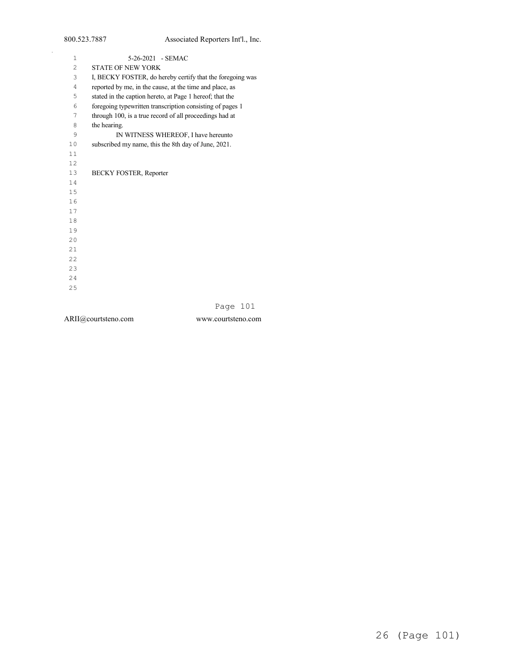| $\mathbf{1}$   | 5-26-2021 - SEMAC                                         |
|----------------|-----------------------------------------------------------|
| $\overline{c}$ | <b>STATE OF NEW YORK</b>                                  |
| 3              | I, BECKY FOSTER, do hereby certify that the foregoing was |
| 4              | reported by me, in the cause, at the time and place, as   |
| 5              | stated in the caption hereto, at Page 1 hereof; that the  |
| 6              | foregoing typewritten transcription consisting of pages 1 |
| 7              | through 100, is a true record of all proceedings had at   |
| 8              | the hearing.                                              |
| 9              | IN WITNESS WHEREOF, I have hereunto                       |
| 10             | subscribed my name, this the 8th day of June, 2021.       |
| 11             |                                                           |
| 12             |                                                           |
| 13             | <b>BECKY FOSTER, Reporter</b>                             |
| 14             |                                                           |
| 15             |                                                           |
| 16             |                                                           |
| 17             |                                                           |
| 18             |                                                           |
| 19             |                                                           |
| 20             |                                                           |
| 2.1            |                                                           |
| 22             |                                                           |
| 23             |                                                           |
| 24             |                                                           |
| 25             |                                                           |
|                |                                                           |
|                | 1 0 1<br>$D - 2 - 2$                                      |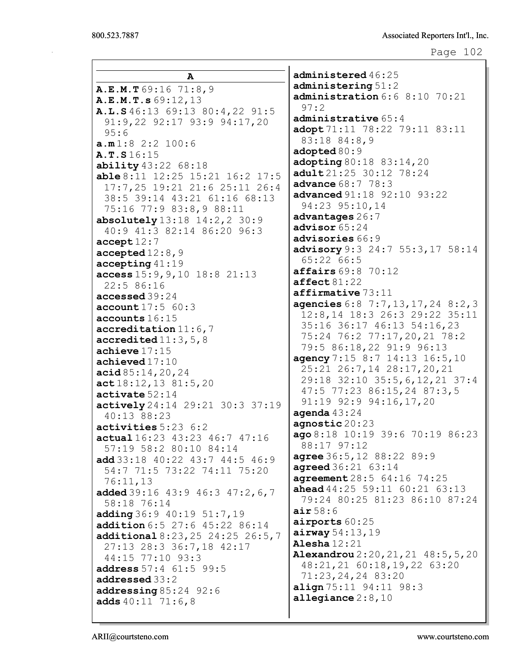|                                             | administered 46:25                     |
|---------------------------------------------|----------------------------------------|
| A                                           | administering 51:2                     |
| A.E.M.T69:16 71:8,9                         | administration 6:6 8:10 70:21          |
| A.E.M.T.s 69:12, 13                         | 97:2                                   |
| A.L.S 46:13 69:13 80:4,22 91:5              | administrative $65:4$                  |
| 91:9,22 92:17 93:9 94:17,20                 | adopt 71:11 78:22 79:11 83:11          |
| 95:6                                        | 83:18 84:8,9                           |
| a.m1:82::2100:6                             | adopted 80:9                           |
| A.T.S16:15                                  | adopting 80:18 83:14, 20               |
| ability 43:22 68:18                         | adult 21:25 30:12 78:24                |
| able 8:11 12:25 15:21 16:2 17:5             | <b>advance</b> 68:7 78:3               |
| 17:7,25 19:21 21:6 25:11 26:4               | <b>advanced</b> 91:18 92:10 93:22      |
| 38:5 39:14 43:21 61:16 68:13                | 94:23 95:10,14                         |
| 75:16 77:9 83:8,9 88:11                     | advantages 26:7                        |
| absolutely $13:18$ $14:2,2$ $30:9$          | advisor $65:24$                        |
| 40:9 41:3 82:14 86:20 96:3                  | advisories 66:9                        |
| accept12:7                                  | advisory 9:3 24:7 55:3,17 58:14        |
| $\texttt{accepted}$ 12:8,9                  | 65:2266:5                              |
| $accepting$ 41:19                           | affairs 69:8 70:12                     |
| access 15:9, 9, 10 18:8 21:13<br>22:5 86:16 | $\texttt{affect}\,81:22$               |
| accessed 39:24                              | affirmative 73:11                      |
| account17:560:3                             | agencies 6:8 7:7, 13, 17, 24 8:2, 3    |
| accounts 16:15                              | 12:8,14 18:3 26:3 29:22 35:11          |
| $accreditation$ 11:6,7                      | 35:16 36:17 46:13 54:16,23             |
| accredicted11:3, 5, 8                       | 75:24 76:2 77:17,20,21 78:2            |
| achieve $17:15$                             | 79:5 86:18,22 91:9 96:13               |
| achieved17:10                               | agency 7:15 8:7 14:13 16:5,10          |
| acid 85:14,20,24                            | 25:21 26:7,14 28:17,20,21              |
| act18:12,1381:5,20                          | 29:18 32:10 35:5, 6, 12, 21 37:4       |
| $\texttt{active} 52:14$                     | 47:5 77:23 86:15,24 87:3,5             |
| actively 24:14 29:21 30:3 37:19             | 91:19 92:9 94:16,17,20                 |
| 40:13 88:23                                 | agenda $43:24$                         |
| activities 5:23 6:2                         | agnostic 20:23                         |
| actual 16:23 43:23 46:7 47:16               | ago 8:18 10:19 39:6 70:19 86:23        |
| 57:19 58:2 80:10 84:14                      | 88:17 97:12                            |
| add 33:18 40:22 43:7 44:5 46:9              | agree 36:5, 12 88:22 89:9              |
| 54:7 71:5 73:22 74:11 75:20                 | <b>agreed</b> 36:21 63:14              |
| 76:11,13                                    | agreement 28:5 64:16 74:25             |
| added $39:16$ $43:9$ $46:3$ $47:2$ , 6, 7   | <b>ahead</b> $44:25$ 59:11 60:21 63:13 |
| 58:18 76:14                                 | 79:24 80:25 81:23 86:10 87:24          |
| adding 36:9 40:19 51:7, 19                  | air 58:6                               |
| addition 6:5 27:6 45:22 86:14               | airports 60:25                         |
| additional 8:23, 25 24:25 26:5, 7           | airway 54:13,19                        |
| 27:13 28:3 36:7,18 42:17                    | Alesha $12:21$                         |
| 44:15 77:10 93:3                            | Alexandrou 2:20, 21, 21 48:5, 5, 20    |
| address 57:4 61:5 99:5                      | 48:21,21 60:18,19,22 63:20             |
| addressed 33:2                              | 71:23,24,24 83:20                      |
| addressing 85:24 92:6                       | align 75:11 94:11 98:3                 |
| adds $40:11$ 71:6,8                         | allegiance $2:8,10$                    |
|                                             |                                        |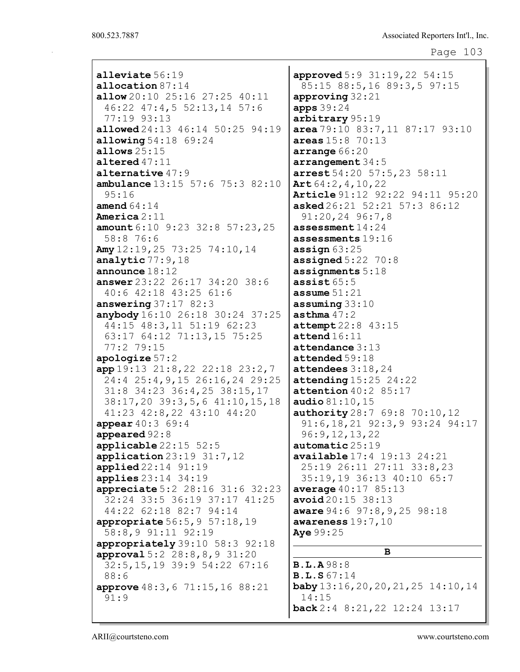| alleviate 56:19                                   | approved 5:9 31:19, 22 54:15                  |
|---------------------------------------------------|-----------------------------------------------|
| allocation $87:14$                                | 85:15 88:5,16 89:3,5 97:15                    |
| allow 20:10 25:16 27:25 40:11                     | approving $32:21$                             |
| 46:22 47:4,5 52:13,14 57:6                        | apps 39:24                                    |
| 77:19 93:13                                       | arbitrary 95:19                               |
| allowed 24:13 46:14 50:25 94:19                   | area 79:10 83:7, 11 87:17 93:10               |
| <b>allowing</b> $54:18$ $69:24$                   | areas $15:8$ 70:13                            |
| allows $25:15$                                    | arrange 66:20                                 |
| altered $47:11$                                   | $\texttt{arrangement} 34:5$                   |
| alternative $47:9$                                | arrest 54:20 57:5, 23 58:11                   |
| ambulance 13:15 57:6 75:3 82:10                   | Art $64:2, 4, 10, 22$                         |
| 95:16                                             | Article 91:12 92:22 94:11 95:20               |
| amend $64:14$                                     | asked 26:21 52:21 57:3 86:12                  |
| <b>America</b> $2:11$                             | $91:20,24$ 96:7,8                             |
| <b>amount</b> $6:10$ $9:23$ $32:8$ $57:23$ , $25$ | assessment $14:24$                            |
| 58:8 76:6                                         | assessments 19:16                             |
| Amy 12:19, 25 73:25 74:10, 14                     | assign $63:25$                                |
| analytic $77:9,18$                                | assigned $5:22$ $70:8$                        |
| announce $18:12$                                  | assignments $5:18$                            |
| answer $23:22$ $26:17$ $34:20$ $38:6$             | assist $65:5$                                 |
| 40:6 42:18 43:25 61:6                             | assume $51:21$                                |
| answering $37:17$ 82:3                            | $\texttt{assuming} 33:10$                     |
| anybody 16:10 26:18 30:24 37:25                   | asthma $47:2$                                 |
| 44:15 48:3,11 51:19 62:23                         | attempt 22:8 43:15                            |
| 63:17 64:12 71:13,15 75:25                        | $\texttt{attend} 16:11$                       |
| 77:2 79:15                                        | attendance $3:13$                             |
| apologize $57:2$                                  | attended 59:18                                |
| app 19:13 21:8,22 22:18 23:2,7                    | attendees $3:18,24$                           |
| 24:4 25:4, 9, 15 26:16, 24 29:25                  | attending 15:25 24:22                         |
| 31:8 34:23 36:4,25 38:15,17                       | attention 40:2 85:17                          |
| 38:17,20 39:3,5,6 41:10,15,18                     | audio $81:10, 15$                             |
| 41:23 42:8,22 43:10 44:20                         | authority 28:7 69:8 70:10, 12                 |
| <b>appear</b> $40:3$ 69:4                         | $91:6, 18, 21$ $92:3, 9$ $93:24$ $94:17$      |
| appeared 92:8                                     | 96:9,12,13,22                                 |
| applicable 22:15 52:5                             | automatic 25:19                               |
| application $23:19$ $31:7,12$                     | available 17:4 19:13 24:21                    |
| $applied22:14$ 91:19                              | 25:19 26:11 27:11 33:8,23                     |
| <b>applies</b> $23:14$ $34:19$                    | 35:19,19 36:13 40:10 65:7                     |
| appreciate 5:2 28:16 31:6 32:23                   | average $40:17$ 85:13                         |
| 32:24 33:5 36:19 37:17 41:25                      | avoid20:15 38:13                              |
| 44:22 62:18 82:7 94:14                            | aware $94:6$ $97:8,9,25$ $98:18$              |
| <b>appropriate</b> $56:5, 9$ $57:18, 19$          | awareness $19:7,10$                           |
| 58:8,9 91:11 92:19                                | Aye 99:25                                     |
| appropriately 39:10 58:3 92:18                    |                                               |
| approval 5:2 28:8,8,9 31:20                       | в                                             |
| 32:5,15,19 39:9 54:22 67:16                       | <b>B.L.A</b> 98:8                             |
| 88:6                                              | <b>B.L.S</b> 67:14                            |
| approve 48:3, 6 71:15, 16 88:21                   | $\text{baby} 13:16, 20, 20, 21, 25 14:10, 14$ |
| 91:9                                              | 14:15                                         |
|                                                   | back 2:4 8:21, 22 12:24 13:17                 |
|                                                   |                                               |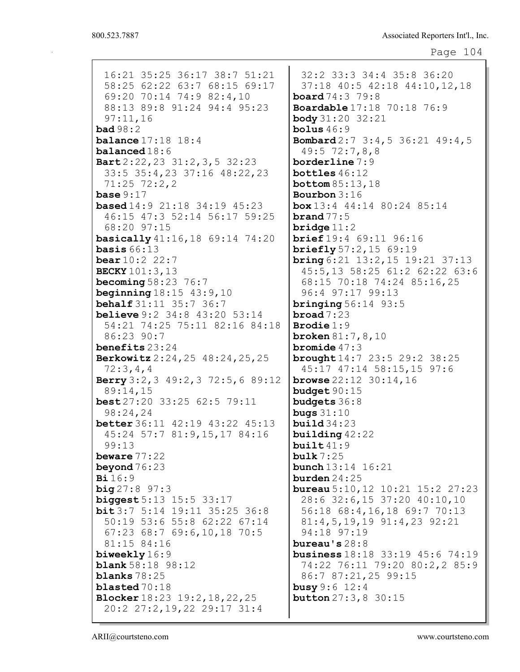16:21 35:25 36:17 38:7 51:21 58:25 62:22 63:7 68:15 69:17 69:20 70:14 74:9 82:4,10 88:13 89:8 91:24 94:4 95:23 97:11,16 bad 98:2 **balance** 17:18 18:4 balanced 18:6 Bart 2:22,23 31:2,3,5 32:23 33:5 35:4,23 37:16 48:22,23 71:25 72:2,2 base  $9:17$ based 14:9 21:18 34:19 45:23 46:15 47:3 52:14 56:17 59:25 68:20 97:15 basically 41:16,18 69:14 74:20 **basis**  $66:13$ bear 10:2 22:7 BECKY 101:3,13 **becoming 58:23 76:7 beginning**  $18:15$  43:9, 10 behalf 31:11 35:7 36:7 **believe** 9:2 34:8 43:20 53:14 54:21 74:25 75:11 82:16 84:18 86:23 90:7 benefits 23:24 Berkowitz 2:24,25 48:24,25,25 72:3,4,4 Berry 3:2,3 49:2,3 72:5,6 89:12 89:14,15 best 27:20 33:25 62:5 79:11 98:24,24 better 36:11 42:19 43:22 45:13 45:24 57:7 81:9,15,17 84:16 99:13 beware 77:22 beyond 76:23 Bi 16:9  $big 27:8 97:3$ biggest 5:13 15:5 33:17 bit 3:7 5:14 19:11 35:25 36:8 50:19 53:6 55:8 62:22 67:14 67:23 68:7 69:6,10,18 70:5 81:15 84:16 biweekly 16:9 **blank** 58:18 98:12 blanks 78:25 blasted 70:18 Blocker 18:23 19:2,18,22,25 20:2 27:2,19,22 29:17 31:4

32:2 33:3 34:4 35:8 36:20 37:18 40:5 42:18 44:10,12,18 board 74:3 79:8 Boardable 17:18 70:18 76:9 body 31:20 32:21 bolus  $46:9$ Bombard 2:7 3:4,5 36:21 49:4,5 49:5 72:7,8,8 borderline 7:9 bottles 46:12 bottom 85:13,18 Bourbon 3:16 box 13:4 44:14 80:24 85:14 brand  $77:5$ bridge 11:2 brief 19:4 69:11 96:16 briefly 57:2,15 69:19 bring 6:21 13:2,15 19:21 37:13 45:5,13 58:25 61:2 62:22 63:6 68:15 70:18 74:24 85:16,25 96:4 97:17 99:13 **bringing** 56:14 93:5 broad 7:23 Brodie 1:9 broken 81:7,8,10 bromide 47:3 brought 14:7 23:5 29:2 38:25 45:17 47:14 58:15,15 97:6 **browse** 22:12 30:14,16 budget 90:15 budgets 36:8 bugs 31:10 build 34:23 building 42:22 built  $41:9$ bulk 7:25 bunch 13:14 16:21 burden 24:25 bureau 5:10,12 10:21 15:2 27:23 28:6 32:6,15 37:20 40:10,10 56:18 68:4,16,18 69:7 70:13 81:4,5,19,19 91:4,23 92:21 94:18 97:19 bureau's 28:8 business 18:18 33:19 45:6 74:19 74:22 76:11 79:20 80:2,2 85:9 86:7 87:21,25 99:15 busy 9:6 12:4 button 27:3,8 30:15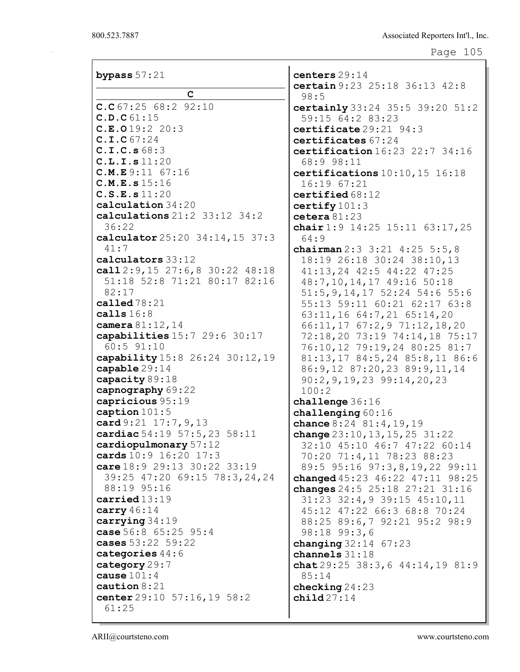| bypass $57:21$                         | centers 29:14                                                 |
|----------------------------------------|---------------------------------------------------------------|
| $\mathbf C$                            | certain 9:23 25:18 36:13 42:8                                 |
| C.C67:2568:292:10                      | 98:5<br>certainly 33:24 35:5 39:20 51:2                       |
| C.D.C61:15                             | 59:15 64:2 83:23                                              |
| C.E.O19:2 20:3                         | certificate 29:21 94:3                                        |
| C.I.C67:24                             | certificates 67:24                                            |
| C.I.C.s68:3                            | certification 16:23 22:7 34:16                                |
| C.L.I.s 11:20                          | 68:9 98:11                                                    |
| C.M.E.9:11 67:16                       | certifications $10:10, 15$ 16:18                              |
| C.M.E.s 15:16                          | 16:1967:21                                                    |
| C.S.E.s 11:20                          | certified $68:12$                                             |
| calculation 34:20                      | certify $101:3$                                               |
| calculations $21:2$ $33:12$ $34:2$     | cetera $81:23$                                                |
| 36:22                                  | chair $1:9$ 14:25 15:11 63:17,25                              |
| calculator 25:20 34:14, 15 37:3        | 64:9                                                          |
| 41:7                                   | chairman $2:3$ $3:21$ $4:25$ $5:5,8$                          |
| calculators 33:12                      | 18:19 26:18 30:24 38:10,13                                    |
| call $2:9,15$ $27:6,8$ $30:22$ $48:18$ | 41:13,24 42:5 44:22 47:25                                     |
| 51:18 52:8 71:21 80:17 82:16           | 48:7, 10, 14, 17 49: 16 50: 18                                |
| 82:17                                  | 51:5, 9, 14, 17 52: 24 54: 6 55: 6                            |
| called $78:21$                         | 55:13 59:11 60:21 62:17 63:8                                  |
| calls $16:8$<br>camera 81:12, 14       | 63:11,16 64:7,21 65:14,20                                     |
| capabilities 15:7 29:6 30:17           | 66:11,17 67:2,9 71:12,18,20                                   |
| 60:5 91:10                             | 72:18,20 73:19 74:14,18 75:17<br>76:10,12 79:19,24 80:25 81:7 |
| capability 15:8 26:24 30:12, 19        | 81:13,17 84:5,24 85:8,11 86:6                                 |
| capable 29:14                          | 86: 9, 12 87: 20, 23 89: 9, 11, 14                            |
| capacity 89:18                         | $90:2, 9, 19, 23$ $99:14, 20, 23$                             |
| capnography 69:22                      | 100:2                                                         |
| capricious 95:19                       | challenge 36:16                                               |
| caption $101:5$                        | challenging $60:16$                                           |
| card 9:21 17:7, 9, 13                  | chance $8:24$ $81:4$ , $19$ , $19$                            |
| cardiac 54:19 57:5, 23 58:11           | change $23:10, 13, 15, 25, 31:22$                             |
| cardiopulmonary 57:12                  | 32:10 45:10 46:7 47:22 60:14                                  |
| cards 10:9 16:20 17:3                  | 70:20 71:4,11 78:23 88:23                                     |
| care 18:9 29:13 30:22 33:19            | 89:5 95:16 97:3,8,19,22 99:11                                 |
| 39:25 47:20 69:15 78:3,24,24           | changed 45:23 46:22 47:11 98:25                               |
| 88:19 95:16                            | changes 24:5 25:18 27:21 31:16                                |
| carried13:19<br>carry $46:14$          | 31:23 32:4, 9 39:15 45:10, 11                                 |
| carrying $34:19$                       | 45:12 47:22 66:3 68:8 70:24                                   |
| case 56:8 65:25 95:4                   | 88:25 89:6,7 92:21 95:2 98:9<br>$98:18$ $99:3,6$              |
| cases 53:22 59:22                      | <b>changing</b> $32:14$ $67:23$                               |
| categories $44:6$                      | channels 31:18                                                |
| category 29:7                          | chat $29:25$ 38:3, 6 44:14, 19 81:9                           |
| cause $101:4$                          | 85:14                                                         |
| caution $8:21$                         | checking $24:23$                                              |
| center $29:10$ 57:16, 19 58:2          | child $27:14$                                                 |
| 61:25                                  |                                                               |
|                                        |                                                               |

ARII@courtsteno.com www.courtsteno.com

I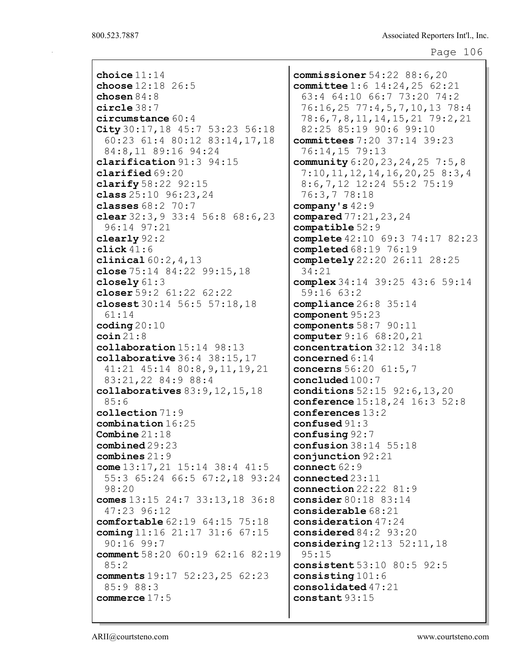| choice $11:14$                         |  |  |  |  |  |  |  |  |  |  |  |
|----------------------------------------|--|--|--|--|--|--|--|--|--|--|--|
| choose $12:18$ 26:5                    |  |  |  |  |  |  |  |  |  |  |  |
| chosen $84:8$                          |  |  |  |  |  |  |  |  |  |  |  |
| $circle$ 38:7                          |  |  |  |  |  |  |  |  |  |  |  |
| circumstance 60:4                      |  |  |  |  |  |  |  |  |  |  |  |
| City 30:17, 18 45:7 53:23 56:18        |  |  |  |  |  |  |  |  |  |  |  |
| 60:23 61:4 80:12 83:14,17,18           |  |  |  |  |  |  |  |  |  |  |  |
| 84:8,11 89:16 94:24                    |  |  |  |  |  |  |  |  |  |  |  |
| clarification 91:3 94:15               |  |  |  |  |  |  |  |  |  |  |  |
| clarified 69:20                        |  |  |  |  |  |  |  |  |  |  |  |
| clarify $58:22$ $92:15$                |  |  |  |  |  |  |  |  |  |  |  |
| class $25:10$ $96:23,24$               |  |  |  |  |  |  |  |  |  |  |  |
| classes $68:2$ $70:7$                  |  |  |  |  |  |  |  |  |  |  |  |
| clear 32:3, 9 33:4 56:8 68:6, 23       |  |  |  |  |  |  |  |  |  |  |  |
| 96:14 97:21                            |  |  |  |  |  |  |  |  |  |  |  |
| $\texttt{clearly}$ 92:2                |  |  |  |  |  |  |  |  |  |  |  |
| click $41:6$                           |  |  |  |  |  |  |  |  |  |  |  |
| <b>clinical</b> $60:2, 4, 13$          |  |  |  |  |  |  |  |  |  |  |  |
| close $75:14$ $84:22$ $99:15$ , 18     |  |  |  |  |  |  |  |  |  |  |  |
| closely $61:3$                         |  |  |  |  |  |  |  |  |  |  |  |
| closer $59:2$ $61:22$ $62:22$          |  |  |  |  |  |  |  |  |  |  |  |
| closest 30:14 56:5 57:18,18            |  |  |  |  |  |  |  |  |  |  |  |
| 61:14                                  |  |  |  |  |  |  |  |  |  |  |  |
| coding $20:10$                         |  |  |  |  |  |  |  |  |  |  |  |
| $\cosh 21:8$                           |  |  |  |  |  |  |  |  |  |  |  |
| collaboration 15:14 98:13              |  |  |  |  |  |  |  |  |  |  |  |
|                                        |  |  |  |  |  |  |  |  |  |  |  |
|                                        |  |  |  |  |  |  |  |  |  |  |  |
| collaborative $36:4$ $38:15$ , 17      |  |  |  |  |  |  |  |  |  |  |  |
| 41:21 45:14 80:8, 9, 11, 19, 21        |  |  |  |  |  |  |  |  |  |  |  |
| 83:21,22 84:9 88:4                     |  |  |  |  |  |  |  |  |  |  |  |
| collaboratives $83:9,12,15,18$         |  |  |  |  |  |  |  |  |  |  |  |
| 85:6                                   |  |  |  |  |  |  |  |  |  |  |  |
| $\texttt{collection}\,71:9$            |  |  |  |  |  |  |  |  |  |  |  |
| combination 16:25                      |  |  |  |  |  |  |  |  |  |  |  |
| Combine $21:18$                        |  |  |  |  |  |  |  |  |  |  |  |
| combined29:23                          |  |  |  |  |  |  |  |  |  |  |  |
| combines $21:9$                        |  |  |  |  |  |  |  |  |  |  |  |
| come $13:17, 21$ $15:14$ $38:4$ $41:5$ |  |  |  |  |  |  |  |  |  |  |  |
| 55:3 65:24 66:5 67:2,18 93:24          |  |  |  |  |  |  |  |  |  |  |  |
| 98:20                                  |  |  |  |  |  |  |  |  |  |  |  |
| comes $13:15$ 24:7 33:13, 18 36:8      |  |  |  |  |  |  |  |  |  |  |  |
| 47:23 96:12                            |  |  |  |  |  |  |  |  |  |  |  |
| comfortable 62:19 64:15 75:18          |  |  |  |  |  |  |  |  |  |  |  |
| coming 11:16 21:17 31:6 67:15          |  |  |  |  |  |  |  |  |  |  |  |
| $90:16$ 99:7                           |  |  |  |  |  |  |  |  |  |  |  |
| comment 58:20 60:19 62:16 82:19        |  |  |  |  |  |  |  |  |  |  |  |
| 85:2                                   |  |  |  |  |  |  |  |  |  |  |  |
| comments 19:17 52:23, 25 62:23         |  |  |  |  |  |  |  |  |  |  |  |
| 85:9 88:3                              |  |  |  |  |  |  |  |  |  |  |  |
| commerce $17:5$                        |  |  |  |  |  |  |  |  |  |  |  |

commissioner 54:22 88:6,20 committee 1:6 14:24,25 62:21 63:4 64:10 66:7 73:20 74:2 76:16,25 77:4,5,7,10,13 78:4 78:6,7,8,11,14,15,21 79:2,21 82:25 85:19 90:6 99:10 committees 7:20 37:14 39:23 76:14,15 79:13 community 6:20,23,24,25 7:5,8 7:10,11,12,14,16,20,25 8:3,4 8:6,7,12 12:24 55:2 75:19 76:3,7 78:18 company's 42:9 compared 77:21,23,24 compatible 52:9 complete 42:10 69:3 74:17 82:23 completed 68:19 76:19 completely 22:20 26:11 28:25 34:21 complex 34:14 39:25 43:6 59:14 59:16 63:2 compliance 26:8 35:14 component 95:23 components 58:7 90:11 computer 9:16 68:20,21 concentration 32:12 34:18 concerned 6:14 concerns 56:20 61:5,7 concluded 100:7 conditions 52:15 92:6,13,20 conference 15:18,24 16:3 52:8 conferences 13:2 confused 91:3 confusing 92:7 confusion 38:14 55:18 conjunction 92:21 connect 62:9 connected 23:11 connection 22:22 81:9 consider 80:18 83:14 considerable 68:21 consideration 47:24 considered 84:2 93:20 considering 12:13 52:11,18 95:15 consistent 53:10 80:5 92:5 consisting 101:6 consolidated 47:21 constant 93:15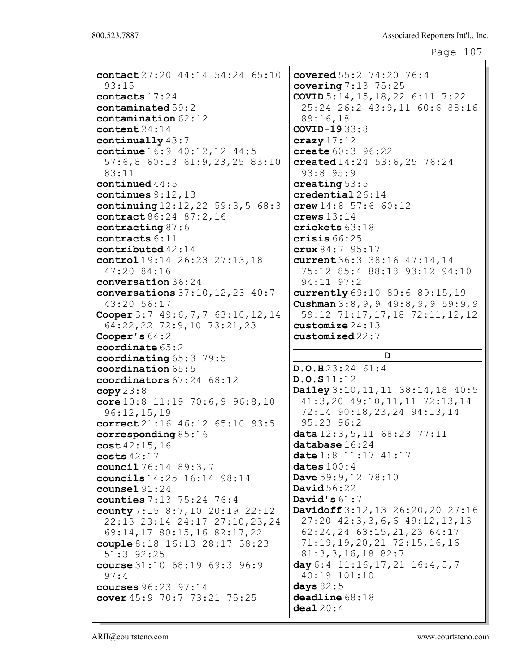```
Page 107
```

| contact 27:20 44:14 54:24 65:10      | covered 55:2 74:20 76:4                         |
|--------------------------------------|-------------------------------------------------|
| 93:15                                | covering $7:13$ $75:25$                         |
| contacts 17:24                       | COVID $5:14, 15, 18, 22$ 6:11 7:22              |
| contaminated 59:2                    | 25:24 26:2 43:9,11 60:6 88:16                   |
| contamination 62:12                  | 89:16,18                                        |
| content $24:14$                      | <b>COVID-19</b> 33:8                            |
| continually $43:7$                   | crazy $17:12$                                   |
| continue 16:9 40:12, 12 44:5         | create $60:3$ 96:22                             |
| 57:6,8 60:13 61:9,23,25 83:10        | created 14:24 53:6, 25 76:24                    |
| 83:11                                | 93:8 95:9                                       |
| continued $44:5$                     | creating $53:5$                                 |
| continues $9:12,13$                  | $\texttt{credential}\,26\!:\!14$                |
| continuing $12:12,22$ 59:3,5 68:3    | crew $14:8$ 57:6 60:12                          |
| contract 86:24 87:2,16               | crews $13:14$                                   |
| contracting $87:6$                   | crickets 63:18                                  |
| contracts 6:11                       | crisis $66:25$                                  |
| contributed $42:14$                  | crux84:795:17                                   |
| control 19:14 26:23 27:13,18         | current 36:3 38:16 47:14, 14                    |
| 47:20 84:16                          | 75:12 85:4 88:18 93:12 94:10                    |
| conversation 36:24                   | 94:11 97:2                                      |
| conversations $37:10, 12, 23, 40:7$  | currently 69:10 80:6 89:15,19                   |
| 43:20 56:17                          | <b>Cushman</b> $3:8, 9, 9, 49:8, 9, 9, 59:9, 9$ |
| Cooper 3:7 $49:6,7,7$ 63:10, 12, 14  | 59:12 71:17,17,18 72:11,12,12                   |
| 64:22, 22 72:9, 10 73:21, 23         | customize $24:13$                               |
| Cooper's $64:2$                      | $\c{customized}$ 22:7                           |
|                                      |                                                 |
| coordinate 65:2                      |                                                 |
| coordinating 65:3 79:5               | D                                               |
| coordination 65:5                    | D.O.H.23:2461:4                                 |
| coordinators 67:24 68:12             | D.O.S11:12                                      |
| copy 23:8                            | Dailey 3:10, 11, 11 38:14, 18 40:5              |
| core $10:8$ 11:19 70:6, 9 96:8, 10   | $41:3,20$ $49:10,11,11$ $72:13,14$              |
| 96:12,15,19                          | 72:14 90:18, 23, 24 94:13, 14                   |
| correct 21:16 46:12 65:10 93:5       | $95:23$ $96:2$                                  |
| corresponding $85:16$                | data $12:3, 5, 11$ $68:23$ $77:11$              |
| cost 42:15, 16                       | $\mathtt{database}$ $16:24$                     |
| costs $42:17$                        | date $1:8$ 11:17 41:17                          |
| council 76:14 89:3,7                 | dates $100:4$                                   |
| councils 14:25 16:14 98:14           | Dave $59:9,12$ 78:10                            |
| counsel $91:24$                      | David $56:22$                                   |
| counties 7:13 75:24 76:4             | David's $61:7$                                  |
| county 7:15 8:7,10 20:19 22:12       | Davidoff 3:12, 13 26:20, 20 27:16               |
| 22:13 23:14 24:17 27:10, 23, 24      | $27:20$ $42:3,3,6,6$ $49:12,13,13$              |
| 69:14,17 80:15,16 82:17,22           | 62:24,24 63:15,21,23 64:17                      |
| couple 8:18 16:13 28:17 38:23        | $71:19,19,20,21$ $72:15,16,16$                  |
| 51:3 92:25                           | $81:3,3,16,18$ 82:7                             |
| course $31:10$ $68:19$ $69:3$ $96:9$ | day 6:4 $11:16, 17, 21$ $16:4, 5, 7$            |
| 97:4                                 | 40:19 101:10                                    |
| <b>courses</b> $96:23$ $97:14$       | days $82:5$                                     |
| cover $45:9$ 70:7 73:21 75:25        | deadline 68:18                                  |
|                                      | deal20:4                                        |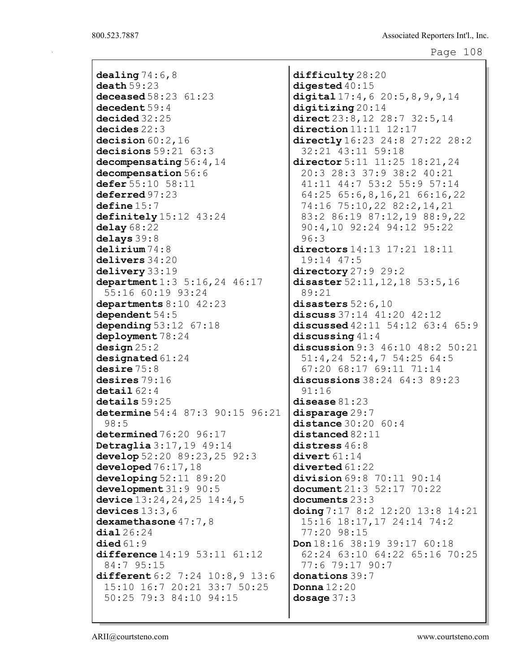dealing  $74:6,8$ death 59:23 deceased 58:23 61:23 decedent 59:4 decided 32:25 decides 22:3 decision  $60:2,16$ decisions 59:21 63:3 decompensating 56:4,14 decompensation 56:6 defer 55:10 58:11 deferred 97:23 define 15:7 definitely  $15:12$  43:24 delay 68:22 delays 39:8 delirium 74:8 delivers 34:20 delivery 33:19 department 1:3 5:16, 24 46:17 55:16 60:19 93:24 departments 8:10 42:23 dependent 54:5 depending 53:12 67:18 deployment 78:24 design 25:2 designated 61:24 desire 75:8 desires 79:16 detail 62:4 details 59:25 determine 54:4 87:3 90:15 96:21 98:5 determined 76:20 96:17 Detraglia 3:17,19 49:14 develop 52:20 89:23,25 92:3 developed  $76:17$ , 18 developing 52:11 89:20 development 31:9 90:5 device 13:24, 24, 25 14:4, 5 devices  $13:3,6$ dexamethasone  $47:7,8$ dial 26:24  $diag 61:9$ difference 14:19 53:11 61:12 84:7 95:15 different 6:2 7:24 10:8, 9 13:6 15:10 16:7 20:21 33:7 50:25 50:25 79:3 84:10 94:15

difficulty 28:20 digested 40:15 digital  $17:4,6$   $20:5,8,9,9,14$ digitizing 20:14 direct 23:8,12 28:7 32:5,14 direction 11:11 12:17 directly  $16:23$  24:8 27:22 28:2 32:21 43:11 59:18 director 5:11 11:25 18:21, 24 20:3 28:3 37:9 38:2 40:21 41:11 44:7 53:2 55:9 57:14 64:25 65:6,8,16,21 66:16,22 74:16 75:10,22 82:2,14,21 83:2 86:19 87:12,19 88:9,22 90:4,10 92:24 94:12 95:22 96:3 directors 14:13 17:21 18:11 19:14 47:5 directory 27:9 29:2 disaster 52:11, 12, 18 53:5, 16 89:21 disasters 52:6,10 discuss 37:14 41:20 42:12 discussed  $42:11$  54:12 63:4 65:9 discussing 41:4 discussion 9:3 46:10 48:2 50:21 51:4,24 52:4,7 54:25 64:5 67:20 68:17 69:11 71:14 discussions 38:24 64:3 89:23 91:16 disease 81:23 disparage 29:7 distance 30:20 60:4 distanced 82:11 distress  $46:8$ divert 61:14 diverted 61:22 division 69:8 70:11 90:14 document 21:3 52:17 70:22 documents 23:3 doing 7:17 8:2 12:20 13:8 14:21 15:16 18:17,17 24:14 74:2 77:20 98:15 Don 18:16 38:19 39:17 60:18 62:24 63:10 64:22 65:16 70:25 77:6 79:17 90:7 donations 39:7 Donna 12:20 dosage 37:3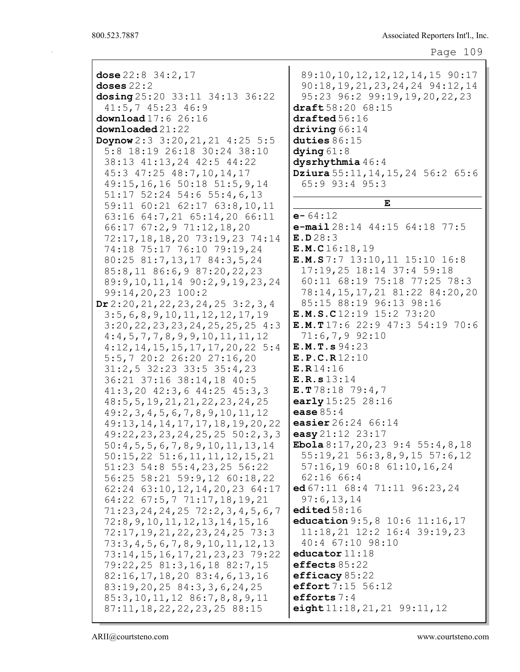| dose $22:8$ $34:2,17$<br>doses $22:2$<br>dosing 25:20 33:11 34:13 36:22<br>$41:5, 7$ $45:23$ $46:9$<br>download $17:6$ 26:16<br>downloaded21:22<br>Doynow $2:3 \ 3:20,21,21 \ 4:25 \ 5:5$<br>5:8 18:19 26:18 30:24 38:10<br>38:13 41:13, 24 42:5 44:22<br>45:3 47:25 48:7,10,14,17<br>49:15, 16, 16 50:18 51:5, 9, 14<br>51:17 52:24 54:6 55:4,6,13 | 89:10, 10, 12, 12, 12, 14, 15 90:17<br>90:18, 19, 21, 23, 24, 24 94:12, 14<br>95:23 96:2 99:19,19,20,22,23<br>draft 58:20 68:15<br>draffed 56:16<br>driving 66:14<br>duties $86:15$<br>dying $61:8$<br>dysrhythmia 46:4<br><b>Dziura</b> 55:11, 14, 15, 24 56:2 65:6<br>65:9 93:4 95:3 |
|-----------------------------------------------------------------------------------------------------------------------------------------------------------------------------------------------------------------------------------------------------------------------------------------------------------------------------------------------------|----------------------------------------------------------------------------------------------------------------------------------------------------------------------------------------------------------------------------------------------------------------------------------------|
| 59:11 60:21 62:17 63:8,10,11                                                                                                                                                                                                                                                                                                                        | E                                                                                                                                                                                                                                                                                      |
|                                                                                                                                                                                                                                                                                                                                                     |                                                                                                                                                                                                                                                                                        |
| 63:16 64:7,21 65:14,20 66:11                                                                                                                                                                                                                                                                                                                        | $e - 64:12$                                                                                                                                                                                                                                                                            |
| 66:17 67:2, 9 71:12, 18, 20                                                                                                                                                                                                                                                                                                                         | e-mail $28:14$ $44:15$ $64:18$ $77:5$                                                                                                                                                                                                                                                  |
| 72:17, 18, 18, 20 73: 19, 23 74: 14                                                                                                                                                                                                                                                                                                                 | E.D.28:3                                                                                                                                                                                                                                                                               |
| 74:18 75:17 76:10 79:19,24                                                                                                                                                                                                                                                                                                                          | E.M.C16:18,19                                                                                                                                                                                                                                                                          |
| 80:25 81:7,13,17 84:3,5,24                                                                                                                                                                                                                                                                                                                          | E.M.S7:7 13:10, 11 15:10 16:8                                                                                                                                                                                                                                                          |
| 85:8,11 86:6,9 87:20,22,23                                                                                                                                                                                                                                                                                                                          | 17:19,25 18:14 37:4 59:18                                                                                                                                                                                                                                                              |
| 89: 9, 10, 11, 14 90: 2, 9, 19, 23, 24                                                                                                                                                                                                                                                                                                              | 60:11 68:19 75:18 77:25 78:3                                                                                                                                                                                                                                                           |
| 99:14,20,23 100:2                                                                                                                                                                                                                                                                                                                                   | 78:14, 15, 17, 21 81:22 84:20, 20                                                                                                                                                                                                                                                      |
| Dr2:20, 21, 22, 23, 24, 25, 3:2, 3, 4                                                                                                                                                                                                                                                                                                               | 85:15 88:19 96:13 98:16                                                                                                                                                                                                                                                                |
| 3:5, 6, 8, 9, 10, 11, 12, 12, 17, 19                                                                                                                                                                                                                                                                                                                | E.M.S.C12:19 15:2 73:20                                                                                                                                                                                                                                                                |
| 3:20, 22, 23, 23, 24, 25, 25, 25, 4:3                                                                                                                                                                                                                                                                                                               | E.M.T17:6 22:9 47:3 54:19 70:6                                                                                                                                                                                                                                                         |
| 4:4,5,7,7,8,9,9,10,11,11,12                                                                                                                                                                                                                                                                                                                         | $71:6,7,9$ 92:10                                                                                                                                                                                                                                                                       |
| 4:12, 14, 15, 15, 17, 17, 20, 22, 5:4                                                                                                                                                                                                                                                                                                               | E.M.T.s 94:23                                                                                                                                                                                                                                                                          |
| 5:5,7 20:2 26:20 27:16,20                                                                                                                                                                                                                                                                                                                           | E.P.C.R12:10                                                                                                                                                                                                                                                                           |
| 31:2,5 32:23 33:5 35:4,23                                                                                                                                                                                                                                                                                                                           | E.R14:16                                                                                                                                                                                                                                                                               |
| 36:21 37:16 38:14,18 40:5                                                                                                                                                                                                                                                                                                                           | E.R.s 13:14                                                                                                                                                                                                                                                                            |
| 41:3,20 42:3,6 44:25 45:3,3                                                                                                                                                                                                                                                                                                                         | E.T78:18 79:4,7                                                                                                                                                                                                                                                                        |
| 48: 5, 5, 19, 21, 21, 22, 23, 24, 25                                                                                                                                                                                                                                                                                                                | early 15:25 28:16                                                                                                                                                                                                                                                                      |
| 49:2, 3, 4, 5, 6, 7, 8, 9, 10, 11, 12                                                                                                                                                                                                                                                                                                               | ease $85:4$                                                                                                                                                                                                                                                                            |
| 49:13, 14, 14, 17, 17, 18, 19, 20, 22                                                                                                                                                                                                                                                                                                               | easier 26:24 66:14                                                                                                                                                                                                                                                                     |
| 49:22, 23, 23, 24, 25, 25 50:2, 3, 3                                                                                                                                                                                                                                                                                                                | easy 21:12 23:17                                                                                                                                                                                                                                                                       |
| $50:4, 5, 5, 6, 7, 8, 9, 10, 11, 13, 14$                                                                                                                                                                                                                                                                                                            | Ebola $8:17,20,23$ 9:4 55:4,8,18                                                                                                                                                                                                                                                       |
| $50:15, 22$ $51:6, 11, 11, 12, 15, 21$                                                                                                                                                                                                                                                                                                              | $55:19,21$ $56:3,8,9,15$ $57:6,12$                                                                                                                                                                                                                                                     |
| 51:23 54:8 55:4,23,25 56:22                                                                                                                                                                                                                                                                                                                         | 57:16,19 60:8 61:10,16,24                                                                                                                                                                                                                                                              |
| 56:25 58:21 59:9,12 60:18,22                                                                                                                                                                                                                                                                                                                        | 62:16 66:4                                                                                                                                                                                                                                                                             |
| $62:24$ $63:10,12,14,20,23$ $64:17$                                                                                                                                                                                                                                                                                                                 | ed $67:11$ $68:4$ $71:11$ $96:23,24$                                                                                                                                                                                                                                                   |
| $64:22$ $67:5,7$ $71:17,18,19,21$                                                                                                                                                                                                                                                                                                                   | 97:6,13,14                                                                                                                                                                                                                                                                             |
| $71:23, 24, 24, 25$ $72:2, 3, 4, 5, 6, 7$                                                                                                                                                                                                                                                                                                           | edited $58:16$                                                                                                                                                                                                                                                                         |
| 72:8,9,10,11,12,13,14,15,16                                                                                                                                                                                                                                                                                                                         | education 9:5, 8 10:6 11:16, 17                                                                                                                                                                                                                                                        |
| 72:17, 19, 21, 22, 23, 24, 25 73:3                                                                                                                                                                                                                                                                                                                  | 11:18,21 12:2 16:4 39:19,23                                                                                                                                                                                                                                                            |
| 73:3,4,5,6,7,8,9,10,11,12,13                                                                                                                                                                                                                                                                                                                        | 40:4 67:10 98:10                                                                                                                                                                                                                                                                       |
| 73:14, 15, 16, 17, 21, 23, 23 79:22                                                                                                                                                                                                                                                                                                                 | educator $11:18$                                                                                                                                                                                                                                                                       |
| 79:22,25 81:3,16,18 82:7,15                                                                                                                                                                                                                                                                                                                         | effects 85:22                                                                                                                                                                                                                                                                          |
| $82:16, 17, 18, 20$ $83:4, 6, 13, 16$                                                                                                                                                                                                                                                                                                               | efficacy $85:22$                                                                                                                                                                                                                                                                       |
| 83:19,20,25 84:3,3,6,24,25                                                                                                                                                                                                                                                                                                                          | effort 7:15 56:12                                                                                                                                                                                                                                                                      |
| 85: 3, 10, 11, 12 86: 7, 8, 8, 9, 11                                                                                                                                                                                                                                                                                                                | efforts $7:4$                                                                                                                                                                                                                                                                          |
| 87:11, 18, 22, 22, 23, 25 88:15                                                                                                                                                                                                                                                                                                                     | eight $11:18, 21, 21$ 99:11, 12                                                                                                                                                                                                                                                        |
|                                                                                                                                                                                                                                                                                                                                                     |                                                                                                                                                                                                                                                                                        |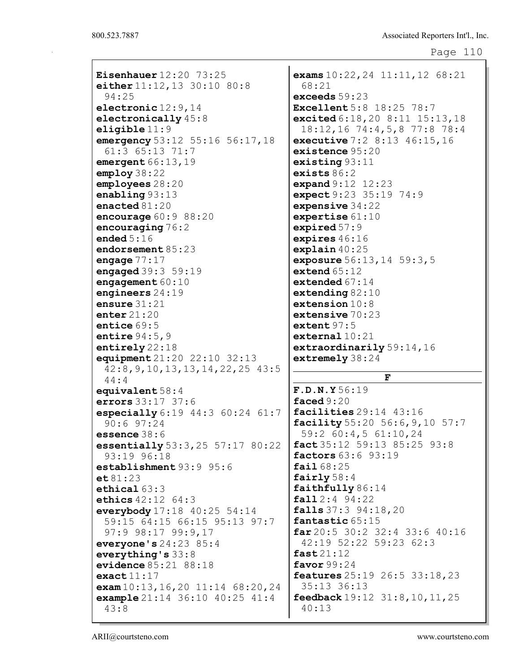```
Eisenhauer 12:20 73:25
either 11:12, 13 30:10 80:8
 94:25
electronic 12:9,14
electronically 45:8
eligible 11:9
emergency 53:12 55:16 56:17, 18
 61:3 65:13 71:7
emergent 66:13,19employ 38:22
employees 28:20
enabling 93:13
enacted 81:20
encourage 60:9 88:20
encouraging 76:2
ended 5:16
endorsement 85:23
engage 77:17
engaged 39:3 59:19
engagement 60:10engineers 24:19
ensure 31:21
enter 21:20entice 69:5
entire 94:5, 9
entirely 22:18
equipment 21:20 22:10 32:13
 42:8,9,10,13,13,14,22,25 43:5
 44:4
equivalent 58:4
errors 33:17 37:6
especially 6:19 44:3 60:24 61:7
 90:6 97:24
essence 38:6
essentially 53:3,25 57:17 80:22
 93:19 96:18
establishment 93:9 95:6
et 81:23
ethical 63:3
ethics 42:12 64:3
everybody 17:18 40:25 54:14
 59:15 64:15 66:15 95:13 97:7
 97:9 98:17 99:9,17
everyone's 24:23 85:4
everything's 33:8
evidence 85:21 88:18
exact11:17exam 10:13,16,20 11:14 68:20,24
example 21:14 36:10 40:25 41:4
 43:8
                                  exams 10:22,24 11:11,12 68:21
                                    68:21
                                  exceeds 59:23
                                  Excellent 5:8 18:25 78:7
                                  excited 6:18,20 8:11 15:13,18
                                    18:12,16 74:4,5,8 77:8 78:4
                                  executive 7:2 8:13 46:15,16
                                  existence 95:20
                                  existing 93:11
                                  exists 86:2
                                  expand 9:12 12:23
                                  expect 9:23 35:19 74:9
                                  expensive 34:22
                                  expertise 61:10
                                  expired 57:9
                                  expires 46:16
                                  explain 40:25
                                  exposure 56:13, 14 59:3, 5
                                  extend 65:12
                                  extended 67:14
                                  extending 82:10
                                  extension 10:8
                                  extensive 70:23
                                  extent 97:5external 10:21
                                  extraordinarily 59:14,16
                                  extremely 38:24
                                                  F
                                  F.D.N.Y 56:19
                                  faced 9:20
                                  facilities 29:14 43:16
                                  facility 55:20 56:6,9,10 57:7
                                    59:2 60:4,5 61:10,24
                                  fact 35:12 59:13 85:25 93:8
                                  factors 63:6 93:19
                                  fail 68:25
                                  fairly 58:4
                                  faithfully 86:14
                                  fall 2:4 94:22
                                  falls 37:3 94:18,20
                                  fantastic 65:15
                                  far 20:5 30:2 32:4 33:6 40:16
                                    42:19 52:22 59:23 62:3
                                  fast 21:12
                                  favor 99:24
                                  features 25:19 26:5 33:18,23
                                    35:13 36:13
                                  feedback 19:12 31:8,10,11,25
                                    40:13
```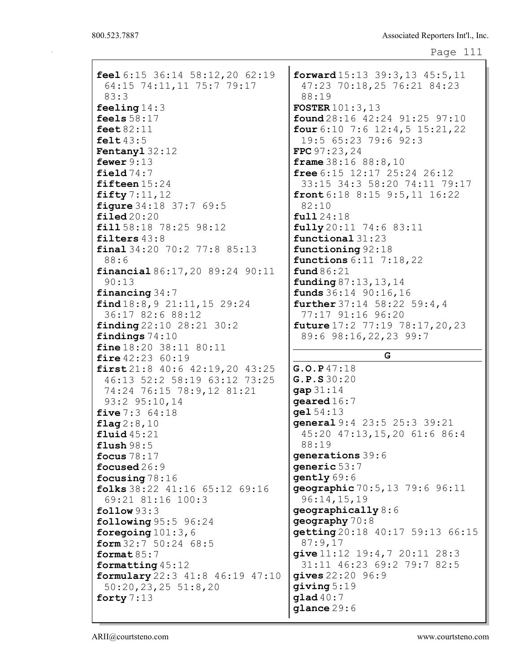| feel $6:15$ $36:14$ $58:12$ , $20$ $62:19$ | forward $15:13$ 39:3, 13 45:5, 11      |
|--------------------------------------------|----------------------------------------|
|                                            |                                        |
| 64:15 74:11,11 75:7 79:17                  | 47:23 70:18,25 76:21 84:23             |
| 83:3                                       | 88:19                                  |
| feeling $14:3$                             | <b>FOSTER</b> $101:3, 13$              |
| feels $58:17$                              | found 28:16 42:24 91:25 97:10          |
| feet $82:11$                               | four $6:10$ 7:6 12:4,5 15:21,22        |
| felt $43:5$                                | 19:5 65:23 79:6 92:3                   |
| Fentanyl 32:12                             |                                        |
|                                            | FPC $97:23,24$                         |
| fewer $9:13$                               | <b>frame</b> $38:16$ $88:8$ , 10       |
| field $74:7$                               | free $6:15$ 12:17 25:24 26:12          |
| fifteen $15:24$                            | 33:15 34:3 58:20 74:11 79:17           |
| fifty $7:11,12$                            | front $6:18$ $8:15$ $9:5$ , 11 $16:22$ |
| figure 34:18 37:7 69:5                     | 82:10                                  |
| $\texttt{filed20:20}$                      | full24:18                              |
|                                            |                                        |
| fill 58:18 78:25 98:12                     | fully 20:11 74:6 83:11                 |
| filters $43:8$                             | functional 31:23                       |
| final 34:20 70:2 77:8 85:13                | functioning 92:18                      |
| 88:6                                       | <b>functions</b> $6:11 \ 7:18,22$      |
| financial 86:17, 20 89:24 90:11            | fund86:21                              |
| 90:13                                      | funding 87:13, 13, 14                  |
|                                            |                                        |
| financing $34:7$                           | <b>funds</b> $36:14$ $90:16$ , 16      |
| find 18:8, 9 21:11, 15 29:24               | <b>further</b> 37:14 58:22 59:4,4      |
| 36:17 82:6 88:12                           | 77:17 91:16 96:20                      |
| $\{finding\ 22:10\ 28:21\ 30:2$            | future $17:2$ $77:19$ $78:17,20,23$    |
| findings $74:10$                           | 89:6 98:16, 22, 23 99:7                |
|                                            |                                        |
|                                            |                                        |
| fine 18:20 38:11 80:11                     | G                                      |
| fire $42:23$ $60:19$                       |                                        |
| first $21:8$ 40:6 42:19, 20 43:25          | G.O.P47:18                             |
| 46:13 52:2 58:19 63:12 73:25               | G.P.S30:20                             |
| 74:24 76:15 78:9,12 81:21                  | gap 31:14                              |
| 93:2 95:10,14                              | $q$ eared $16:7$                       |
| five $7:3$ $64:18$                         | gel 54:13                              |
|                                            | general 9:4 23:5 25:3 39:21            |
| flag $2:8,10$                              |                                        |
| fluid $45:21$                              | 45:20 47:13,15,20 61:6 86:4            |
| flush98:5                                  | 88:19                                  |
| focus $78:17$                              | generations 39:6                       |
| focused $26:9$                             | generic 53:7                           |
| focusing $78:16$                           | gently 69:6                            |
| folks $38:22$ 41:16 65:12 69:16            | geographic 70:5, 13 79:6 96:11         |
|                                            |                                        |
| 69:21 81:16 100:3                          | 96:14,15,19                            |
| follow 93:3                                | geography 8:6                          |
| following 95:5 96:24                       | geography $70:8$                       |
| foregoing $101:3,6$                        | getting 20:18 40:17 59:13 66:15        |
| form 32:7 50:24 68:5                       | 87:9,17                                |
| format $85:7$                              | give $11:12$ 19:4,7 20:11 28:3         |
| formatting 45:12                           | 31:11 46:23 69:2 79:7 82:5             |
|                                            | gives $22:20$ 96:9                     |
| formulary 22:3 41:8 46:19 47:10            |                                        |
| $50:20,23,25$ 51:8,20                      | giving $5:19$                          |
| forty $7:13$                               | qlad40:7<br>$g$ lance $29:6$           |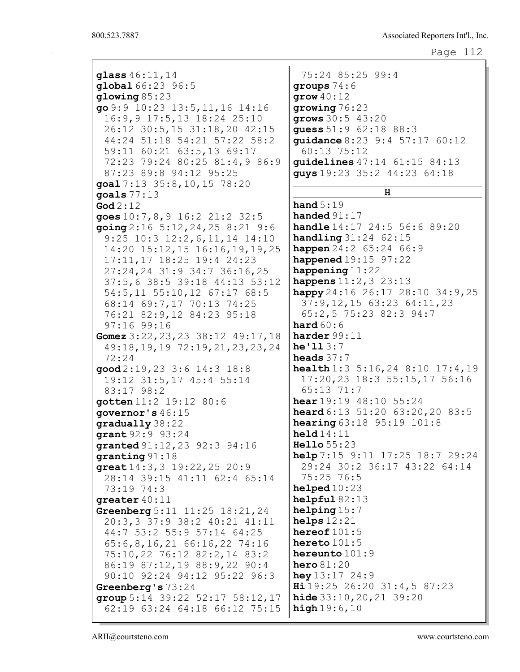```
Page 112
```
glass 46:11,14 global 66:23 96:5 glowing 85:23 go 9:9 10:23 13:5,11,16 14:16 16:9,9 17:5,13 18:24 25:10 26:12 30:5,15 31:18,20 42:15 44:24 51:18 54:21 57:22 58:2 59:11 60:21 63:5,13 69:17 72:23 79:24 80:25 81:4,9 86:9 87:23 89:8 94:12 95:25 goal 7:13 35:8,10,15 78:20 goals 77:13 God 2:12 goes 10:7,8,9 16:2 21:2 32:5 going 2:16 5:12,24,25 8:21 9:6 9:25 10:3 12:2,6,11,14 14:10 14:20 15:12,15 16:16,19,19,25 17:11,17 18:25 19:4 24:23 27:24,24 31:9 34:7 36:16,25 37:5,6 38:5 39:18 44:13 53:12 54:5,11 55:10,12 67:17 68:5 68:14 69:7,17 70:13 74:25 76:21 82:9,12 84:23 95:18 97:16 99:16 Gomez 3:22,23,23 38:12 49:17,18 49:18,19,19 72:19,21,23,23,24 72:24 good 2:19,23 3:6 14:3 18:8 19:12 31:5,17 45:4 55:14 83:17 98:2 gotten 11:2 19:12 80:6 governor's 46:15 gradually 38:22 grant 92:9 93:24 granted 91:12,23 92:3 94:16 granting 91:18 great 14:3,3 19:22,25 20:9 28:14 39:15 41:11 62:4 65:14 73:19 74:3 greater 40:11 Greenberg 5:11 11:25 18:21,24 20:3,3 37:9 38:2 40:21 41:11 44:7 53:2 55:9 57:14 64:25 65:6,8,16,21 66:16,22 74:16 75:10,22 76:12 82:2,14 83:2 86:19 87:12,19 88:9,22 90:4 90:10 92:24 94:12 95:22 96:3 Greenberg's 73:24 group 5:14 39:22 52:17 58:12,17 62:19 63:24 64:18 66:12 75:15 75:24 85:25 99:4 groups 74:6 grow 40:12 growing 76:23 grows 30:5 43:20 guess 51:9 62:18 88:3 guidance 8:23 9:4 57:17 60:12 60:13 75:12 guidelines 47:14 61:15 84:13 guys 19:23 35:2 44:23 64:18 H hand 5:19 handed 91:17 handle 14:17 24:5 56:6 89:20 **handling** 31:24 62:15 **happen** 24:2 65:24 66:9 **happened**  $19:15$  97:22 happening 11:22 happens 11:2, 3 23:13 happy 24:16 26:17 28:10 34:9, 25 37:9,12,15 63:23 64:11,23 65:2,5 75:23 82:3 94:7 hard  $60:6$ harder 99:11 he $'113:7$ heads 37:7 health 1:3 5:16,24 8:10 17:4,19 17:20,23 18:3 55:15,17 56:16 65:13 71:7 hear 19:19 48:10 55:24 heard 6:13 51:20 63:20, 20 83:5 **hearing** 63:18 95:19 101:8 held 14:11 Hello 55:23 help 7:15 9:11 17:25 18:7 29:24 29:24 30:2 36:17 43:22 64:14 75:25 76:5 helped  $10:23$ helpful  $82:13$ helping 15:7 helps  $12:21$ hereof  $101:5$ hereto 101:5 hereunto 101:9 hero 81:20 hey  $13:17$  24:9 Hi 19:25 26:20 31:4,5 87:23 hide 33:10,20,21 39:20 high  $19:6,10$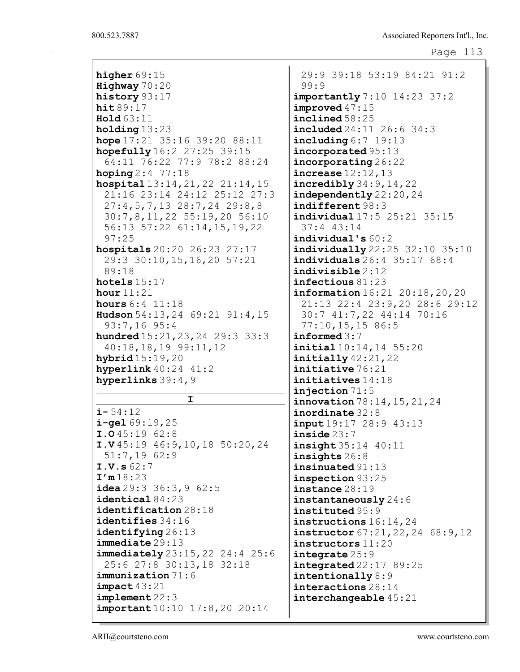| Highway 70:20<br>99:9<br>history 93:17<br>importantly 7:10 14:23 37:2<br>$improved$ 47:15<br>hit89:17<br>include 58:25<br>Hold63:11<br>$include 24:11$ 26:6 34:3<br>holding $13:23$<br>hope $17:21$ 35:16 39:20 88:11<br>including $6:7$ 19:13<br>hopefully 16:2 27:25 39:15<br>incorporated 95:13<br>64:11 76:22 77:9 78:2 88:24<br>incorporating 26:22<br><b>hoping</b> $2:4$ 77:18<br>increase 12:12,13<br>hospital $13:14,21,22$ $21:14,15$<br>$\texttt{incredibly}$ 34:9, 14, 22<br>21:16 23:14 24:12 25:12 27:3<br>independently 22:20, 24<br>$27:4,5,7,13$ 28:7,24 29:8,8<br>indifferent 98:3<br>30:7,8,11,22 55:19,20 56:10<br>individual 17:5 25:21 35:15<br>56:13 57:22 61:14, 15, 19, 22<br>$37:4$ 43:14<br>97:25<br>$indivial$ ual's $60:2$<br>hospitals 20:20 26:23 27:17<br>individually 22:25 32:10 35:10<br>29:3 30:10, 15, 16, 20 57:21<br>individuals 26:4 35:17 68:4<br>89:18<br>$\mathbf{indivisible}$ 2:12<br>hotels $15:17$<br>infectious $81:23$<br>information $16:21$ $20:18$ , $20$ , $20$<br>hour $11:21$<br>21:13 22:4 23:9,20 28:6 29:12<br><b>hours</b> $6:4$ $11:18$<br>Hudson $54:13, 24$ 69:21 91:4, 15<br>30:7 41:7,22 44:14 70:16<br>$93:7,16$ 95:4<br>77:10, 15, 1586:5<br>informed $3:7$<br><b>hundred</b> $15:21, 23, 24$ $29:3$ $33:3$<br>$40:18,18,19$ 99:11, 12<br>initial 10:14, 14 55:20<br>hybrid 15:19, 20<br>$initially$ 42:21,22<br>initiative 76:21<br>hyperlink $40:24$ $41:2$<br>hyperlinks $39:4,9$<br>initiatives 14:18<br>injection $71:5$<br>I.<br>innovation 78:14, 15, 21, 24<br>$i - 54:12$<br>inordinate $32:8$<br>$i$ -gel $69:19,25$<br><b>input</b> 19:17 28:9 43:13<br>I.045:1962:8<br>inside23:7<br>I.V45:1946:9,10,1850:20,24<br>insight 35:14 40:11<br>51:7,1962:9<br>insights 26:8<br>I.V.s 62:7<br>insinuated 91:13<br>I'm18:23<br>inspection 93:25<br><b>idea</b> $29:3$ $36:3$ , $9$ $62:5$<br>instance 28:19<br>$\texttt{identical}\,84\!:\!23$<br>instantaneously $24:6$<br>identification 28:18<br>instituted 95:9<br>$i$ dentifies $34:16$<br>instructions $16:14$ , 24<br>identifying 26:13<br>instructor 67:21, 22, 24 68:9, 12<br>$immediate$ $29:13$<br>$instructions$ $11:20$<br><b>immediately</b> $23:15,22$ $24:4$ $25:6$<br>integrate $25:9$<br>25:6 27:8 30:13,18 32:18<br>$integrated\,22:17\,89:25$<br>$\texttt{immunization}$ 71:6<br>intentionally $8:9$<br>$impect$ 43:21<br>interactions 28:14<br>implement 22:3<br>interchangeable 45:21<br><b>important</b> 10:10 17:8, 20 20:14 |                |                             |
|-----------------------------------------------------------------------------------------------------------------------------------------------------------------------------------------------------------------------------------------------------------------------------------------------------------------------------------------------------------------------------------------------------------------------------------------------------------------------------------------------------------------------------------------------------------------------------------------------------------------------------------------------------------------------------------------------------------------------------------------------------------------------------------------------------------------------------------------------------------------------------------------------------------------------------------------------------------------------------------------------------------------------------------------------------------------------------------------------------------------------------------------------------------------------------------------------------------------------------------------------------------------------------------------------------------------------------------------------------------------------------------------------------------------------------------------------------------------------------------------------------------------------------------------------------------------------------------------------------------------------------------------------------------------------------------------------------------------------------------------------------------------------------------------------------------------------------------------------------------------------------------------------------------------------------------------------------------------------------------------------------------------------------------------------------------------------------------------------------------------------------------------------------------------------------------------------------------------------------------------------------------------------------------------------------------------------------------------------------------------------------------------------------------------------------------------------------------------------------|----------------|-----------------------------|
|                                                                                                                                                                                                                                                                                                                                                                                                                                                                                                                                                                                                                                                                                                                                                                                                                                                                                                                                                                                                                                                                                                                                                                                                                                                                                                                                                                                                                                                                                                                                                                                                                                                                                                                                                                                                                                                                                                                                                                                                                                                                                                                                                                                                                                                                                                                                                                                                                                                                             | higher $69:15$ | 29:9 39:18 53:19 84:21 91:2 |
|                                                                                                                                                                                                                                                                                                                                                                                                                                                                                                                                                                                                                                                                                                                                                                                                                                                                                                                                                                                                                                                                                                                                                                                                                                                                                                                                                                                                                                                                                                                                                                                                                                                                                                                                                                                                                                                                                                                                                                                                                                                                                                                                                                                                                                                                                                                                                                                                                                                                             |                |                             |
|                                                                                                                                                                                                                                                                                                                                                                                                                                                                                                                                                                                                                                                                                                                                                                                                                                                                                                                                                                                                                                                                                                                                                                                                                                                                                                                                                                                                                                                                                                                                                                                                                                                                                                                                                                                                                                                                                                                                                                                                                                                                                                                                                                                                                                                                                                                                                                                                                                                                             |                |                             |
|                                                                                                                                                                                                                                                                                                                                                                                                                                                                                                                                                                                                                                                                                                                                                                                                                                                                                                                                                                                                                                                                                                                                                                                                                                                                                                                                                                                                                                                                                                                                                                                                                                                                                                                                                                                                                                                                                                                                                                                                                                                                                                                                                                                                                                                                                                                                                                                                                                                                             |                |                             |
|                                                                                                                                                                                                                                                                                                                                                                                                                                                                                                                                                                                                                                                                                                                                                                                                                                                                                                                                                                                                                                                                                                                                                                                                                                                                                                                                                                                                                                                                                                                                                                                                                                                                                                                                                                                                                                                                                                                                                                                                                                                                                                                                                                                                                                                                                                                                                                                                                                                                             |                |                             |
|                                                                                                                                                                                                                                                                                                                                                                                                                                                                                                                                                                                                                                                                                                                                                                                                                                                                                                                                                                                                                                                                                                                                                                                                                                                                                                                                                                                                                                                                                                                                                                                                                                                                                                                                                                                                                                                                                                                                                                                                                                                                                                                                                                                                                                                                                                                                                                                                                                                                             |                |                             |
|                                                                                                                                                                                                                                                                                                                                                                                                                                                                                                                                                                                                                                                                                                                                                                                                                                                                                                                                                                                                                                                                                                                                                                                                                                                                                                                                                                                                                                                                                                                                                                                                                                                                                                                                                                                                                                                                                                                                                                                                                                                                                                                                                                                                                                                                                                                                                                                                                                                                             |                |                             |
|                                                                                                                                                                                                                                                                                                                                                                                                                                                                                                                                                                                                                                                                                                                                                                                                                                                                                                                                                                                                                                                                                                                                                                                                                                                                                                                                                                                                                                                                                                                                                                                                                                                                                                                                                                                                                                                                                                                                                                                                                                                                                                                                                                                                                                                                                                                                                                                                                                                                             |                |                             |
|                                                                                                                                                                                                                                                                                                                                                                                                                                                                                                                                                                                                                                                                                                                                                                                                                                                                                                                                                                                                                                                                                                                                                                                                                                                                                                                                                                                                                                                                                                                                                                                                                                                                                                                                                                                                                                                                                                                                                                                                                                                                                                                                                                                                                                                                                                                                                                                                                                                                             |                |                             |
|                                                                                                                                                                                                                                                                                                                                                                                                                                                                                                                                                                                                                                                                                                                                                                                                                                                                                                                                                                                                                                                                                                                                                                                                                                                                                                                                                                                                                                                                                                                                                                                                                                                                                                                                                                                                                                                                                                                                                                                                                                                                                                                                                                                                                                                                                                                                                                                                                                                                             |                |                             |
|                                                                                                                                                                                                                                                                                                                                                                                                                                                                                                                                                                                                                                                                                                                                                                                                                                                                                                                                                                                                                                                                                                                                                                                                                                                                                                                                                                                                                                                                                                                                                                                                                                                                                                                                                                                                                                                                                                                                                                                                                                                                                                                                                                                                                                                                                                                                                                                                                                                                             |                |                             |
|                                                                                                                                                                                                                                                                                                                                                                                                                                                                                                                                                                                                                                                                                                                                                                                                                                                                                                                                                                                                                                                                                                                                                                                                                                                                                                                                                                                                                                                                                                                                                                                                                                                                                                                                                                                                                                                                                                                                                                                                                                                                                                                                                                                                                                                                                                                                                                                                                                                                             |                |                             |
|                                                                                                                                                                                                                                                                                                                                                                                                                                                                                                                                                                                                                                                                                                                                                                                                                                                                                                                                                                                                                                                                                                                                                                                                                                                                                                                                                                                                                                                                                                                                                                                                                                                                                                                                                                                                                                                                                                                                                                                                                                                                                                                                                                                                                                                                                                                                                                                                                                                                             |                |                             |
|                                                                                                                                                                                                                                                                                                                                                                                                                                                                                                                                                                                                                                                                                                                                                                                                                                                                                                                                                                                                                                                                                                                                                                                                                                                                                                                                                                                                                                                                                                                                                                                                                                                                                                                                                                                                                                                                                                                                                                                                                                                                                                                                                                                                                                                                                                                                                                                                                                                                             |                |                             |
|                                                                                                                                                                                                                                                                                                                                                                                                                                                                                                                                                                                                                                                                                                                                                                                                                                                                                                                                                                                                                                                                                                                                                                                                                                                                                                                                                                                                                                                                                                                                                                                                                                                                                                                                                                                                                                                                                                                                                                                                                                                                                                                                                                                                                                                                                                                                                                                                                                                                             |                |                             |
|                                                                                                                                                                                                                                                                                                                                                                                                                                                                                                                                                                                                                                                                                                                                                                                                                                                                                                                                                                                                                                                                                                                                                                                                                                                                                                                                                                                                                                                                                                                                                                                                                                                                                                                                                                                                                                                                                                                                                                                                                                                                                                                                                                                                                                                                                                                                                                                                                                                                             |                |                             |
|                                                                                                                                                                                                                                                                                                                                                                                                                                                                                                                                                                                                                                                                                                                                                                                                                                                                                                                                                                                                                                                                                                                                                                                                                                                                                                                                                                                                                                                                                                                                                                                                                                                                                                                                                                                                                                                                                                                                                                                                                                                                                                                                                                                                                                                                                                                                                                                                                                                                             |                |                             |
|                                                                                                                                                                                                                                                                                                                                                                                                                                                                                                                                                                                                                                                                                                                                                                                                                                                                                                                                                                                                                                                                                                                                                                                                                                                                                                                                                                                                                                                                                                                                                                                                                                                                                                                                                                                                                                                                                                                                                                                                                                                                                                                                                                                                                                                                                                                                                                                                                                                                             |                |                             |
|                                                                                                                                                                                                                                                                                                                                                                                                                                                                                                                                                                                                                                                                                                                                                                                                                                                                                                                                                                                                                                                                                                                                                                                                                                                                                                                                                                                                                                                                                                                                                                                                                                                                                                                                                                                                                                                                                                                                                                                                                                                                                                                                                                                                                                                                                                                                                                                                                                                                             |                |                             |
|                                                                                                                                                                                                                                                                                                                                                                                                                                                                                                                                                                                                                                                                                                                                                                                                                                                                                                                                                                                                                                                                                                                                                                                                                                                                                                                                                                                                                                                                                                                                                                                                                                                                                                                                                                                                                                                                                                                                                                                                                                                                                                                                                                                                                                                                                                                                                                                                                                                                             |                |                             |
|                                                                                                                                                                                                                                                                                                                                                                                                                                                                                                                                                                                                                                                                                                                                                                                                                                                                                                                                                                                                                                                                                                                                                                                                                                                                                                                                                                                                                                                                                                                                                                                                                                                                                                                                                                                                                                                                                                                                                                                                                                                                                                                                                                                                                                                                                                                                                                                                                                                                             |                |                             |
|                                                                                                                                                                                                                                                                                                                                                                                                                                                                                                                                                                                                                                                                                                                                                                                                                                                                                                                                                                                                                                                                                                                                                                                                                                                                                                                                                                                                                                                                                                                                                                                                                                                                                                                                                                                                                                                                                                                                                                                                                                                                                                                                                                                                                                                                                                                                                                                                                                                                             |                |                             |
|                                                                                                                                                                                                                                                                                                                                                                                                                                                                                                                                                                                                                                                                                                                                                                                                                                                                                                                                                                                                                                                                                                                                                                                                                                                                                                                                                                                                                                                                                                                                                                                                                                                                                                                                                                                                                                                                                                                                                                                                                                                                                                                                                                                                                                                                                                                                                                                                                                                                             |                |                             |
|                                                                                                                                                                                                                                                                                                                                                                                                                                                                                                                                                                                                                                                                                                                                                                                                                                                                                                                                                                                                                                                                                                                                                                                                                                                                                                                                                                                                                                                                                                                                                                                                                                                                                                                                                                                                                                                                                                                                                                                                                                                                                                                                                                                                                                                                                                                                                                                                                                                                             |                |                             |
|                                                                                                                                                                                                                                                                                                                                                                                                                                                                                                                                                                                                                                                                                                                                                                                                                                                                                                                                                                                                                                                                                                                                                                                                                                                                                                                                                                                                                                                                                                                                                                                                                                                                                                                                                                                                                                                                                                                                                                                                                                                                                                                                                                                                                                                                                                                                                                                                                                                                             |                |                             |
|                                                                                                                                                                                                                                                                                                                                                                                                                                                                                                                                                                                                                                                                                                                                                                                                                                                                                                                                                                                                                                                                                                                                                                                                                                                                                                                                                                                                                                                                                                                                                                                                                                                                                                                                                                                                                                                                                                                                                                                                                                                                                                                                                                                                                                                                                                                                                                                                                                                                             |                |                             |
|                                                                                                                                                                                                                                                                                                                                                                                                                                                                                                                                                                                                                                                                                                                                                                                                                                                                                                                                                                                                                                                                                                                                                                                                                                                                                                                                                                                                                                                                                                                                                                                                                                                                                                                                                                                                                                                                                                                                                                                                                                                                                                                                                                                                                                                                                                                                                                                                                                                                             |                |                             |
|                                                                                                                                                                                                                                                                                                                                                                                                                                                                                                                                                                                                                                                                                                                                                                                                                                                                                                                                                                                                                                                                                                                                                                                                                                                                                                                                                                                                                                                                                                                                                                                                                                                                                                                                                                                                                                                                                                                                                                                                                                                                                                                                                                                                                                                                                                                                                                                                                                                                             |                |                             |
|                                                                                                                                                                                                                                                                                                                                                                                                                                                                                                                                                                                                                                                                                                                                                                                                                                                                                                                                                                                                                                                                                                                                                                                                                                                                                                                                                                                                                                                                                                                                                                                                                                                                                                                                                                                                                                                                                                                                                                                                                                                                                                                                                                                                                                                                                                                                                                                                                                                                             |                |                             |
|                                                                                                                                                                                                                                                                                                                                                                                                                                                                                                                                                                                                                                                                                                                                                                                                                                                                                                                                                                                                                                                                                                                                                                                                                                                                                                                                                                                                                                                                                                                                                                                                                                                                                                                                                                                                                                                                                                                                                                                                                                                                                                                                                                                                                                                                                                                                                                                                                                                                             |                |                             |
|                                                                                                                                                                                                                                                                                                                                                                                                                                                                                                                                                                                                                                                                                                                                                                                                                                                                                                                                                                                                                                                                                                                                                                                                                                                                                                                                                                                                                                                                                                                                                                                                                                                                                                                                                                                                                                                                                                                                                                                                                                                                                                                                                                                                                                                                                                                                                                                                                                                                             |                |                             |
|                                                                                                                                                                                                                                                                                                                                                                                                                                                                                                                                                                                                                                                                                                                                                                                                                                                                                                                                                                                                                                                                                                                                                                                                                                                                                                                                                                                                                                                                                                                                                                                                                                                                                                                                                                                                                                                                                                                                                                                                                                                                                                                                                                                                                                                                                                                                                                                                                                                                             |                |                             |
|                                                                                                                                                                                                                                                                                                                                                                                                                                                                                                                                                                                                                                                                                                                                                                                                                                                                                                                                                                                                                                                                                                                                                                                                                                                                                                                                                                                                                                                                                                                                                                                                                                                                                                                                                                                                                                                                                                                                                                                                                                                                                                                                                                                                                                                                                                                                                                                                                                                                             |                |                             |
|                                                                                                                                                                                                                                                                                                                                                                                                                                                                                                                                                                                                                                                                                                                                                                                                                                                                                                                                                                                                                                                                                                                                                                                                                                                                                                                                                                                                                                                                                                                                                                                                                                                                                                                                                                                                                                                                                                                                                                                                                                                                                                                                                                                                                                                                                                                                                                                                                                                                             |                |                             |
|                                                                                                                                                                                                                                                                                                                                                                                                                                                                                                                                                                                                                                                                                                                                                                                                                                                                                                                                                                                                                                                                                                                                                                                                                                                                                                                                                                                                                                                                                                                                                                                                                                                                                                                                                                                                                                                                                                                                                                                                                                                                                                                                                                                                                                                                                                                                                                                                                                                                             |                |                             |
|                                                                                                                                                                                                                                                                                                                                                                                                                                                                                                                                                                                                                                                                                                                                                                                                                                                                                                                                                                                                                                                                                                                                                                                                                                                                                                                                                                                                                                                                                                                                                                                                                                                                                                                                                                                                                                                                                                                                                                                                                                                                                                                                                                                                                                                                                                                                                                                                                                                                             |                |                             |
|                                                                                                                                                                                                                                                                                                                                                                                                                                                                                                                                                                                                                                                                                                                                                                                                                                                                                                                                                                                                                                                                                                                                                                                                                                                                                                                                                                                                                                                                                                                                                                                                                                                                                                                                                                                                                                                                                                                                                                                                                                                                                                                                                                                                                                                                                                                                                                                                                                                                             |                |                             |
|                                                                                                                                                                                                                                                                                                                                                                                                                                                                                                                                                                                                                                                                                                                                                                                                                                                                                                                                                                                                                                                                                                                                                                                                                                                                                                                                                                                                                                                                                                                                                                                                                                                                                                                                                                                                                                                                                                                                                                                                                                                                                                                                                                                                                                                                                                                                                                                                                                                                             |                |                             |
|                                                                                                                                                                                                                                                                                                                                                                                                                                                                                                                                                                                                                                                                                                                                                                                                                                                                                                                                                                                                                                                                                                                                                                                                                                                                                                                                                                                                                                                                                                                                                                                                                                                                                                                                                                                                                                                                                                                                                                                                                                                                                                                                                                                                                                                                                                                                                                                                                                                                             |                |                             |
|                                                                                                                                                                                                                                                                                                                                                                                                                                                                                                                                                                                                                                                                                                                                                                                                                                                                                                                                                                                                                                                                                                                                                                                                                                                                                                                                                                                                                                                                                                                                                                                                                                                                                                                                                                                                                                                                                                                                                                                                                                                                                                                                                                                                                                                                                                                                                                                                                                                                             |                |                             |
|                                                                                                                                                                                                                                                                                                                                                                                                                                                                                                                                                                                                                                                                                                                                                                                                                                                                                                                                                                                                                                                                                                                                                                                                                                                                                                                                                                                                                                                                                                                                                                                                                                                                                                                                                                                                                                                                                                                                                                                                                                                                                                                                                                                                                                                                                                                                                                                                                                                                             |                |                             |
|                                                                                                                                                                                                                                                                                                                                                                                                                                                                                                                                                                                                                                                                                                                                                                                                                                                                                                                                                                                                                                                                                                                                                                                                                                                                                                                                                                                                                                                                                                                                                                                                                                                                                                                                                                                                                                                                                                                                                                                                                                                                                                                                                                                                                                                                                                                                                                                                                                                                             |                |                             |
|                                                                                                                                                                                                                                                                                                                                                                                                                                                                                                                                                                                                                                                                                                                                                                                                                                                                                                                                                                                                                                                                                                                                                                                                                                                                                                                                                                                                                                                                                                                                                                                                                                                                                                                                                                                                                                                                                                                                                                                                                                                                                                                                                                                                                                                                                                                                                                                                                                                                             |                |                             |
|                                                                                                                                                                                                                                                                                                                                                                                                                                                                                                                                                                                                                                                                                                                                                                                                                                                                                                                                                                                                                                                                                                                                                                                                                                                                                                                                                                                                                                                                                                                                                                                                                                                                                                                                                                                                                                                                                                                                                                                                                                                                                                                                                                                                                                                                                                                                                                                                                                                                             |                |                             |
|                                                                                                                                                                                                                                                                                                                                                                                                                                                                                                                                                                                                                                                                                                                                                                                                                                                                                                                                                                                                                                                                                                                                                                                                                                                                                                                                                                                                                                                                                                                                                                                                                                                                                                                                                                                                                                                                                                                                                                                                                                                                                                                                                                                                                                                                                                                                                                                                                                                                             |                |                             |
|                                                                                                                                                                                                                                                                                                                                                                                                                                                                                                                                                                                                                                                                                                                                                                                                                                                                                                                                                                                                                                                                                                                                                                                                                                                                                                                                                                                                                                                                                                                                                                                                                                                                                                                                                                                                                                                                                                                                                                                                                                                                                                                                                                                                                                                                                                                                                                                                                                                                             |                |                             |
|                                                                                                                                                                                                                                                                                                                                                                                                                                                                                                                                                                                                                                                                                                                                                                                                                                                                                                                                                                                                                                                                                                                                                                                                                                                                                                                                                                                                                                                                                                                                                                                                                                                                                                                                                                                                                                                                                                                                                                                                                                                                                                                                                                                                                                                                                                                                                                                                                                                                             |                |                             |
|                                                                                                                                                                                                                                                                                                                                                                                                                                                                                                                                                                                                                                                                                                                                                                                                                                                                                                                                                                                                                                                                                                                                                                                                                                                                                                                                                                                                                                                                                                                                                                                                                                                                                                                                                                                                                                                                                                                                                                                                                                                                                                                                                                                                                                                                                                                                                                                                                                                                             |                |                             |
|                                                                                                                                                                                                                                                                                                                                                                                                                                                                                                                                                                                                                                                                                                                                                                                                                                                                                                                                                                                                                                                                                                                                                                                                                                                                                                                                                                                                                                                                                                                                                                                                                                                                                                                                                                                                                                                                                                                                                                                                                                                                                                                                                                                                                                                                                                                                                                                                                                                                             |                |                             |
|                                                                                                                                                                                                                                                                                                                                                                                                                                                                                                                                                                                                                                                                                                                                                                                                                                                                                                                                                                                                                                                                                                                                                                                                                                                                                                                                                                                                                                                                                                                                                                                                                                                                                                                                                                                                                                                                                                                                                                                                                                                                                                                                                                                                                                                                                                                                                                                                                                                                             |                |                             |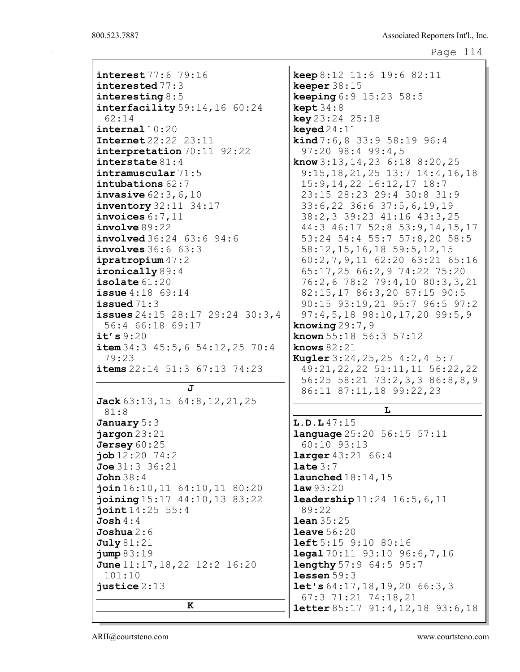| interest 77:6 79:16                      | keep 8:12 11:6 19:6 82:11                                 |
|------------------------------------------|-----------------------------------------------------------|
| interested $77:3$                        | keeper $38:15$                                            |
| interesting $8:5$                        | <b>keeping</b> $6:9$ 15:23 58:5                           |
| $\texttt{interfacility} 59:14,16 60:24$  | $\text{kept }34:8$                                        |
| 62:14                                    | key 23:24 25:18                                           |
| interval 10:20                           | keyed $24:11$                                             |
| <b>Internet</b> 22:22 23:11              | <b>kind</b> $7:6, 8$ 33:9 58:19 96:4                      |
|                                          | 97:20 98:4 99:4,5                                         |
| interpretation 70:11 92:22               |                                                           |
| interstate $81:4$                        | <b>know</b> $3:13, 14, 23$ 6:18 8:20, 25                  |
| intramuscular 71:5                       | $9:15, 18, 21, 25$ 13:7 14:4, 16, 18                      |
| intubations 62:7                         | 15:9, 14, 22 16: 12, 17 18: 7                             |
| <b>invasive</b> $62:3, 6, 10$            | 23:15 28:23 29:4 30:8 31:9                                |
| $\frac{1}{2}$ inventory 32:11 34:17      | 33:6,22 36:6 37:5,6,19,19                                 |
| invoices $6:7,11$                        | 38:2,3 39:23 41:16 43:3,25                                |
| involve 89:22                            | 44:3 46:17 52:8 53:9,14,15,17                             |
| involved 36:24 63:6 94:6                 | 53:24 54:4 55:7 57:8,20 58:5                              |
| involves 36:6 63:3                       | 58:12, 15, 16, 18 59:5, 12, 15                            |
| ipratropium 47:2                         | 60:2,7,9,11 62:20 63:21 65:16                             |
| $\texttt{ironically} 89:4$               | 65:17,25 66:2,9 74:22 75:20                               |
| isolate $61:20$                          | 76:2,6 78:2 79:4,10 80:3,3,21                             |
| <b>issue</b> $4:18$ 69:14                | 82:15,17 86:3,20 87:15 90:5                               |
| issued $71:3$                            | 90:15 93:19,21 95:7 96:5 97:2                             |
|                                          |                                                           |
| issues $24:15$ $28:17$ $29:24$ $30:3,4$  | $97:4,5,18$ $98:10,17,20$ $99:5,9$                        |
| 56:4 66:18 69:17                         | knowing $29:7,9$                                          |
| it's $9:20$                              | <b>known</b> $55:18$ $56:3$ $57:12$                       |
| item $34:3$ $45:5$ , 6 $54:12$ , 25 70:4 | knows $82:21$                                             |
| 79:23                                    | <b>Kugler</b> $3:24, 25, 25, 4:2, 4, 5:7$                 |
| items 22:14 51:3 67:13 74:23             | 49:21, 22, 22 51:11, 11 56:22, 22                         |
|                                          | 56:25 58:21 73:2,3,3 86:8,8,9                             |
| J                                        | 86:11 87:11,18 99:22,23                                   |
| Jack 63:13, 15 64:8, 12, 21, 25          |                                                           |
| 81:8                                     | L                                                         |
| January 5:3                              | L.D.L47:15                                                |
| jargon 23:21                             | <b>language</b> 25:20 56:15 57:11                         |
| Jersey $60:25$                           | $60:10$ 93:13                                             |
| $\texttt{job} 12:20 \quad 74:2$          | <b>larger</b> $43:21$ $66:4$                              |
| Joe 31:3 36:21                           | $\texttt{late} 3:7$                                       |
| <b>John</b> 38:4                         | $l$ aunched $18:14$ , $15$                                |
| join16:10, 11 64:10, 11 80:20            | law93:20                                                  |
| joining 15:17 44:10, 13 83:22            |                                                           |
|                                          | <b>leadership</b> $11:24$ $16:5, 6, 11$                   |
| joint14:25 55:4                          | 89:22                                                     |
| Josh $4:4$                               | <b>lean</b> $35:25$                                       |
| Joshua $2:6$                             | <b>leave</b> $56:20$                                      |
| July 81:21                               | <b>left</b> 5:15 9:10 80:16                               |
| jump 83:19                               | $\texttt{legal } 70:11 \text{ } 93:10 \text{ } 96:6,7,16$ |
| June $11:17, 18, 22$ $12:2$ $16:20$      | <b>lengthy</b> 57:9 64:5 95:7                             |
| 101:10                                   | lessen $59:3$                                             |
| justice $2:13$                           | let's $64:17, 18, 19, 20$ $66:3, 3$                       |
|                                          | $67:3$ $71:21$ $74:18,21$                                 |
| ĸ                                        |                                                           |
|                                          | letter $85:17$ $91:4$ , $12$ , $18$ $93:6$ , $18$         |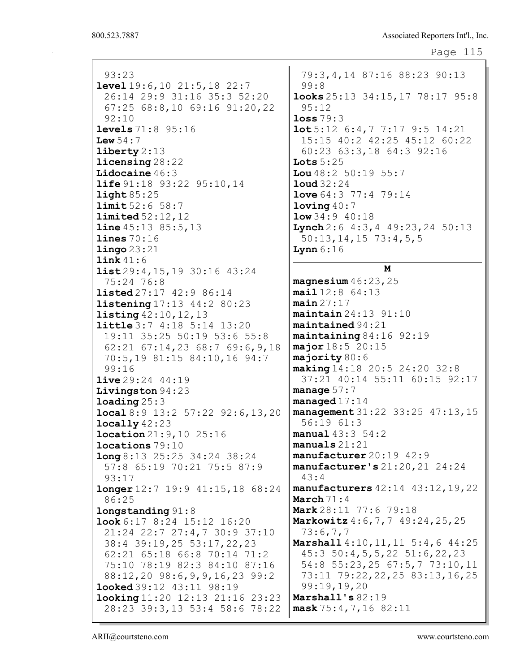```
Page 115
```
93:23 level 19:6,10 21:5,18 22:7 26:14 29:9 31:16 35:3 52:20 67:25 68:8,10 69:16 91:20,22 92:10 levels 71:8 95:16 Lew  $54:7$ liberty 2:13 licensing 28:22 Lidocaine 46:3 **life** 91:18 93:22 95:10, 14 light 85:25 limit 52:6 58:7 limited 52:12,12 **line** 45:13 85:5,13 lines 70:16 lingo 23:21 link 41:6 list 29:4,15,19 30:16 43:24 75:24 76:8 **listed** 27:17 42:9 86:14 listening 17:13 44:2 80:23 listing 42:10,12,13 little 3:7 4:18 5:14 13:20 19:11 35:25 50:19 53:6 55:8 62:21 67:14,23 68:7 69:6,9,18 70:5,19 81:15 84:10,16 94:7 99:16 live 29:24 44:19 Livingston 94:23 loading 25:3 local 8:9 13:2 57:22 92:6,13,20 locally 42:23 location 21:9,10 25:16 locations 79:10 long 8:13 25:25 34:24 38:24 57:8 65:19 70:21 75:5 87:9 93:17 longer 12:7 19:9 41:15,18 68:24 86:25 longstanding 91:8 look 6:17 8:24 15:12 16:20 21:24 22:7 27:4,7 30:9 37:10 38:4 39:19,25 53:17,22,23 62:21 65:18 66:8 70:14 71:2 75:10 78:19 82:3 84:10 87:16 88:12,20 98:6,9,9,16,23 99:2 looked 39:12 43:11 98:19 looking 11:20 12:13 21:16 23:23 28:23 39:3,13 53:4 58:6 78:22

79:3,4,14 87:16 88:23 90:13 99:8 looks 25:13 34:15,17 78:17 95:8 95:12 loss 79:3 lot 5:12 6:4,7 7:17 9:5 14:21 15:15 40:2 42:25 45:12 60:22 60:23 63:3,18 64:3 92:16 Lots  $5:25$ Lou 48:2 50:19 55:7 loud 32:24 love 64:3 77:4 79:14 loving  $40:7$ low 34:9 40:18 Lynch 2:6 4:3, 4 49:23, 24 50:13 50:13,14,15 73:4,5,5 **Lynn** 6:16

M magnesium 46:23,25 mail 12:8 64:13  $main 27:17$ maintain 24:13 91:10 maintained 94:21 maintaining 84:16 92:19 major 18:5 20:15 majority 80:6 making 14:18 20:5 24:20 32:8 37:21 40:14 55:11 60:15 92:17 manage  $57:7$ managed 17:14 management 31:22 33:25 47:13,15 56:19 61:3 manual 43:3 54:2 manuals 21:21 manufacturer 20:19 42:9 manufacturer's 21:20,21 24:24 43:4 manufacturers 42:14 43:12,19,22 March 71:4 Mark 28:11 77:6 79:18 Markowitz 4:6,7,7 49:24,25,25 73:6,7,7 Marshall 4:10,11,11 5:4,6 44:25 45:3 50:4,5,5,22 51:6,22,23 54:8 55:23,25 67:5,7 73:10,11 73:11 79:22,22,25 83:13,16,25 99:19,19,20 Marshall's 82:19

mask 75:4,7,16 82:11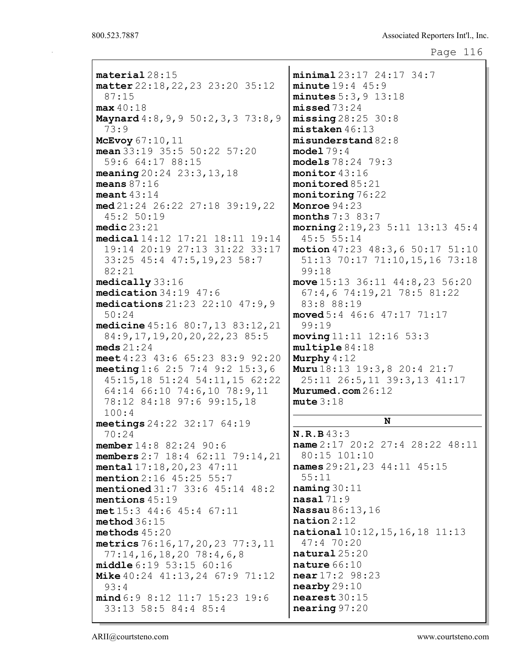| material28:15                        |
|--------------------------------------|
| matter 22:18, 22, 23 23:20 35:12     |
| 87:15                                |
| max 40:18                            |
| Maynard 4:8, 9, 9 50:2, 3, 3 73:8, 9 |
| 73:9                                 |
| McEvoy $67:10,11$                    |
| mean $33:19$ $35:5$ $50:22$ $57:20$  |
| 59:6 64:17 88:15                     |
| meaning 20:24 23:3, 13, 18           |
| means $87:16$                        |
| meant $43:14$                        |
| $med$ 21:24 26:22 27:18 39:19, 22    |
| 45:2 50:19                           |
| medic23:21                           |
| medical 14:12 17:21 18:11 19:14      |
| 19:14 20:19 27:13 31:22 33:17        |
| 33:25 45:4 47:5,19,23 58:7           |
| 82:21                                |
| medically 33:16                      |
| medication 34:19 47:6                |
| medications 21:23 22:10 47:9,9       |
| 50:24                                |
| medicine 45:16 80:7,13 83:12,21      |
| 84: 9, 17, 19, 20, 20, 22, 23 85: 5  |
| meds $21:24$                         |
| meet 4:23 43:6 65:23 83:9 92:20      |
| meeting 1:6 2:5 7:4 9:2 15:3,6       |
| 45:15,18 51:24 54:11,15 62:22        |
| 64:14 66:10 74:6,10 78:9,11          |
| 78:12 84:18 97:6 99:15,18            |
| 100:4                                |
| meetings $24:22$ $32:17$ $64:19$     |
| 70:24                                |
| member 14:8 82:24 90:6               |
| members $2:7$ 18:4 62:11 79:14, 21   |
| mental $17:18,20,23$ $47:11$         |
| mention 2:16 45:25 55:7              |
| mentioned 31:7 33:6 45:14 48:2       |
| mentions $45:19$                     |
| met 15:3 44:6 45:4 67:11             |
| method36:15                          |
| methods $45:20$                      |
|                                      |
| metrics 76:16, 17, 20, 23 77:3, 11   |
| 77:14,16,18,20 78:4,6,8              |
| middle 6:19 53:15 60:16              |
| Mike 40:24 41:13, 24 67:9 71:12      |
| 93:4                                 |
| mind 6:9 8:12 11:7 15:23 19:6        |
| 33:13 58:5 84:4 85:4                 |

minimal 23:17 24:17 34:7 minute 19:4 45:9 minutes 5:3,9 13:18 missed 73:24  $missing 28:25 30:8$ mistaken 46:13 misunderstand 82:8 model 79:4 models 78:24 79:3 monitor 43:16 monitored 85:21 monitoring 76:22 Monroe 94:23 months 7:3 83:7 morning 2:19,23 5:11 13:13 45:4 45:5 55:14 motion 47:23 48:3,6 50:17 51:10 51:13 70:17 71:10,15,16 73:18 99:18 move 15:13 36:11 44:8,23 56:20 67:4,6 74:19,21 78:5 81:22 83:8 88:19 moved 5:4 46:6 47:17 71:17 99:19 moving 11:11 12:16 53:3 multiple 84:18 Murphy  $4:12$ Muru 18:13 19:3,8 20:4 21:7 25:11 26:5,11 39:3,13 41:17 Murumed.com 26:12 mute 3:18

### N

N.R.B 43:3 name 2:17 20:2 27:4 28:22 48:11 80:15 101:10 names 29:21,23 44:11 45:15 55:11 naming 30:11 nasal 71:9 Nassau 86:13,16 nation 2:12 national 10:12,15,16,18 11:13 47:4 70:20 natural 25:20 nature 66:10 near 17:2 98:23 nearby 29:10 nearest 30:15 nearing 97:20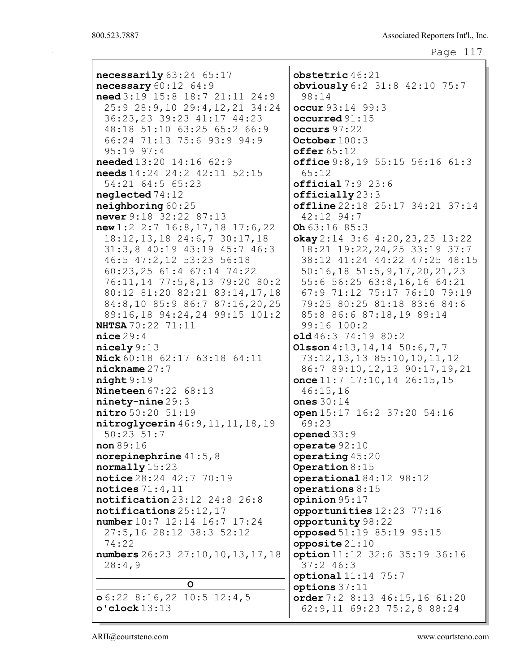```
Page 117
```

| necessarily 63:24 65:17              | $\texttt{obstetric}~46:21$              |
|--------------------------------------|-----------------------------------------|
| necessary $60:12$ $64:9$             | obviously 6:2 31:8 42:10 75:7           |
| need 3:19 15:8 18:7 21:11 24:9       | 98:14                                   |
| 25:9 28:9,10 29:4,12,21 34:24        | occur 93:14 99:3                        |
| 36:23,23 39:23 41:17 44:23           | occurred $91:15$                        |
| 48:18 51:10 63:25 65:2 66:9          | occurs 97:22                            |
| 66:24 71:13 75:6 93:9 94:9           | October $100:3$                         |
| $95:19$ $97:4$                       | offer 65:12                             |
| needed 13:20 14:16 62:9              | office $9:8,19$ 55:15 56:16 61:3        |
| needs 14:24 24:2 42:11 52:15         | 65:12                                   |
| 54:21 64:5 65:23                     | official 7:9 23:6                       |
| $\texttt{neglected}$ 74:12           | $officially$ $23:3$                     |
| neighbouring 60:25                   | offline $22:18$ $25:17$ $34:21$ $37:14$ |
| never 9:18 32:22 87:13               | $42:12$ 94:7                            |
| new 1:2 2:7 16:8, 17, 18 17:6, 22    | Oh $63:16$ $85:3$                       |
| 18:12, 13, 18 24:6, 7 30:17, 18      | okay $2:14$ 3:6 4:20, 23, 25 13:22      |
| 31:3,8 40:19 43:19 45:7 46:3         | 18:21 19:22, 24, 25 33:19 37:7          |
| 46:5 47:2,12 53:23 56:18             | 38:12 41:24 44:22 47:25 48:15           |
| $60:23,25$ 61:4 67:14 74:22          | $50:16, 18$ $51:5, 9, 17, 20, 21, 23$   |
| 76:11,14 77:5,8,13 79:20 80:2        | 55:6 56:25 63:8,16,16 64:21             |
| 80:12 81:20 82:21 83:14,17,18        | 67:9 71:12 75:17 76:10 79:19            |
| 84:8,10 85:9 86:7 87:16,20,25        | 79:25 80:25 81:18 83:6 84:6             |
| 89:16,18 94:24,24 99:15 101:2        | 85:8 86:6 87:18,19 89:14                |
| <b>NHTSA</b> 70:22 71:11             | 99:16 100:2                             |
| nice 29:4                            | old 46:3 74:19 80:2                     |
| nicely 9:13                          | Olsson $4:13, 14, 14$ 50:6, 7, 7        |
| Nick 60:18 62:17 63:18 64:11         | 73:12, 13, 13 85:10, 10, 11, 12         |
| $n$ ickname $27:7$                   | 86:7 89:10, 12, 13 90:17, 19, 21        |
| night9:19                            | once $11:7$ 17:10, 14 26:15, 15         |
| <b>Nineteen</b> 67:22 68:13          | 46:15,16                                |
| $ninety-nine 29:3$                   | ones $30:14$                            |
| nitro 50:20 51:19                    | open 15:17 16:2 37:20 54:16             |
| nitroglycerin 46: 9, 11, 11, 18, 19  | 69:23                                   |
| $50:23$ $51:7$                       | opened $33:9$                           |
| non 89:16                            | operate $92:10$                         |
| norepinephrine $41:5,8$              | operating $45:20$                       |
| $normally$ 15:23                     | Operation 8:15                          |
| notice 28:24 42:7 70:19              | operational $84:12$ $98:12$             |
| notices $71:4,11$                    | operations $8:15$                       |
| $\n  notification 23:12 24:8 26:8\n$ | opinion 95:17                           |
| notifications 25:12, 17              | opportunities 12:23 77:16               |
| number 10:7 12:14 16:7 17:24         | opportunity 98:22                       |
| 27:5,16 28:12 38:3 52:12             | opposed 51:19 85:19 95:15               |
| 74:22                                | opposite $21:10$                        |
| numbers 26:23 27:10, 10, 13, 17, 18  | option 11:12 32:6 35:19 36:16           |
| 28:4,9                               | 37:246:3                                |
|                                      | $optional11:14$ 75:7                    |
| $\circ$                              | options $37:11$                         |
| $\sigma$ 6:22 8:16,22 10:5 12:4,5    | order 7:2 8:13 46:15,16 61:20           |
| $o$ 'clock $13:13$                   | 62:9,11 69:23 75:2,8 88:24              |
|                                      |                                         |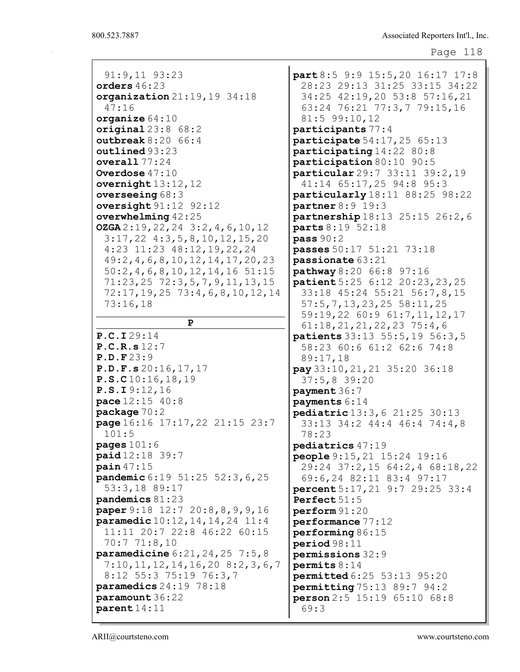91:9,11 93:23 orders 46:23 organization 21:19,19 34:18 47:16 organize  $64:10$ original  $23:8$   $68:2$ outbreak 8:20 66:4 outlined 93:23 overall 77:24 Overdose 47:10 overnight 13:12,12 overseeing 68:3 oversight 91:12 92:12 overwhelming 42:25 OZGA 2:19,22,24 3:2,4,6,10,12 3:17,22 4:3,5,8,10,12,15,20 4:23 11:23 48:12,19,22,24 49:2,4,6,8,10,12,14,17,20,23 50:2,4,6,8,10,12,14,16 51:15 71:23,25 72:3,5,7,9,11,13,15 72:17,19,25 73:4,6,8,10,12,14 73:16,18 P P.C.I 29:14 P.C.R.s 12:7 P.D.F 23:9 P.D.F.s 20:16,17,17 P.S.C 10:16,18,19 P.S.I 9:12,16 pace 12:15 40:8 package 70:2 page 16:16 17:17,22 21:15 23:7 101:5 pages  $101:6$ paid 12:18 39:7 pain 47:15 pandemic 6:19 51:25 52:3,6,25 53:3,18 89:17 pandemics 81:23 paper 9:18 12:7 20:8,8,9,9,16 paramedic 10:12,14,14,24 11:4 11:11 20:7 22:8 46:22 60:15 70:7 71:8,10 paramedicine 6:21,24,25 7:5,8 7:10,11,12,14,16,20 8:2,3,6,7 8:12 55:3 75:19 76:3,7 paramedics 24:19 78:18 paramount 36:22 parent 14:11

part 8:5 9:9 15:5,20 16:17 17:8 28:23 29:13 31:25 33:15 34:22 34:25 42:19,20 53:8 57:16,21 63:24 76:21 77:3,7 79:15,16 81:5 99:10,12 participants 77:4 participate 54:17,25 65:13 participating 14:22 80:8 participation 80:10 90:5 particular 29:7 33:11 39:2,19 41:14 65:17,25 94:8 95:3 particularly 18:11 88:25 98:22 partner 8:9 19:3 partnership 18:13 25:15 26:2,6 parts 8:19 52:18 pass 90:2 passes 50:17 51:21 73:18 passionate 63:21 pathway 8:20 66:8 97:16 patient 5:25 6:12 20:23,23,25 33:18 45:24 55:21 56:7,8,15 57:5,7,13,23,25 58:11,25 59:19,22 60:9 61:7,11,12,17 61:18,21,21,22,23 75:4,6 patients 33:13 55:5,19 56:3,5 58:23 60:6 61:2 62:6 74:8 89:17,18 pay 33:10,21,21 35:20 36:18 37:5,8 39:20 payment 36:7 payments 6:14 pediatric 13:3,6 21:25 30:13 33:13 34:2 44:4 46:4 74:4,8 78:23 pediatrics 47:19 people 9:15,21 15:24 19:16 29:24 37:2,15 64:2,4 68:18,22 69:6,24 82:11 83:4 97:17 percent 5:17,21 9:7 29:25 33:4 Perfect 51:5 perform 91:20 performance 77:12 performing 86:15 period 98:11 permissions 32:9 permits 8:14 permitted 6:25 53:13 95:20 permitting 75:13 89:7 94:2 person 2:5 15:19 65:10 68:8 69:3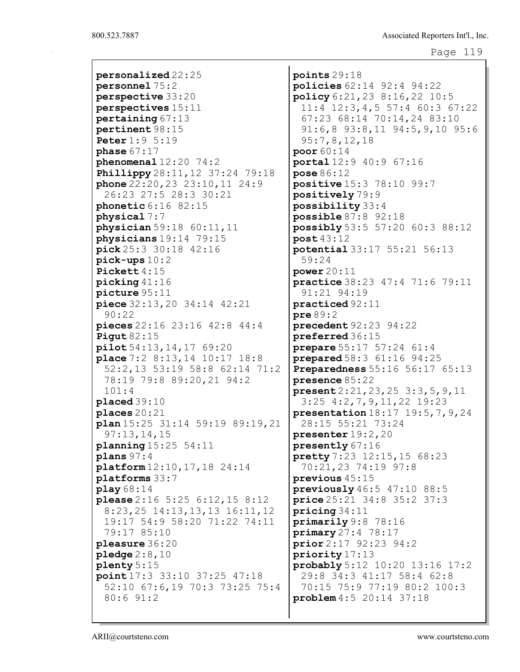personalized 22:25 personnel 75:2 perspective 33:20 perspectives 15:11 pertaining 67:13 pertinent 98:15 Peter 1:9 5:19 phase  $67:17$ phenomenal 12:20 74:2 Phillippy 28:11,12 37:24 79:18 phone 22:20,23 23:10,11 24:9 26:23 27:5 28:3 30:21 phonetic 6:16 82:15 physical 7:7 physician 59:18 60:11,11 physicians 19:14 79:15 pick 25:3 30:18 42:16 pick-ups 10:2 Pickett 4:15 picking 41:16 picture 95:11 piece 32:13,20 34:14 42:21 90:22 pieces 22:16 23:16 42:8 44:4 Pigut 82:15 pilot 54:13,14,17 69:20 place 7:2 8:13,14 10:17 18:8 52:2,13 53:19 58:8 62:14 71:2 78:19 79:8 89:20,21 94:2 101:4 placed 39:10 places 20:21 plan 15:25 31:14 59:19 89:19,21 97:13,14,15 planning 15:25 54:11 plans 97:4 platform 12:10,17,18 24:14 platforms 33:7 play 68:14 please 2:16 5:25 6:12,15 8:12 8:23,25 14:13,13,13 16:11,12 19:17 54:9 58:20 71:22 74:11 79:17 85:10 pleasure 36:20 pledge 2:8,10 plenty 5:15 point 17:3 33:10 37:25 47:18 52:10 67:6,19 70:3 73:25 75:4 80:6 91:2

points 29:18 policies 62:14 92:4 94:22 policy 6:21,23 8:16,22 10:5 11:4 12:3,4,5 57:4 60:3 67:22 67:23 68:14 70:14,24 83:10 91:6,8 93:8,11 94:5,9,10 95:6 95:7,8,12,18 poor 60:14 portal 12:9 40:9 67:16 pose 86:12 positive 15:3 78:10 99:7 positively 79:9 possibility 33:4 possible 87:8 92:18 possibly 53:5 57:20 60:3 88:12 post 43:12 potential 33:17 55:21 56:13 59:24 power 20:11 practice 38:23 47:4 71:6 79:11 91:21 94:19 practiced 92:11 pre 89:2 precedent 92:23 94:22 preferred 36:15 prepare 55:17 57:24 61:4 prepared 58:3 61:16 94:25 Preparedness 55:16 56:17 65:13 presence 85:22 present 2:21,23,25 3:3,5,9,11 3:25 4:2,7,9,11,22 19:23 presentation 18:17 19:5,7,9,24 28:15 55:21 73:24 presenter 19:2,20 presently 67:16 pretty 7:23 12:15,15 68:23 70:21,23 74:19 97:8 previous 45:15 previously 46:5 47:10 88:5 price 25:21 34:8 35:2 37:3 pricing 34:11 primarily 9:8 78:16 primary 27:4 78:17 prior 2:17 92:23 94:2 priority 17:13 probably 5:12 10:20 13:16 17:2 29:8 34:3 41:17 58:4 62:8 70:15 75:9 77:19 80:2 100:3 problem 4:5 20:14 37:18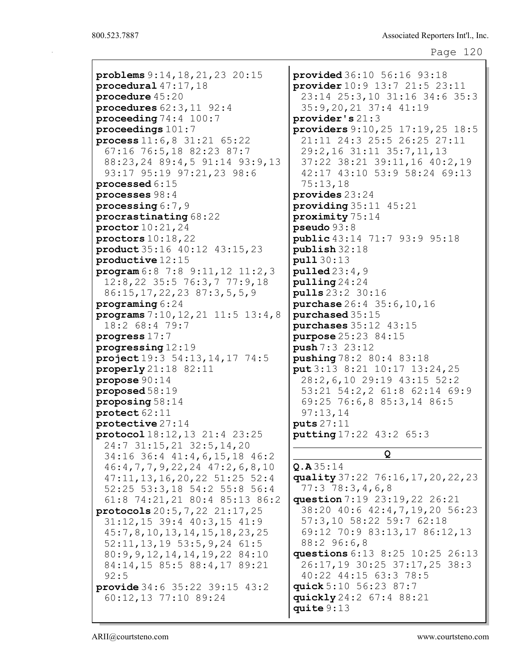```
Page 120
```
problems 9:14,18,21,23 20:15 procedural 47:17,18 procedure 45:20 procedures 62:3,11 92:4 proceeding 74:4 100:7 proceedings 101:7 process 11:6,8 31:21 65:22 67:16 76:5,18 82:23 87:7 88:23,24 89:4,5 91:14 93:9,13 93:17 95:19 97:21,23 98:6 processed 6:15 processes 98:4 processing 6:7,9 procrastinating 68:22 proctor 10:21,24 proctors 10:18,22 product 35:16 40:12 43:15,23 productive 12:15 program 6:8 7:8 9:11,12 11:2,3 12:8,22 35:5 76:3,7 77:9,18 86:15,17,22,23 87:3,5,5,9 programing 6:24 programs 7:10,12,21 11:5 13:4,8 18:2 68:4 79:7 progress 17:7 progressing 12:19 project 19:3 54:13,14,17 74:5 properly 21:18 82:11 propose 90:14 proposed 58:19 proposing 58:14 protect 62:11 protective 27:14 protocol 18:12,13 21:4 23:25 24:7 31:15,21 32:5,14,20 34:16 36:4 41:4,6,15,18 46:2 46:4,7,7,9,22,24 47:2,6,8,10 47:11,13,16,20,22 51:25 52:4 52:25 53:3,18 54:2 55:8 56:4 61:8 74:21,21 80:4 85:13 86:2 protocols 20:5,7,22 21:17,25 31:12,15 39:4 40:3,15 41:9 45:7,8,10,13,14,15,18,23,25 52:11,13,19 53:5,9,24 61:5 80:9,9,12,14,14,19,22 84:10 84:14,15 85:5 88:4,17 89:21 92:5 provide 34:6 35:22 39:15 43:2 60:12,13 77:10 89:24

provided 36:10 56:16 93:18 provider 10:9 13:7 21:5 23:11 23:14 25:3,10 31:16 34:6 35:3 35:9,20,21 37:4 41:19 provider's 21:3 providers 9:10,25 17:19,25 18:5 21:11 24:3 25:5 26:25 27:11 29:2,16 31:11 35:7,11,13 37:22 38:21 39:11,16 40:2,19 42:17 43:10 53:9 58:24 69:13 75:13,18 provides 23:24 providing 35:11 45:21 proximity 75:14 pseudo 93:8 public 43:14 71:7 93:9 95:18 publish 32:18 pull 30:13  $p$ ulled  $23:4,9$ pulling 24:24 pulls 23:2 30:16 purchase 26:4 35:6,10,16 purchased 35:15 purchases 35:12 43:15 purpose 25:23 84:15 push 7:3 23:12 pushing 78:2 80:4 83:18 put 3:13 8:21 10:17 13:24,25 28:2,6,10 29:19 43:15 52:2 53:21 54:2,2 61:8 62:14 69:9 69:25 76:6,8 85:3,14 86:5 97:13,14 puts 27:11 putting 17:22 43:2 65:3

# Q

Q.A 35:14 quality 37:22 76:16,17,20,22,23 77:3 78:3,4,6,8 question 7:19 23:19,22 26:21 38:20 40:6 42:4,7,19,20 56:23 57:3,10 58:22 59:7 62:18 69:12 70:9 83:13,17 86:12,13 88:2 96:6,8 questions 6:13 8:25 10:25 26:13 26:17,19 30:25 37:17,25 38:3 40:22 44:15 63:3 78:5 quick 5:10 56:23 87:7 quickly 24:2 67:4 88:21 quite 9:13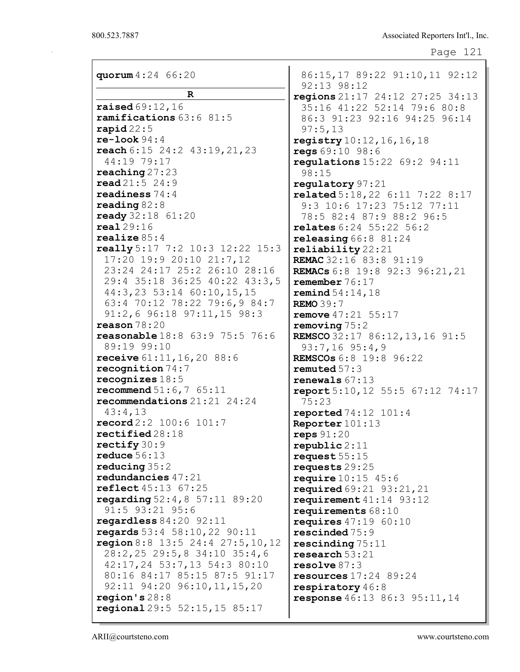| quorum 4:24 66:20                                             | 86:15,17 89:22 91:10,11 92:12<br>92:13 98:12         |
|---------------------------------------------------------------|------------------------------------------------------|
| $\mathbf R$                                                   | regions $21:17$ $24:12$ $27:25$ $34:13$              |
| <b>raised</b> $69:12, 16$                                     | 35:16 41:22 52:14 79:6 80:8                          |
| ramifications 63:6 81:5                                       | 86:3 91:23 92:16 94:25 96:14                         |
| rapid $22:5$                                                  | 97:5,13                                              |
| $re-look 94:4$                                                | registry 10:12, 16, 16, 18                           |
| reach 6:15 24:2 43:19,21,23                                   | regs 69:10 98:6                                      |
| 44:19 79:17                                                   | <b>regulations</b> $15:22$ 69:2 94:11                |
| $\texttt{reaching} 27:23$                                     | 98:15                                                |
| $\texttt{read} 21:5 24:9$                                     | regulatory 97:21                                     |
| readiness $74:4$                                              | related 5:18, 22 6:11 7:22 8:17                      |
| reading $82:8$                                                | 9:3 10:6 17:23 75:12 77:11                           |
| ready 32:18 61:20<br>real29:16                                | 78:5 82:4 87:9 88:2 96:5                             |
| realize $85:4$                                                | relates 6:24 55:22 56:2                              |
| <b>really</b> 5:17 7:2 10:3 12:22 15:3                        | releasing $66:8$ $81:24$<br>reliability 22:21        |
| 17:20 19:9 20:10 21:7,12                                      | REMAC 32:16 83:8 91:19                               |
| 23:24 24:17 25:2 26:10 28:16                                  | REMACs 6:8 19:8 92:3 96:21, 21                       |
| 29:4 35:18 36:25 40:22 43:3,5                                 | remember $76:17$                                     |
| 44:3,23 53:14 60:10,15,15                                     | <b>remind</b> $54:14, 18$                            |
| 63:4 70:12 78:22 79:6,9 84:7                                  | <b>REMO 39:7</b>                                     |
| 91:2,6 96:18 97:11,15 98:3                                    | <b>remove</b> $47:21$ 55:17                          |
| reason $78:20$                                                | removing $75:2$                                      |
| reasonable 18:8 63:9 75:5 76:6                                | REMSCO 32:17 86:12, 13, 16 91:5                      |
| 89:19 99:10                                                   | $93:7,16$ $95:4,9$                                   |
| receive 61:11, 16, 20 88:6                                    | <b>REMSCOs</b> 6:8 19:8 96:22                        |
| recognition $74:7$<br>recognizes $18:5$                       | remuted $57:3$                                       |
| <b>recommend</b> $51:6, 7, 65:11$                             | renewals $67:13$<br>report 5:10, 12 55:5 67:12 74:17 |
| recommendations $21:21$ $24:24$                               | 75:23                                                |
| 43:4,13                                                       | <b>reported</b> $74:12$ $101:4$                      |
| $\texttt{record2:2}$ 100:6 101:7                              | Reporter 101:13                                      |
| $\texttt{rectified28:18}$                                     | reps $91:20$                                         |
| rectify $30:9$                                                | $\texttt{repubic} 2:11$                              |
| reduce $56:13$                                                | request $55:15$                                      |
| reducing $35:2$                                               | requests $29:25$                                     |
| redundancies $47:21$                                          | <b>require</b> $10:15$ $45:6$                        |
| reflect 45:13 67:25                                           | required $69:21$ $93:21$ , $21$                      |
| regarding $52:4,8\ 57:11\ 89:20$                              | requirement $41:14$ $93:12$                          |
| 91:5 93:21 95:6                                               | requirements $68:10$                                 |
| regardless $84:20$ 92:11<br>regards $53:4$ $58:10,22$ $90:11$ | requires $47:19$ $60:10$<br>$rescinded\,75:9$        |
| region 8:8 13:5 24:4 27:5, 10, 12                             | rescinding $75:11$                                   |
| 28:2,25 29:5,8 34:10 35:4,6                                   | research $53:21$                                     |
| 42:17,24 53:7,13 54:3 80:10                                   | resolve $87:3$                                       |
| 80:16 84:17 85:15 87:5 91:17                                  | resources $17:24$ 89:24                              |
| 92:11 94:20 96:10, 11, 15, 20                                 | respiratory $46:8$                                   |
| region's $28:8$                                               | <b>response</b> 46:13 86:3 95:11, 14                 |
| regional $29:5 52:15, 15 85:17$                               |                                                      |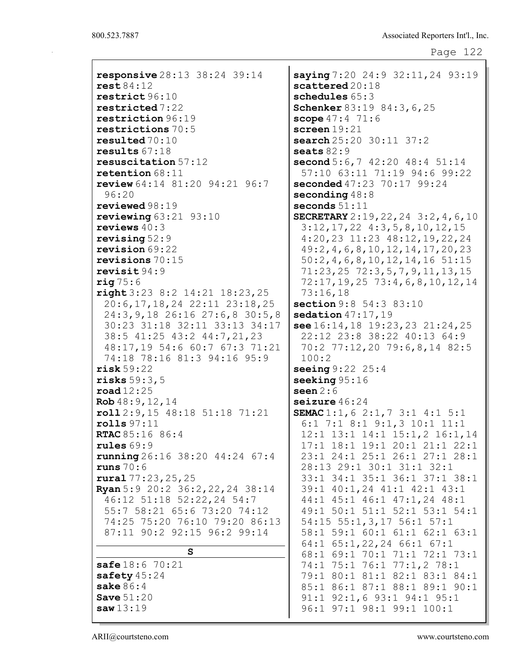responsive 28:13 38:24 39:14 rest 84:12 restrict 96:10 restricted 7:22 restriction 96:19 restrictions 70:5 resulted 70:10 results 67:18 resuscitation 57:12 retention 68:11 review 64:14 81:20 94:21 96:7 96:20 reviewed 98:19 reviewing  $63:21$   $93:10$ reviews 40:3 revising 52:9 revision 69:22 revisions 70:15 revisit 94:9  $\texttt{ria}$  75:6 right 3:23 8:2 14:21 18:23,25 20:6,17,18,24 22:11 23:18,25 24:3,9,18 26:16 27:6,8 30:5,8 30:23 31:18 32:11 33:13 34:17 38:5 41:25 43:2 44:7,21,23 48:17,19 54:6 60:7 67:3 71:21 74:18 78:16 81:3 94:16 95:9 risk 59:22 risks 59:3,5 road 12:25 Rob 48:9,12,14 roll 2:9,15 48:18 51:18 71:21 rolls 97:11 RTAC 85:16 86:4 rules 69:9 running 26:16 38:20 44:24 67:4 runs 70:6 rural 77:23,25,25 Ryan 5:9 20:2 36:2,22,24 38:14 46:12 51:18 52:22,24 54:7 55:7 58:21 65:6 73:20 74:12 74:25 75:20 76:10 79:20 86:13 87:11 90:2 92:15 96:2 99:14 S safe 18:6 70:21 safety 45:24 sake 86:4 Save 51:20 saw 13:19

saying 7:20 24:9 32:11,24 93:19 scattered 20:18 schedules  $65:3$ Schenker 83:19 84:3, 6, 25 scope  $47:4$   $71:6$ screen 19:21 search 25:20 30:11 37:2 seats 82:9 second 5:6,7 42:20 48:4 51:14 57:10 63:11 71:19 94:6 99:22 seconded 47:23 70:17 99:24 seconding  $48:8$ seconds 51:11 SECRETARY 2:19,22,24 3:2,4,6,10 3:12,17,22 4:3,5,8,10,12,15 4:20,23 11:23 48:12,19,22,24 49:2,4,6,8,10,12,14,17,20,23 50:2,4,6,8,10,12,14,16 51:15 71:23,25 72:3,5,7,9,11,13,15 72:17,19,25 73:4,6,8,10,12,14 73:16,18 section 9:8 54:3 83:10 sedation  $47:17,19$ see 16:14,18 19:23,23 21:24,25 22:12 23:8 38:22 40:13 64:9 70:2 77:12,20 79:6,8,14 82:5 100:2 seeing 9:22 25:4 seeking 95:16 seen  $2:6$ seizure 46:24 SEMAC 1:1,6 2:1,7 3:1 4:1 5:1 6:1 7:1 8:1 9:1,3 10:1 11:1 12:1 13:1 14:1 15:1,2 16:1,14 17:1 18:1 19:1 20:1 21:1 22:1 23:1 24:1 25:1 26:1 27:1 28:1 28:13 29:1 30:1 31:1 32:1 33:1 34:1 35:1 36:1 37:1 38:1 39:1 40:1,24 41:1 42:1 43:1 44:1 45:1 46:1 47:1,24 48:1 49:1 50:1 51:1 52:1 53:1 54:1 54:15 55:1,3,17 56:1 57:1 58:1 59:1 60:1 61:1 62:1 63:1 64:1 65:1,22,24 66:1 67:1 68:1 69:1 70:1 71:1 72:1 73:1 74:1 75:1 76:1 77:1,2 78:1 79:1 80:1 81:1 82:1 83:1 84:1 85:1 86:1 87:1 88:1 89:1 90:1 91:1 92:1,6 93:1 94:1 95:1 96:1 97:1 98:1 99:1 100:1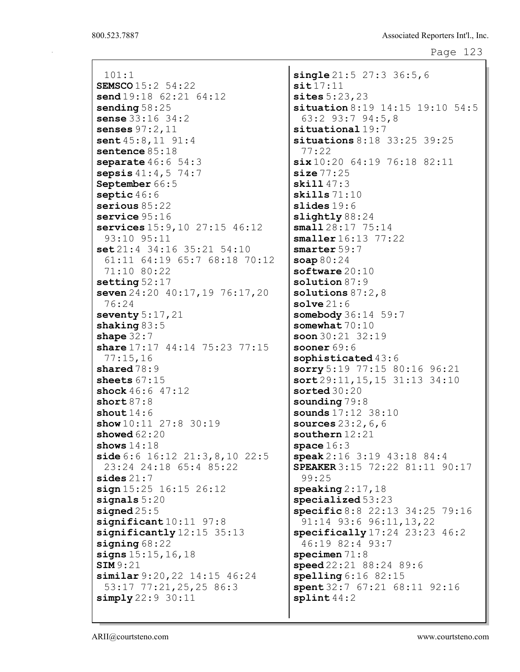101:1 SEMSCO 15:2 54:22 send 19:18 62:21 64:12 sending 58:25 sense 33:16 34:2 senses 97:2,11 sent  $45:8,11$  91:4 sentence 85:18 separate  $46:6$  54:3 sepsis  $41:4,5$  74:7 September 66:5 septic 46:6 serious 85:22 service 95:16 services 15:9,10 27:15 46:12 93:10 95:11 set 21:4 34:16 35:21 54:10 61:11 64:19 65:7 68:18 70:12 71:10 80:22 setting 52:17 seven 24:20 40:17, 19 76:17, 20 76:24 seventy  $5:17,21$ shaking 83:5 shape  $32:7$ share 17:17 44:14 75:23 77:15 77:15,16 shared  $78:9$ sheets  $67:15$ shock  $46:6$  47:12 short 87:8 shout  $14:6$ show  $10:11$  27:8 30:19 showed  $62:20$ shows  $14:18$ side 6:6 16:12 21:3,8,10 22:5 23:24 24:18 65:4 85:22 sides 21:7  $sign 15:25 16:15 26:12$ signals 5:20 signed 25:5 significant 10:11 97:8 significantly 12:15 35:13 signing 68:22 signs 15:15, 16, 18 SIM 9:21 similar 9:20,22 14:15 46:24 53:17 77:21,25,25 86:3 simply 22:9 30:11

single 21:5 27:3 36:5,6  $s$ it  $17:11$ sites 5:23,23 situation 8:19 14:15 19:10 54:5 63:2 93:7 94:5,8 situational 19:7 situations 8:18 33:25 39:25 77:22 six 10:20 64:19 76:18 82:11  $size 77:25$ skill 47:3 skills 71:10 slides 19:6 slightly 88:24 small 28:17 75:14 smaller 16:13 77:22 smarter 59:7 soap 80:24 software 20:10 solution 87:9 solutions 87:2,8 solve 21:6 somebody 36:14 59:7 somewhat  $70:10$ soon 30:21 32:19 sooner 69:6 sophisticated  $43:6$ sorry 5:19 77:15 80:16 96:21 sort 29:11,15,15 31:13 34:10 sorted 30:20 sounding  $79:8$ sounds 17:12 38:10 sources 23:2,6,6 southern 12:21 space  $16:3$ speak 2:16 3:19 43:18 84:4 SPEAKER 3:15 72:22 81:11 90:17 99:25  $\texttt{speaking2:17,18}$ specialized 53:23 specific 8:8 22:13 34:25 79:16 91:14 93:6 96:11,13,22 specifically 17:24 23:23 46:2 46:19 82:4 93:7 specimen 71:8 speed 22:21 88:24 89:6 spelling 6:16 82:15 spent 32:7 67:21 68:11 92:16 splint 44:2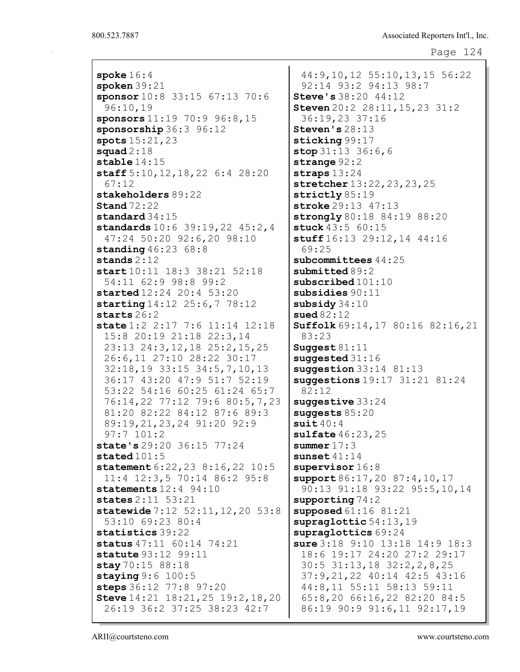spoke 16:4 spoken 39:21 sponsor 10:8 33:15 67:13 70:6 96:10,19 sponsors 11:19 70:9 96:8,15 sponsorship 36:3 96:12 spots 15:21,23 squad  $2:18$ stable  $14:15$ staff 5:10,12,18,22 6:4 28:20 67:12 stakeholders 89:22 **Stand** 72:22 standard 34:15 standards 10:6 39:19,22 45:2,4 47:24 50:20 92:6,20 98:10 **standing** 46:23 68:8 stands 2:12 start 10:11 18:3 38:21 52:18 54:11 62:9 98:8 99:2 started 12:24 20:4 53:20 starting 14:12 25:6,7 78:12 starts 26:2 state 1:2 2:17 7:6 11:14 12:18 15:8 20:19 21:18 22:3,14 23:13 24:3,12,18 25:2,15,25 26:6,11 27:10 28:22 30:17 32:18,19 33:15 34:5,7,10,13 36:17 43:20 47:9 51:7 52:19 53:22 54:16 60:25 61:24 65:7 76:14,22 77:12 79:6 80:5,7,23 81:20 82:22 84:12 87:6 89:3 89:19,21,23,24 91:20 92:9 97:7 101:2 state's 29:20 36:15 77:24 stated  $101:5$ statement 6:22, 23 8:16, 22 10:5 11:4 12:3,5 70:14 86:2 95:8 statements 12:4 94:10 states 2:11 53:21 statewide 7:12 52:11,12,20 53:8 53:10 69:23 80:4 statistics 39:22 status 47:11 60:14 74:21 statute 93:12 99:11 stay 70:15 88:18 staying 9:6 100:5 steps 36:12 77:8 97:20 Steve 14:21 18:21,25 19:2,18,20 26:19 36:2 37:25 38:23 42:7

44:9,10,12 55:10,13,15 56:22 92:14 93:2 94:13 98:7 Steve's 38:20 44:12 Steven 20:2 28:11,15,23 31:2 36:19,23 37:16 Steven's 28:13 sticking 99:17 stop  $31:13$   $36:6,6$ strange 92:2 straps 13:24 stretcher 13:22, 23, 23, 25 strictly 85:19 stroke 29:13 47:13 strongly 80:18 84:19 88:20 stuck 43:5 60:15 stuff 16:13 29:12, 14 44:16 69:25 subcommittees  $44:25$ submitted 89:2 subscribed 101:10 subsidies 90:11 subsidy 34:10 sued 82:12 Suffolk 69:14,17 80:16 82:16,21 83:23 Suggest 81:11 suggested 31:16 suggestion 33:14 81:13 suggestions 19:17 31:21 81:24 82:12 suggestive 33:24 suggests 85:20  $suit\ 40:4$ sulfate 46:23,25 summer  $17:3$ sunset 41:14 supervisor  $16:8$ support 86:17, 20 87:4, 10, 17 90:13 91:18 93:22 95:5,10,14 supporting 74:2 supposed 61:16 81:21 supraglottic 54:13,19 supraglottics 69:24 sure 3:18 9:10 13:18 14:9 18:3 18:6 19:17 24:20 27:2 29:17 30:5 31:13,18 32:2,2,8,25 37:9,21,22 40:14 42:5 43:16 44:8,11 55:11 58:13 59:11 65:8,20 66:16,22 82:20 84:5 86:19 90:9 91:6,11 92:17,19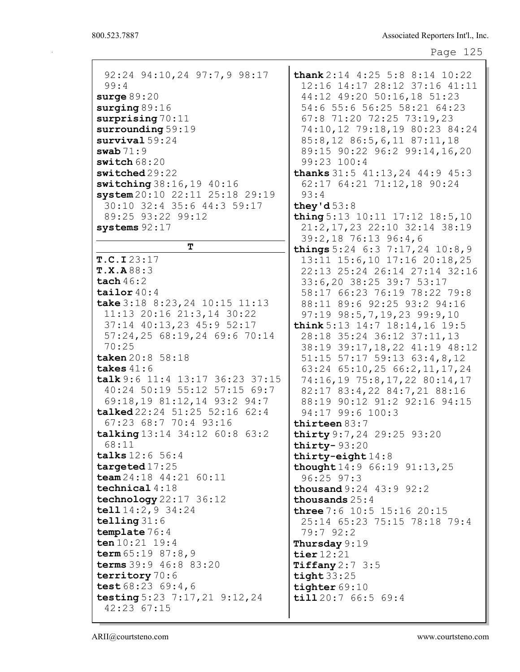| 92:24 94:10,24 97:7,9 98:17     | thank $2:14$ $4:25$ $5:8$ $8:14$ $10:22$ |
|---------------------------------|------------------------------------------|
| 99:4                            | 12:16 14:17 28:12 37:16 41:11            |
| surge $89:20$                   | 44:12 49:20 50:16,18 51:23               |
|                                 |                                          |
| surging $89:16$                 | 54:6 55:6 56:25 58:21 64:23              |
| surprising $70:11$              | 67:8 71:20 72:25 73:19,23                |
| surrounding 59:19               | 74:10,12 79:18,19 80:23 84:24            |
| $survival$ 59:24                | 85:8,12 86:5,6,11 87:11,18               |
| swab $71:9$                     | 89:15 90:22 96:2 99:14,16,20             |
| switch $68:20$                  | 99:23 100:4                              |
|                                 |                                          |
| switched29:22                   | thanks $31:5$ $41:13,24$ $44:9$ $45:3$   |
| switching 38:16, 19 40:16       | 62:17 64:21 71:12,18 90:24               |
| system 20:10 22:11 25:18 29:19  | 93:4                                     |
| 30:10 32:4 35:6 44:3 59:17      | they'd $53:8$                            |
| 89:25 93:22 99:12               | thing 5:13 10:11 17:12 18:5,10           |
| systems $92:17$                 | 21:2, 17, 23 22:10 32:14 38:19           |
|                                 | 39:2,18 76:13 96:4,6                     |
| т                               | things $5:24$ 6:3 7:17, 24 10:8, 9       |
| T.C.I23:17                      | 13:11 15:6,10 17:16 20:18,25             |
| T.X.A88:3                       | 22:13 25:24 26:14 27:14 32:16            |
|                                 |                                          |
| tach $46:2$                     | 33:6,20 38:25 39:7 53:17                 |
| tailor $40:4$                   | 58:17 66:23 76:19 78:22 79:8             |
| take 3:18 8:23, 24 10:15 11:13  | 88:11 89:6 92:25 93:2 94:16              |
| 11:13 20:16 21:3,14 30:22       | 97:19 98:5, 7, 19, 23 99:9, 10           |
| 37:14 40:13,23 45:9 52:17       | think $5:13$ 14:7 18:14, 16 19:5         |
| 57:24,25 68:19,24 69:6 70:14    | 28:18 35:24 36:12 37:11,13               |
| 70:25                           | 38:19 39:17, 18, 22 41:19 48:12          |
| taken 20:8 58:18                |                                          |
|                                 | 51:15 57:17 59:13 63:4,8,12              |
| takes $41:6$                    | 63:24 65:10,25 66:2,11,17,24             |
| talk 9:6 11:4 13:17 36:23 37:15 | 74:16,19 75:8,17,22 80:14,17             |
| 40:24 50:19 55:12 57:15 69:7    | 82:17 83:4,22 84:7,21 88:16              |
| 69:18,19 81:12,14 93:2 94:7     | 88:19 90:12 91:2 92:16 94:15             |
| talked 22:24 51:25 52:16 62:4   | 94:17 99:6 100:3                         |
| 67:23 68:7 70:4 93:16           | thirteen $83:7$                          |
| talking 13:14 34:12 60:8 63:2   | thirty 9:7, 24 29:25 93:20               |
| 68:11                           | thirty- $93:20$                          |
|                                 |                                          |
| talks 12:6 56:4                 | thirty-eight $14:8$                      |
| targeted $17:25$                | thought 14:9 66:19 91:13, 25             |
| team $24:18$ $44:21$ $60:11$    | $96:25$ $97:3$                           |
| technical $4:18$                | <b>thousand</b> 9:24 43:9 92:2           |
| technology $22:17$ 36:12        | thousands $25:4$                         |
| tell $14:2,9$ 34:24             | <b>three</b> 7:6 10:5 15:16 20:15        |
| telling $31:6$                  | 25:14 65:23 75:15 78:18 79:4             |
| template 76:4                   | 79:792:2                                 |
| ten $10:21$ 19:4                | Thursday $9:19$                          |
| term $65:19$ $87:8$ , 9         | tier $12:21$                             |
| terms 39:9 46:8 83:20           |                                          |
|                                 | Tiffany $2:7$ 3:5                        |
| territory 70:6                  | tight $33:25$                            |
| test $68:23$ $69:4$ , 6         | tighter $69:10$                          |
| testing 5:23 7:17, 21 9:12, 24  | till 20:7 66:5 69:4                      |
| 42:23 67:15                     |                                          |
|                                 |                                          |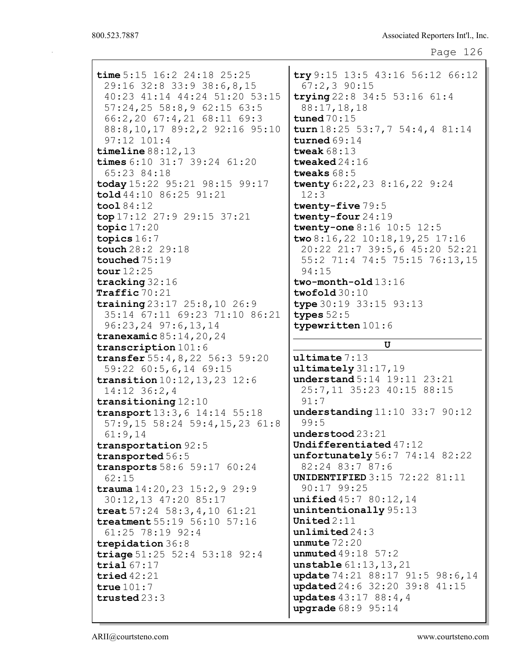```
Page 126
```
time 5:15 16:2 24:18 25:25 29:16 32:8 33:9 38:6,8,15 40:23 41:14 44:24 51:20 53:15 57:24,25 58:8,9 62:15 63:5 66:2,20 67:4,21 68:11 69:3 88:8,10,17 89:2,2 92:16 95:10 97:12 101:4 timeline 88:12,13 times 6:10 31:7 39:24 61:20 65:23 84:18 today 15:22 95:21 98:15 99:17 told 44:10 86:25 91:21 tool 84:12 top 17:12 27:9 29:15 37:21 topic 17:20 topics 16:7 touch 28:2 29:18 touched 75:19 tour 12:25 tracking 32:16 Traffic 70:21 training 23:17 25:8,10 26:9 35:14 67:11 69:23 71:10 86:21 96:23,24 97:6,13,14 tranexamic 85:14,20,24 transcription 101:6 transfer 55:4,8,22 56:3 59:20 59:22 60:5,6,14 69:15 transition 10:12,13,23 12:6 14:12 36:2,4 transitioning 12:10 transport 13:3,6 14:14 55:18 57:9,15 58:24 59:4,15,23 61:8 61:9,14 transportation 92:5 transported 56:5 transports 58:6 59:17 60:24 62:15 trauma  $14:20,23$   $15:2,9$   $29:9$ 30:12,13 47:20 85:17 treat 57:24 58:3,4,10 61:21 treatment 55:19 56:10 57:16 61:25 78:19 92:4 trepidation 36:8 triage 51:25 52:4 53:18 92:4 trial 67:17 tried 42:21 true 101:7 trusted 23:3

try 9:15 13:5 43:16 56:12 66:12 67:2,3 90:15 trying 22:8 34:5 53:16 61:4 88:17,18,18 tuned 70:15 turn 18:25 53:7,7 54:4,4 81:14 turned 69:14 tweak 68:13 tweaked 24:16 tweaks 68:5 twenty 6:22,23 8:16,22 9:24 12:3 twenty-five 79:5 twenty-four 24:19 twenty-one 8:16 10:5 12:5 two 8:16,22 10:18,19,25 17:16 20:22 21:7 39:5,6 45:20 52:21 55:2 71:4 74:5 75:15 76:13,15 94:15 two-month-old 13:16 twofold 30:10 type 30:19 33:15 93:13 types 52:5 typewritten 101:6

## U

ultimate 7:13 ultimately 31:17,19 understand 5:14 19:11 23:21 25:7,11 35:23 40:15 88:15 91:7 understanding 11:10 33:7 90:12 99:5 understood 23:21 Undifferentiated 47:12 unfortunately 56:7 74:14 82:22 82:24 83:7 87:6 UNIDENTIFIED 3:15 72:22 81:11 90:17 99:25 unified 45:7 80:12,14 unintentionally 95:13 United  $2:11$ unlimited 24:3 unmute 72:20 unmuted 49:18 57:2 unstable 61:13,13,21 update 74:21 88:17 91:5 98:6, 14 updated 24:6 32:20 39:8 41:15 updates 43:17 88:4,4 upgrade 68:9 95:14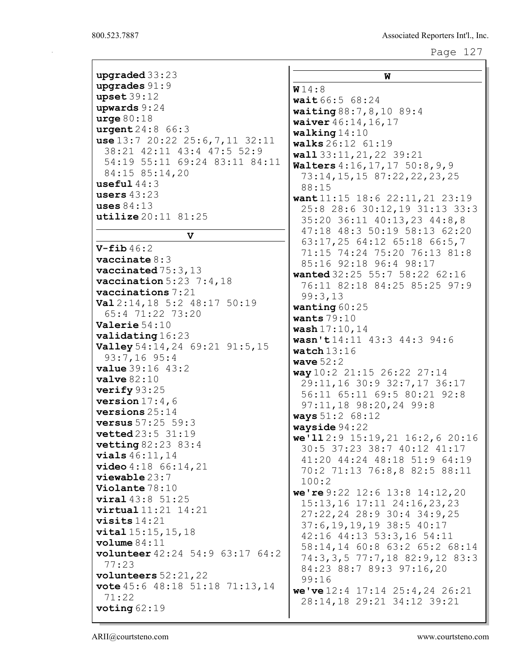| upgraded $33:23$                              | W                                      |
|-----------------------------------------------|----------------------------------------|
| upgrades $91:9$                               | W14:8                                  |
| upset39:12                                    | wait 66:5 68:24                        |
| upwards $9:24$                                | waiting 88:7, 8, 10 89:4               |
| $\texttt{urge} 80:18$                         | waiver 46:14, 16, 17                   |
| urgent 24:8 66:3                              | walking $14:10$                        |
| use $13:7$ 20:22 25:6, 7, 11 32:11            | walks 26:12 61:19                      |
| 38:21 42:11 43:4 47:5 52:9                    | wall 33:11, 21, 22 39:21               |
| 54:19 55:11 69:24 83:11 84:11                 | Walters 4:16, 17, 17 50:8, 9, 9        |
| 84:15 85:14,20                                | 73:14, 15, 15 87:22, 22, 23, 25        |
| useful $44:3$                                 | 88:15                                  |
| users $43:23$                                 | want 11:15 18:6 22:11, 21 23:19        |
| uses $84:13$                                  | 25:8 28:6 30:12,19 31:13 33:3          |
| utilize 20:11 81:25                           | 35:20 36:11 40:13,23 44:8,8            |
|                                               | 47:18 48:3 50:19 58:13 62:20           |
| v                                             | 63:17,25 64:12 65:18 66:5,7            |
| $V$ -fib $46:2$                               | 71:15 74:24 75:20 76:13 81:8           |
| vaccinate $8:3$                               | 85:16 92:18 96:4 98:17                 |
| vaccinated $75:3,13$                          | wanted 32:25 55:7 58:22 62:16          |
| vaccination $5:23$ 7:4,18                     | 76:11 82:18 84:25 85:25 97:9           |
| $\alpha$ vaccinations $7:21$                  | 99:3,13                                |
| Val 2:14, 18 5:2 48:17 50:19                  | wanting $60:25$                        |
| 65:4 71:22 73:20                              | wants $79:10$                          |
| Valerie $54:10$                               | wash 17:10,14                          |
| validating 16:23                              | wasn't14:11 43:3 44:3 94:6             |
| Valley 54:14, 24 69:21 91:5, 15               | watch $13:16$                          |
| $93:7,16$ 95:4                                | wave $52:2$                            |
| <b>value</b> 39:16 43:2                       | way 10:2 21:15 26:22 27:14             |
| value 82:10                                   | 29:11,16 30:9 32:7,17 36:17            |
| verify $93:25$                                | 56:11 65:11 69:5 80:21 92:8            |
| version $17:4$ , 6                            | 97:11,18 98:20,24 99:8                 |
| versions $25:14$                              | ways 51:2 68:12                        |
| <b>versus</b> $57:25$ $59:3$                  | wayside 94:22                          |
| <b>vetted</b> $23:5$ $31:19$                  | we'll $2:9$ 15:19, 21 16:2, 6 20:16    |
| <b>vetting</b> $82:23$ $83:4$                 | 30:5 37:23 38:7 40:12 41:17            |
| vials 46:11, 14                               | 41:20 44:24 48:18 51:9 64:19           |
| video 4:18 66:14,21<br>viewable 23:7          | 70:2 71:13 76:8,8 82:5 88:11           |
| Violante 78:10                                | 100:2                                  |
| $\texttt{viral}$ 43:8 51:25                   | we're $9:22$ 12:6 13:8 14:12, 20       |
| $virtual$ $11:21$ $14:21$                     | 15:13,16 17:11 24:16,23,23             |
| visits $14:21$                                | 27:22,24 28:9 30:4 34:9,25             |
| vital 15:15,15,18                             | 37:6, 19, 19, 19 38:5 40:17            |
| volume 84:11                                  | 42:16 44:13 53:3,16 54:11              |
| volunteer 42:24 54:9 63:17 64:2               | 58:14,14 60:8 63:2 65:2 68:14          |
| 77:23                                         | 74:3,3,5 77:7,18 82:9,12 83:3          |
| volunteers $52:21,22$                         | 84:23 88:7 89:3 97:16,20               |
| <b>vote</b> $45:6$ $48:18$ $51:18$ $71:13,14$ | 99:16                                  |
| 71:22                                         | we've $12:4$ 17:14 $25:4$ , 24 $26:21$ |
| voting $62:19$                                | 28:14,18 29:21 34:12 39:21             |
|                                               |                                        |

 $\mathbf I$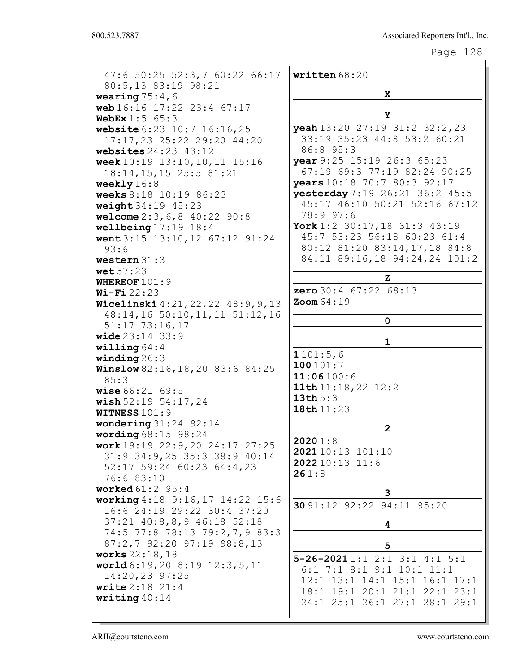| 47:6 50:25 52:3,7 60:22 66:17                  | written 68:20                      |
|------------------------------------------------|------------------------------------|
| 80:5,13 83:19 98:21                            | x                                  |
| wearing $75:4,6$<br>web 16:16 17:22 23:4 67:17 |                                    |
| <b>WebEx</b> $1:5$ 65:3                        | Y                                  |
| website 6:23 10:7 16:16,25                     | yeah 13:20 27:19 31:2 32:2, 23     |
| 17:17,23 25:22 29:20 44:20                     | 33:19 35:23 44:8 53:2 60:21        |
| websites $24:23$ $43:12$                       | 86:8 95:3                          |
| week 10:19 13:10, 10, 11 15:16                 | vear 9:25 15:19 26:3 65:23         |
| 18:14, 15, 15 25:5 81:21                       | 67:19 69:3 77:19 82:24 90:25       |
| weekly $16:8$                                  | years 10:18 70:7 80:3 92:17        |
| weeks 8:18 10:19 86:23                         | yesterday 7:19 26:21 36:2 45:5     |
| weight 34:19 45:23                             | 45:17 46:10 50:21 52:16 67:12      |
| welcome $2:3, 6, 8$ 40:22 90:8                 | 78:9 97:6                          |
| wellbeing $17:19$ $18:4$                       | York 1:2 30:17, 18 31:3 43:19      |
| went 3:15 13:10, 12 67:12 91:24                | 45:7 53:23 56:18 60:23 61:4        |
| 93:6                                           | 80:12 81:20 83:14,17,18 84:8       |
| western $31:3$                                 | 84:11 89:16,18 94:24,24 101:2      |
| wet 57:23                                      | $\mathbf{z}$                       |
| WHEREOF $101:9$                                | <b>zero</b> $30:4$ $67:22$ $68:13$ |
| $Wi-Fi 22:23$                                  | $\text{Zoom }64:19$                |
| Wicelinski 4:21, 22, 22 48:9, 9, 13            |                                    |
| 48:14,16 50:10,11,11 51:12,16                  | 0                                  |
| $51:17$ 73:16,17<br><b>wide</b> $23:14$ $33:9$ |                                    |
| willing $64:4$                                 | $\mathbf 1$                        |
| winding $26:3$                                 | 1101:5,6                           |
| Winslow 82:16, 18, 20 83:6 84:25               | 100101:7                           |
| 85:3                                           | 11:06100:6                         |
| <b>wise</b> $66:21$ $69:5$                     | 11th $11:18,22$ $12:2$             |
| wish $52:19$ $54:17$ , 24                      | 13th $5:3$                         |
| <b>WITNESS 101:9</b>                           | 18th 11:23                         |
| wondering $31:24$ 92:14                        | $\overline{2}$                     |
| wording $68:15$ 98:24                          |                                    |
| work 19:19 22:9, 20 24:17 27:25                | 20201:8                            |
| 31:9 34:9,25 35:3 38:9 40:14                   | 202110:13 101:10<br>202210:13 11:6 |
| 52:17 59:24 60:23 64:4,23                      | 261:8                              |
| 76:6 83:10                                     |                                    |
| <b>worked</b> 61:2 95:4                        | 3                                  |
| working 4:18 9:16, 17 14:22 15:6               | 30 91:12 92:22 94:11 95:20         |
| 16:6 24:19 29:22 30:4 37:20                    |                                    |
| 37:21 40:8,8,9 46:18 52:18                     | 4                                  |
| 74:5 77:8 78:13 79:2,7,9 83:3                  |                                    |
| 87:2,7 92:20 97:19 98:8,13<br>works 22:18, 18  | 5                                  |
| world $6:19,20$ 8:19 12:3,5,11                 | $5 - 26 - 20211:12 :13:14:15:1$    |
| 14:20,23 97:25                                 | $6:1$ 7:1 8:1 9:1 10:1 11:1        |
| <b>write</b> $2:18$ $21:4$                     | 12:1 13:1 14:1 15:1 16:1 17:1      |
| writing $40:14$                                | 18:1 19:1 20:1 21:1 22:1 23:1      |
|                                                | 24:1 25:1 26:1 27:1 28:1 29:1      |
|                                                |                                    |